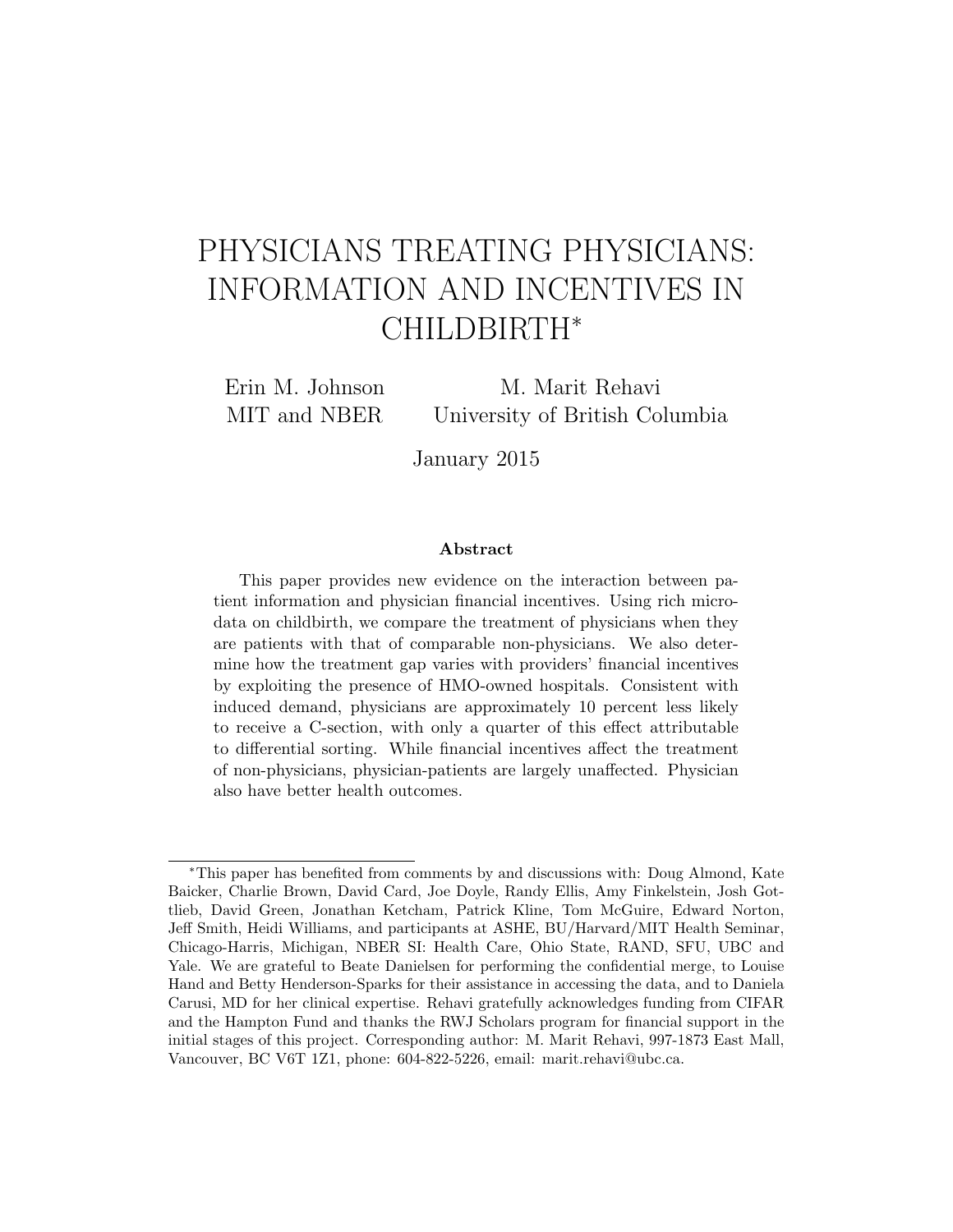# PHYSICIANS TREATING PHYSICIANS: INFORMATION AND INCENTIVES IN CHILDBIRTH<sup>∗</sup>

Erin M. Johnson MIT and NBER

M. Marit Rehavi University of British Columbia

January 2015

#### Abstract

This paper provides new evidence on the interaction between patient information and physician financial incentives. Using rich microdata on childbirth, we compare the treatment of physicians when they are patients with that of comparable non-physicians. We also determine how the treatment gap varies with providers' financial incentives by exploiting the presence of HMO-owned hospitals. Consistent with induced demand, physicians are approximately 10 percent less likely to receive a C-section, with only a quarter of this effect attributable to differential sorting. While financial incentives affect the treatment of non-physicians, physician-patients are largely unaffected. Physician also have better health outcomes.

<sup>∗</sup>This paper has benefited from comments by and discussions with: Doug Almond, Kate Baicker, Charlie Brown, David Card, Joe Doyle, Randy Ellis, Amy Finkelstein, Josh Gottlieb, David Green, Jonathan Ketcham, Patrick Kline, Tom McGuire, Edward Norton, Jeff Smith, Heidi Williams, and participants at ASHE, BU/Harvard/MIT Health Seminar, Chicago-Harris, Michigan, NBER SI: Health Care, Ohio State, RAND, SFU, UBC and Yale. We are grateful to Beate Danielsen for performing the confidential merge, to Louise Hand and Betty Henderson-Sparks for their assistance in accessing the data, and to Daniela Carusi, MD for her clinical expertise. Rehavi gratefully acknowledges funding from CIFAR and the Hampton Fund and thanks the RWJ Scholars program for financial support in the initial stages of this project. Corresponding author: M. Marit Rehavi, 997-1873 East Mall, Vancouver, BC V6T 1Z1, phone: 604-822-5226, email: marit.rehavi@ubc.ca.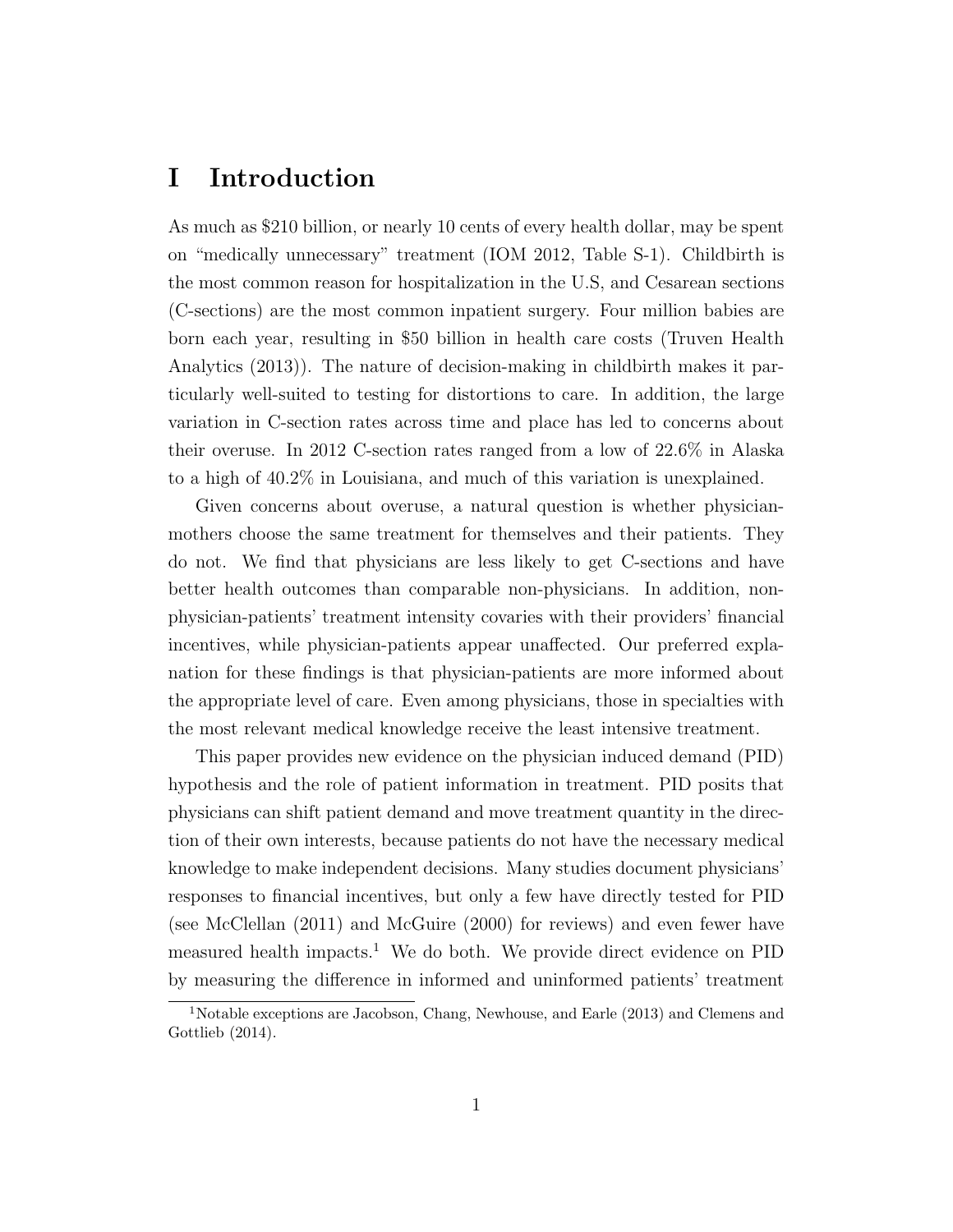# I Introduction

As much as \$210 billion, or nearly 10 cents of every health dollar, may be spent on "medically unnecessary" treatment (IOM 2012, Table S-1). Childbirth is the most common reason for hospitalization in the U.S, and Cesarean sections (C-sections) are the most common inpatient surgery. Four million babies are born each year, resulting in \$50 billion in health care costs (Truven Health Analytics (2013)). The nature of decision-making in childbirth makes it particularly well-suited to testing for distortions to care. In addition, the large variation in C-section rates across time and place has led to concerns about their overuse. In 2012 C-section rates ranged from a low of 22.6% in Alaska to a high of 40.2% in Louisiana, and much of this variation is unexplained.

Given concerns about overuse, a natural question is whether physicianmothers choose the same treatment for themselves and their patients. They do not. We find that physicians are less likely to get C-sections and have better health outcomes than comparable non-physicians. In addition, nonphysician-patients' treatment intensity covaries with their providers' financial incentives, while physician-patients appear unaffected. Our preferred explanation for these findings is that physician-patients are more informed about the appropriate level of care. Even among physicians, those in specialties with the most relevant medical knowledge receive the least intensive treatment.

This paper provides new evidence on the physician induced demand (PID) hypothesis and the role of patient information in treatment. PID posits that physicians can shift patient demand and move treatment quantity in the direction of their own interests, because patients do not have the necessary medical knowledge to make independent decisions. Many studies document physicians' responses to financial incentives, but only a few have directly tested for PID (see McClellan (2011) and McGuire (2000) for reviews) and even fewer have measured health impacts.<sup>1</sup> We do both. We provide direct evidence on PID by measuring the difference in informed and uninformed patients' treatment

<sup>1</sup>Notable exceptions are Jacobson, Chang, Newhouse, and Earle (2013) and Clemens and Gottlieb (2014).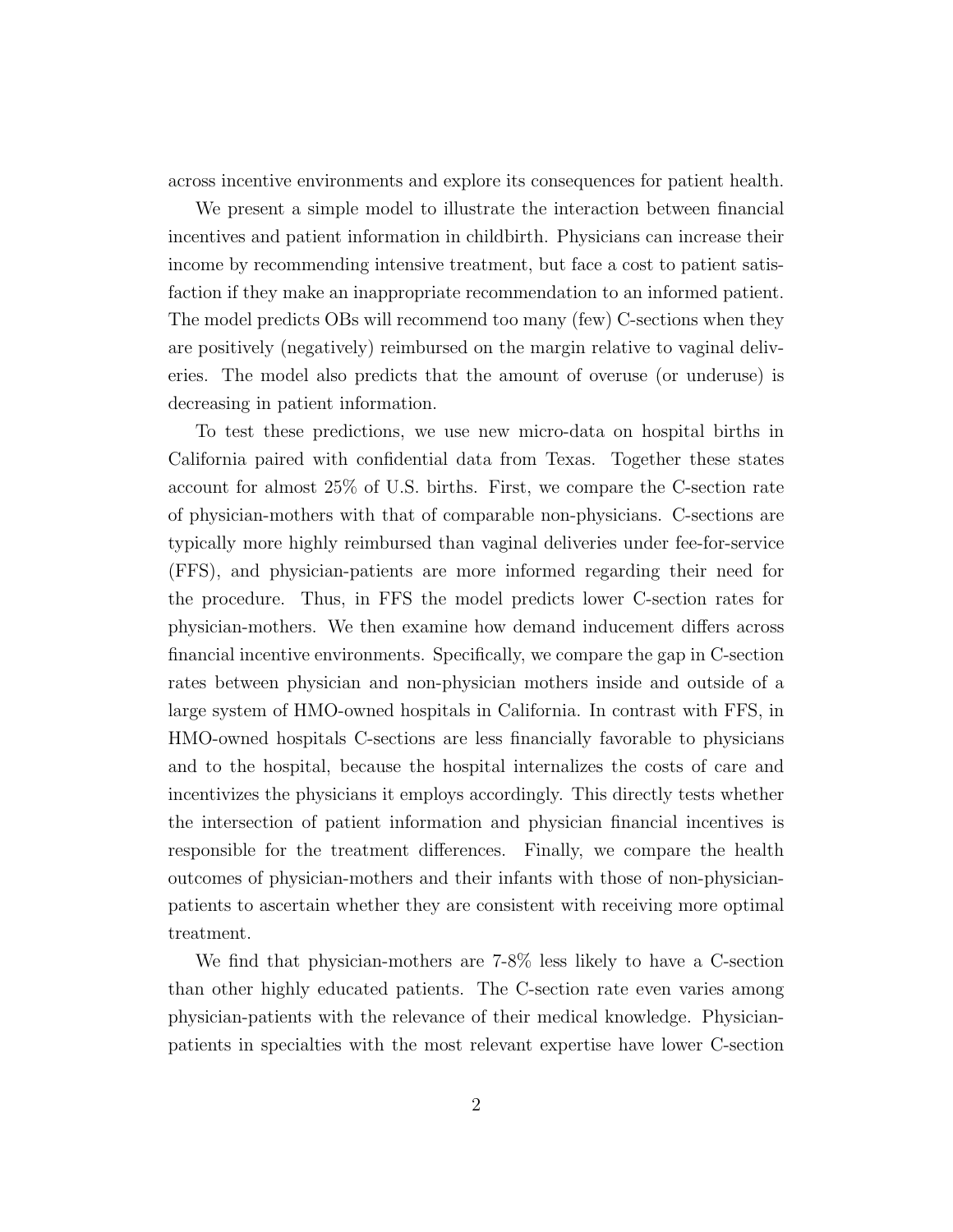across incentive environments and explore its consequences for patient health.

We present a simple model to illustrate the interaction between financial incentives and patient information in childbirth. Physicians can increase their income by recommending intensive treatment, but face a cost to patient satisfaction if they make an inappropriate recommendation to an informed patient. The model predicts OBs will recommend too many (few) C-sections when they are positively (negatively) reimbursed on the margin relative to vaginal deliveries. The model also predicts that the amount of overuse (or underuse) is decreasing in patient information.

To test these predictions, we use new micro-data on hospital births in California paired with confidential data from Texas. Together these states account for almost 25% of U.S. births. First, we compare the C-section rate of physician-mothers with that of comparable non-physicians. C-sections are typically more highly reimbursed than vaginal deliveries under fee-for-service (FFS), and physician-patients are more informed regarding their need for the procedure. Thus, in FFS the model predicts lower C-section rates for physician-mothers. We then examine how demand inducement differs across financial incentive environments. Specifically, we compare the gap in C-section rates between physician and non-physician mothers inside and outside of a large system of HMO-owned hospitals in California. In contrast with FFS, in HMO-owned hospitals C-sections are less financially favorable to physicians and to the hospital, because the hospital internalizes the costs of care and incentivizes the physicians it employs accordingly. This directly tests whether the intersection of patient information and physician financial incentives is responsible for the treatment differences. Finally, we compare the health outcomes of physician-mothers and their infants with those of non-physicianpatients to ascertain whether they are consistent with receiving more optimal treatment.

We find that physician-mothers are 7-8% less likely to have a C-section than other highly educated patients. The C-section rate even varies among physician-patients with the relevance of their medical knowledge. Physicianpatients in specialties with the most relevant expertise have lower C-section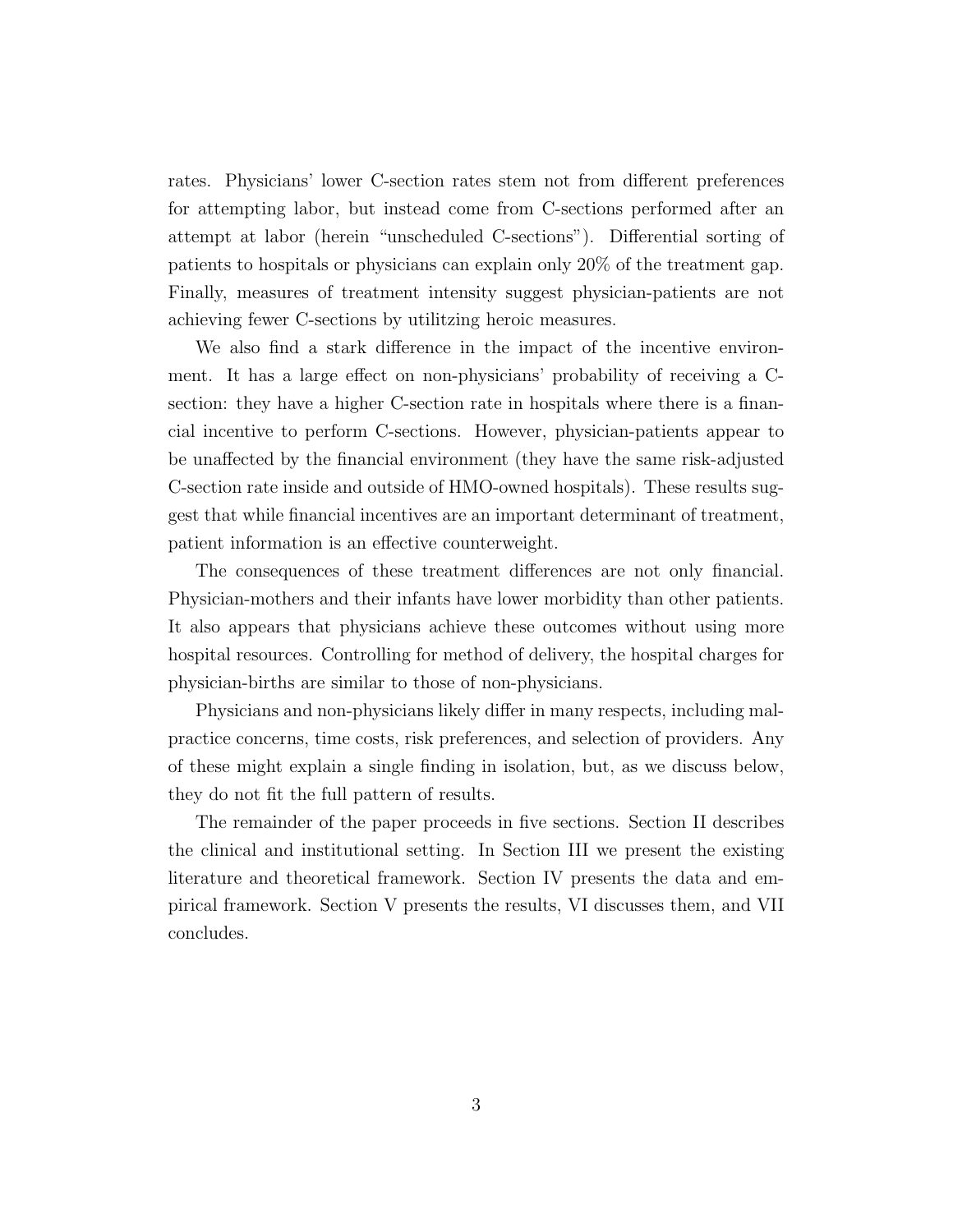rates. Physicians' lower C-section rates stem not from different preferences for attempting labor, but instead come from C-sections performed after an attempt at labor (herein "unscheduled C-sections"). Differential sorting of patients to hospitals or physicians can explain only 20% of the treatment gap. Finally, measures of treatment intensity suggest physician-patients are not achieving fewer C-sections by utilitzing heroic measures.

We also find a stark difference in the impact of the incentive environment. It has a large effect on non-physicians' probability of receiving a Csection: they have a higher C-section rate in hospitals where there is a financial incentive to perform C-sections. However, physician-patients appear to be unaffected by the financial environment (they have the same risk-adjusted C-section rate inside and outside of HMO-owned hospitals). These results suggest that while financial incentives are an important determinant of treatment, patient information is an effective counterweight.

The consequences of these treatment differences are not only financial. Physician-mothers and their infants have lower morbidity than other patients. It also appears that physicians achieve these outcomes without using more hospital resources. Controlling for method of delivery, the hospital charges for physician-births are similar to those of non-physicians.

Physicians and non-physicians likely differ in many respects, including malpractice concerns, time costs, risk preferences, and selection of providers. Any of these might explain a single finding in isolation, but, as we discuss below, they do not fit the full pattern of results.

The remainder of the paper proceeds in five sections. Section II describes the clinical and institutional setting. In Section III we present the existing literature and theoretical framework. Section IV presents the data and empirical framework. Section V presents the results, VI discusses them, and VII concludes.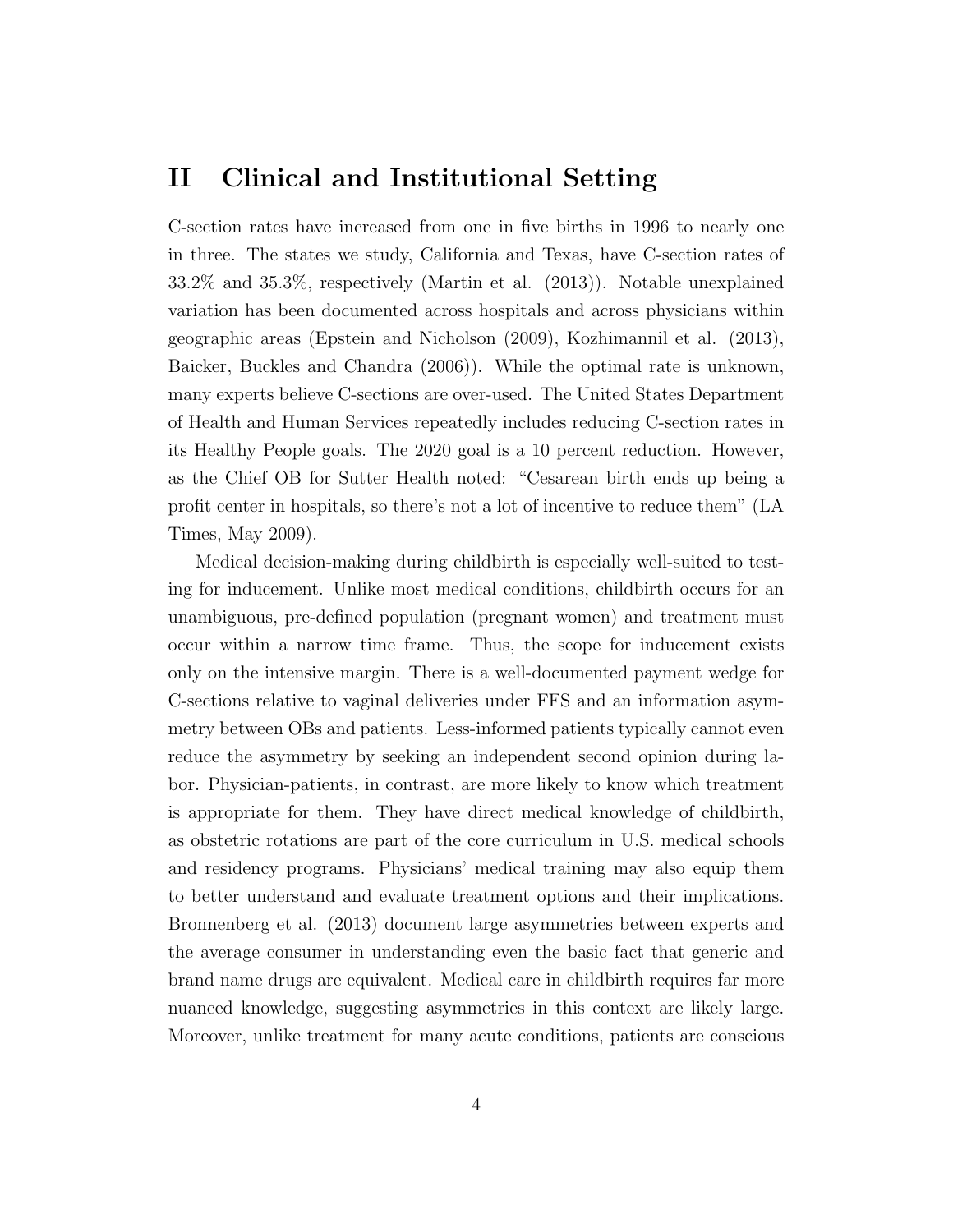### II Clinical and Institutional Setting

C-section rates have increased from one in five births in 1996 to nearly one in three. The states we study, California and Texas, have C-section rates of 33.2% and 35.3%, respectively (Martin et al. (2013)). Notable unexplained variation has been documented across hospitals and across physicians within geographic areas (Epstein and Nicholson (2009), Kozhimannil et al. (2013), Baicker, Buckles and Chandra (2006)). While the optimal rate is unknown, many experts believe C-sections are over-used. The United States Department of Health and Human Services repeatedly includes reducing C-section rates in its Healthy People goals. The 2020 goal is a 10 percent reduction. However, as the Chief OB for Sutter Health noted: "Cesarean birth ends up being a profit center in hospitals, so there's not a lot of incentive to reduce them" (LA Times, May 2009).

Medical decision-making during childbirth is especially well-suited to testing for inducement. Unlike most medical conditions, childbirth occurs for an unambiguous, pre-defined population (pregnant women) and treatment must occur within a narrow time frame. Thus, the scope for inducement exists only on the intensive margin. There is a well-documented payment wedge for C-sections relative to vaginal deliveries under FFS and an information asymmetry between OBs and patients. Less-informed patients typically cannot even reduce the asymmetry by seeking an independent second opinion during labor. Physician-patients, in contrast, are more likely to know which treatment is appropriate for them. They have direct medical knowledge of childbirth, as obstetric rotations are part of the core curriculum in U.S. medical schools and residency programs. Physicians' medical training may also equip them to better understand and evaluate treatment options and their implications. Bronnenberg et al. (2013) document large asymmetries between experts and the average consumer in understanding even the basic fact that generic and brand name drugs are equivalent. Medical care in childbirth requires far more nuanced knowledge, suggesting asymmetries in this context are likely large. Moreover, unlike treatment for many acute conditions, patients are conscious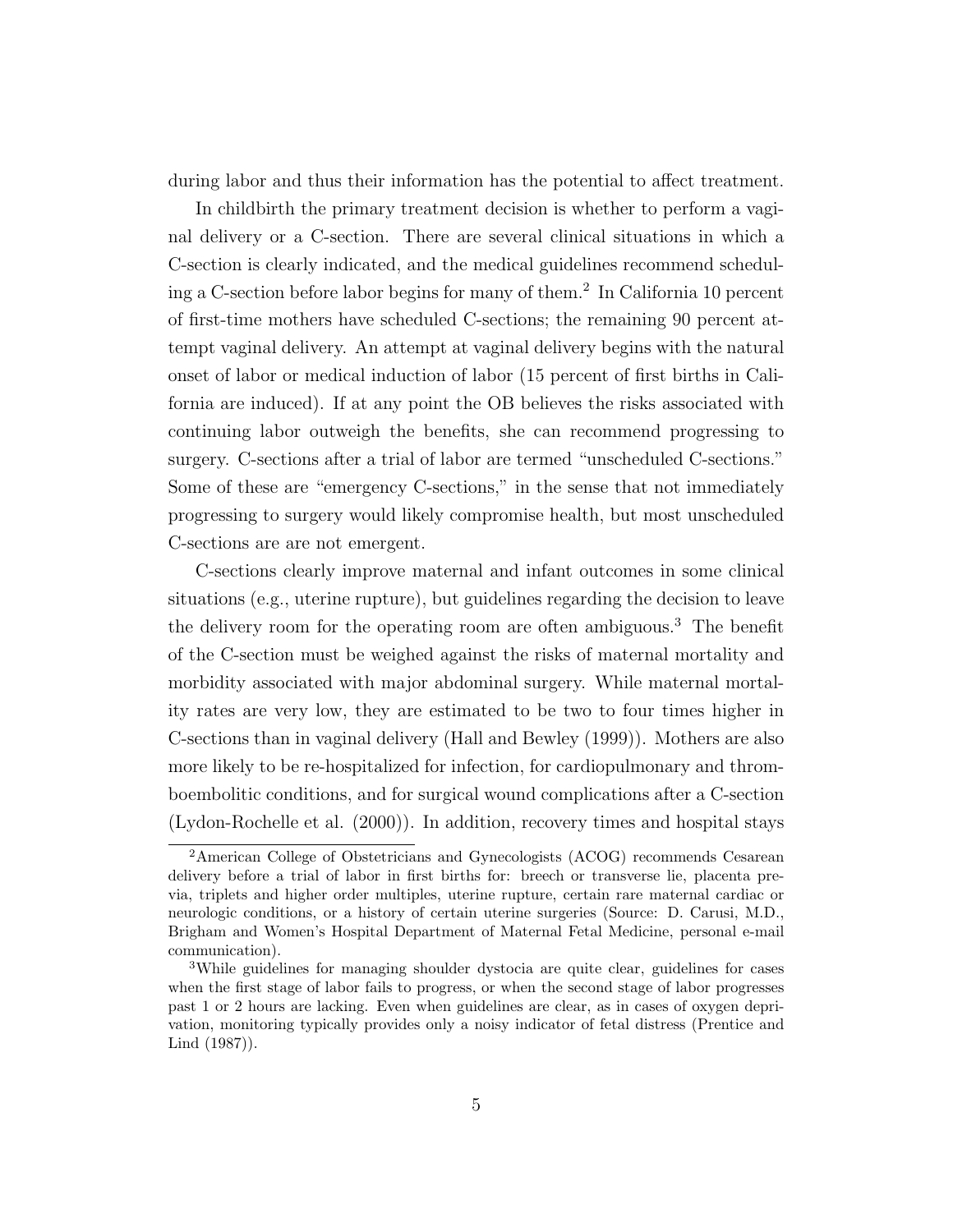during labor and thus their information has the potential to affect treatment.

In childbirth the primary treatment decision is whether to perform a vaginal delivery or a C-section. There are several clinical situations in which a C-section is clearly indicated, and the medical guidelines recommend scheduling a C-section before labor begins for many of them.<sup>2</sup> In California 10 percent of first-time mothers have scheduled C-sections; the remaining 90 percent attempt vaginal delivery. An attempt at vaginal delivery begins with the natural onset of labor or medical induction of labor (15 percent of first births in California are induced). If at any point the OB believes the risks associated with continuing labor outweigh the benefits, she can recommend progressing to surgery. C-sections after a trial of labor are termed "unscheduled C-sections." Some of these are "emergency C-sections," in the sense that not immediately progressing to surgery would likely compromise health, but most unscheduled C-sections are are not emergent.

C-sections clearly improve maternal and infant outcomes in some clinical situations (e.g., uterine rupture), but guidelines regarding the decision to leave the delivery room for the operating room are often ambiguous.<sup>3</sup> The benefit of the C-section must be weighed against the risks of maternal mortality and morbidity associated with major abdominal surgery. While maternal mortality rates are very low, they are estimated to be two to four times higher in C-sections than in vaginal delivery (Hall and Bewley (1999)). Mothers are also more likely to be re-hospitalized for infection, for cardiopulmonary and thromboembolitic conditions, and for surgical wound complications after a C-section (Lydon-Rochelle et al. (2000)). In addition, recovery times and hospital stays

<sup>2</sup>American College of Obstetricians and Gynecologists (ACOG) recommends Cesarean delivery before a trial of labor in first births for: breech or transverse lie, placenta previa, triplets and higher order multiples, uterine rupture, certain rare maternal cardiac or neurologic conditions, or a history of certain uterine surgeries (Source: D. Carusi, M.D., Brigham and Women's Hospital Department of Maternal Fetal Medicine, personal e-mail communication).

<sup>3</sup>While guidelines for managing shoulder dystocia are quite clear, guidelines for cases when the first stage of labor fails to progress, or when the second stage of labor progresses past 1 or 2 hours are lacking. Even when guidelines are clear, as in cases of oxygen deprivation, monitoring typically provides only a noisy indicator of fetal distress (Prentice and Lind (1987)).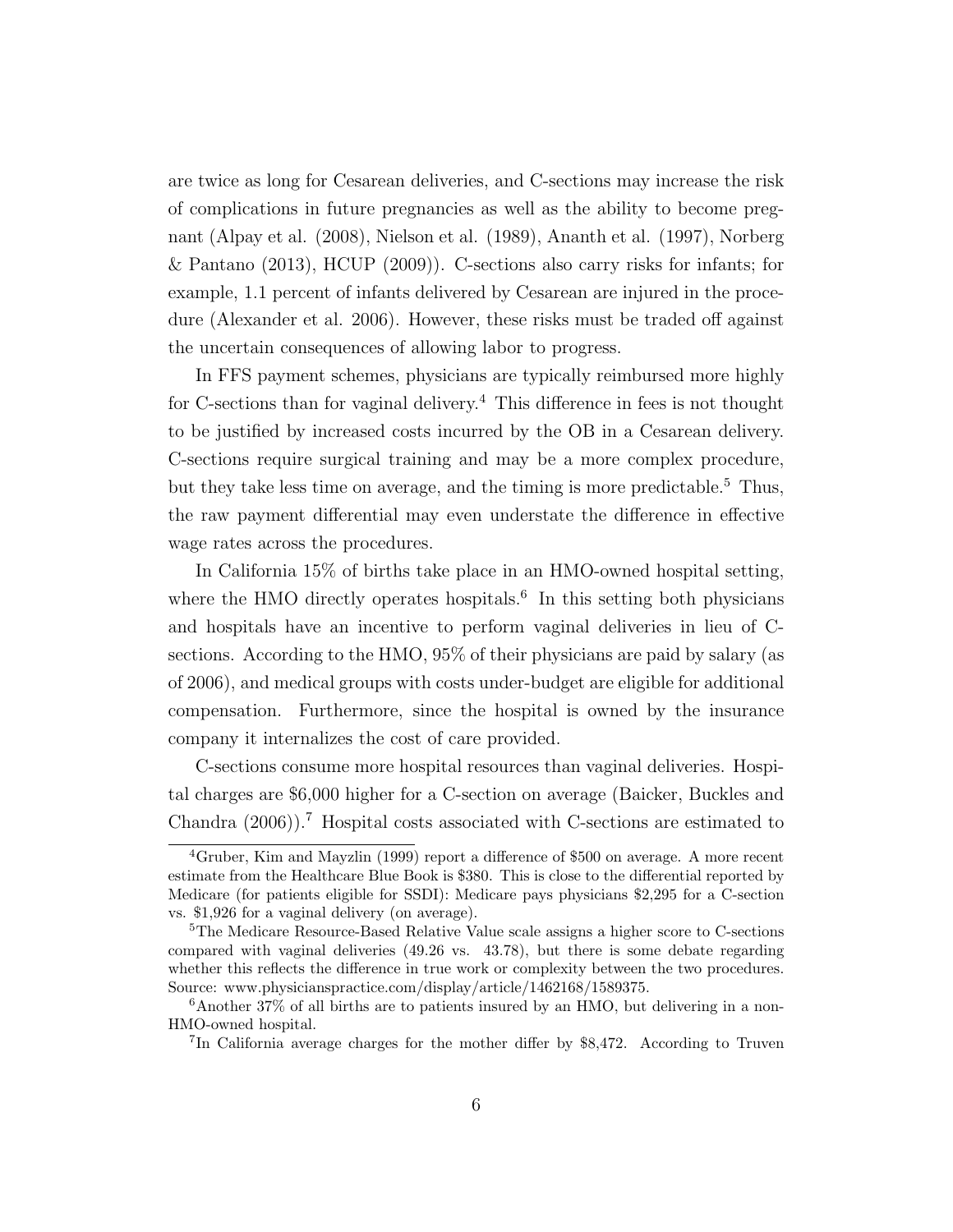are twice as long for Cesarean deliveries, and C-sections may increase the risk of complications in future pregnancies as well as the ability to become pregnant (Alpay et al. (2008), Nielson et al. (1989), Ananth et al. (1997), Norberg & Pantano (2013), HCUP (2009)). C-sections also carry risks for infants; for example, 1.1 percent of infants delivered by Cesarean are injured in the procedure (Alexander et al. 2006). However, these risks must be traded off against the uncertain consequences of allowing labor to progress.

In FFS payment schemes, physicians are typically reimbursed more highly for C-sections than for vaginal delivery.<sup>4</sup> This difference in fees is not thought to be justified by increased costs incurred by the OB in a Cesarean delivery. C-sections require surgical training and may be a more complex procedure, but they take less time on average, and the timing is more predictable.<sup>5</sup> Thus, the raw payment differential may even understate the difference in effective wage rates across the procedures.

In California 15% of births take place in an HMO-owned hospital setting, where the HMO directly operates hospitals.<sup>6</sup> In this setting both physicians and hospitals have an incentive to perform vaginal deliveries in lieu of Csections. According to the HMO, 95% of their physicians are paid by salary (as of 2006), and medical groups with costs under-budget are eligible for additional compensation. Furthermore, since the hospital is owned by the insurance company it internalizes the cost of care provided.

C-sections consume more hospital resources than vaginal deliveries. Hospital charges are \$6,000 higher for a C-section on average (Baicker, Buckles and Chandra  $(2006)$ .<sup>7</sup> Hospital costs associated with C-sections are estimated to

<sup>4</sup>Gruber, Kim and Mayzlin (1999) report a difference of \$500 on average. A more recent estimate from the Healthcare Blue Book is \$380. This is close to the differential reported by Medicare (for patients eligible for SSDI): Medicare pays physicians \$2,295 for a C-section vs. \$1,926 for a vaginal delivery (on average).

<sup>5</sup>The Medicare Resource-Based Relative Value scale assigns a higher score to C-sections compared with vaginal deliveries (49.26 vs. 43.78), but there is some debate regarding whether this reflects the difference in true work or complexity between the two procedures. Source: www.physicianspractice.com/display/article/1462168/1589375.

 $6A$ nother 37% of all births are to patients insured by an HMO, but delivering in a non-HMO-owned hospital.

<sup>&</sup>lt;sup>7</sup>In California average charges for the mother differ by \$8,472. According to Truven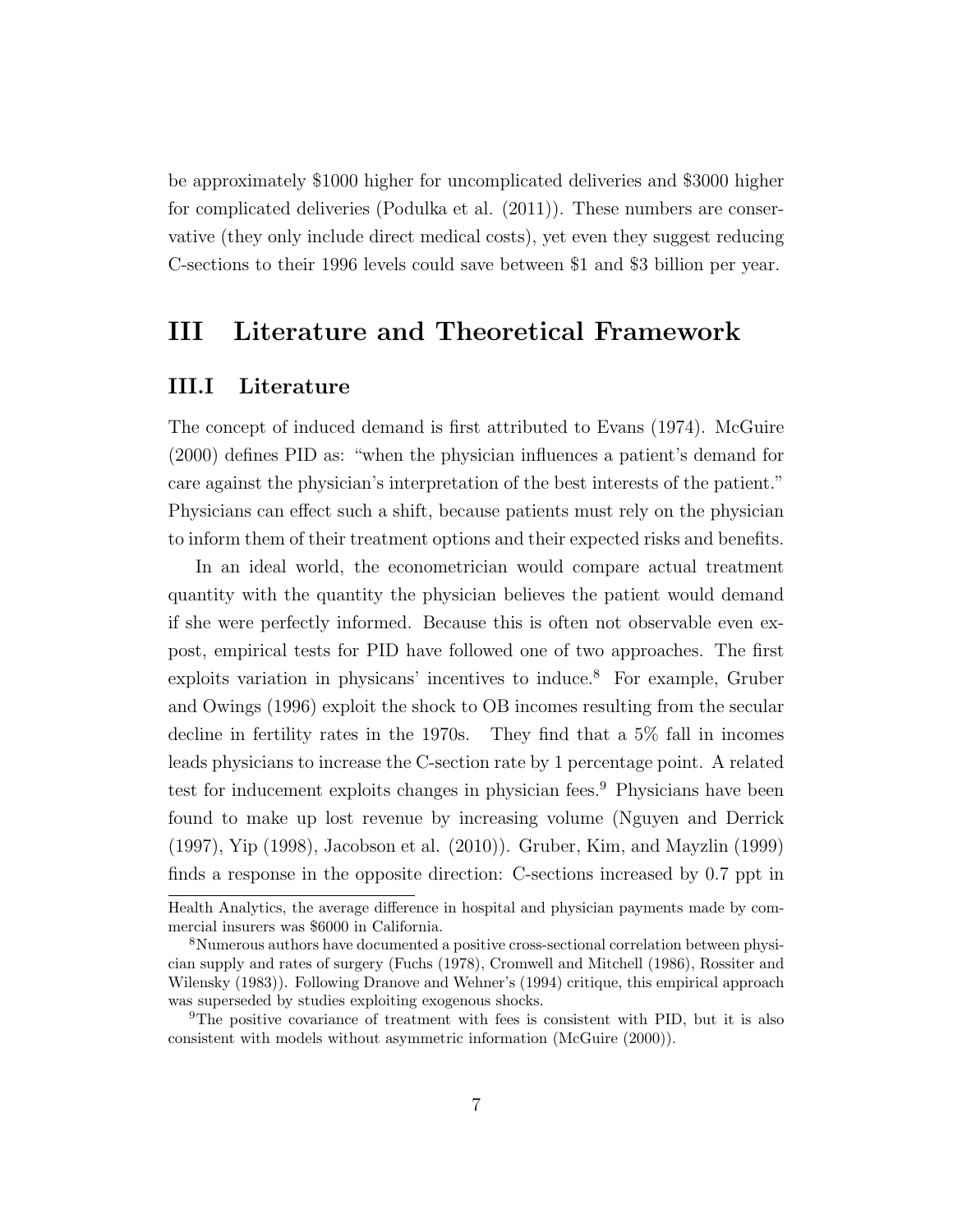be approximately \$1000 higher for uncomplicated deliveries and \$3000 higher for complicated deliveries (Podulka et al. (2011)). These numbers are conservative (they only include direct medical costs), yet even they suggest reducing C-sections to their 1996 levels could save between \$1 and \$3 billion per year.

# III Literature and Theoretical Framework

#### III.I Literature

The concept of induced demand is first attributed to Evans (1974). McGuire (2000) defines PID as: "when the physician influences a patient's demand for care against the physician's interpretation of the best interests of the patient." Physicians can effect such a shift, because patients must rely on the physician to inform them of their treatment options and their expected risks and benefits.

In an ideal world, the econometrician would compare actual treatment quantity with the quantity the physician believes the patient would demand if she were perfectly informed. Because this is often not observable even expost, empirical tests for PID have followed one of two approaches. The first exploits variation in physicans' incentives to induce.<sup>8</sup> For example, Gruber and Owings (1996) exploit the shock to OB incomes resulting from the secular decline in fertility rates in the 1970s. They find that a 5% fall in incomes leads physicians to increase the C-section rate by 1 percentage point. A related test for inducement exploits changes in physician fees.<sup>9</sup> Physicians have been found to make up lost revenue by increasing volume (Nguyen and Derrick (1997), Yip (1998), Jacobson et al. (2010)). Gruber, Kim, and Mayzlin (1999) finds a response in the opposite direction: C-sections increased by 0.7 ppt in

Health Analytics, the average difference in hospital and physician payments made by commercial insurers was \$6000 in California.

<sup>8</sup>Numerous authors have documented a positive cross-sectional correlation between physician supply and rates of surgery (Fuchs (1978), Cromwell and Mitchell (1986), Rossiter and Wilensky (1983)). Following Dranove and Wehner's (1994) critique, this empirical approach was superseded by studies exploiting exogenous shocks.

<sup>9</sup>The positive covariance of treatment with fees is consistent with PID, but it is also consistent with models without asymmetric information (McGuire (2000)).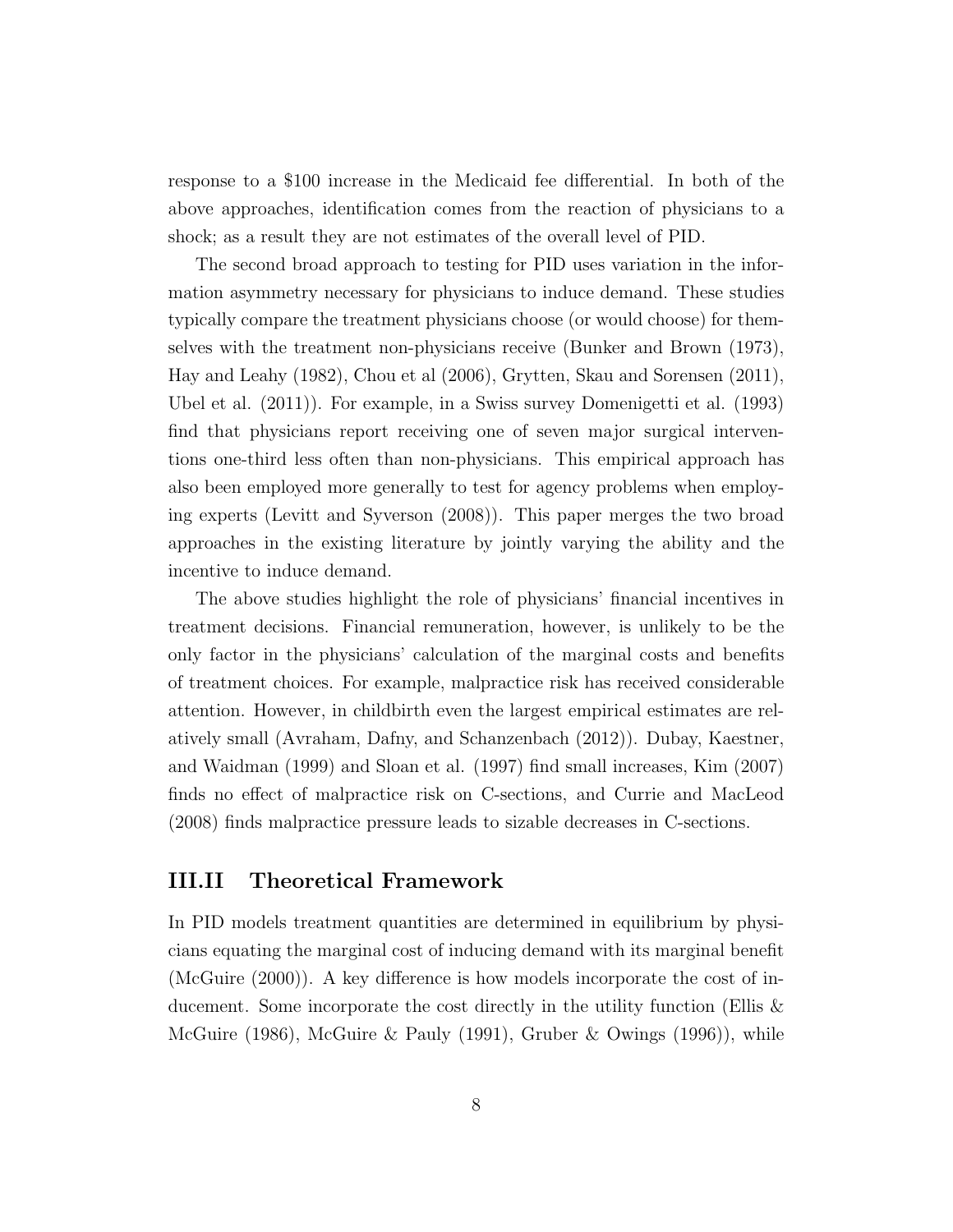response to a \$100 increase in the Medicaid fee differential. In both of the above approaches, identification comes from the reaction of physicians to a shock; as a result they are not estimates of the overall level of PID.

The second broad approach to testing for PID uses variation in the information asymmetry necessary for physicians to induce demand. These studies typically compare the treatment physicians choose (or would choose) for themselves with the treatment non-physicians receive (Bunker and Brown (1973), Hay and Leahy (1982), Chou et al (2006), Grytten, Skau and Sorensen (2011), Ubel et al. (2011)). For example, in a Swiss survey Domenigetti et al. (1993) find that physicians report receiving one of seven major surgical interventions one-third less often than non-physicians. This empirical approach has also been employed more generally to test for agency problems when employing experts (Levitt and Syverson (2008)). This paper merges the two broad approaches in the existing literature by jointly varying the ability and the incentive to induce demand.

The above studies highlight the role of physicians' financial incentives in treatment decisions. Financial remuneration, however, is unlikely to be the only factor in the physicians' calculation of the marginal costs and benefits of treatment choices. For example, malpractice risk has received considerable attention. However, in childbirth even the largest empirical estimates are relatively small (Avraham, Dafny, and Schanzenbach (2012)). Dubay, Kaestner, and Waidman (1999) and Sloan et al. (1997) find small increases, Kim (2007) finds no effect of malpractice risk on C-sections, and Currie and MacLeod (2008) finds malpractice pressure leads to sizable decreases in C-sections.

#### III.II Theoretical Framework

In PID models treatment quantities are determined in equilibrium by physicians equating the marginal cost of inducing demand with its marginal benefit (McGuire (2000)). A key difference is how models incorporate the cost of inducement. Some incorporate the cost directly in the utility function (Ellis & McGuire (1986), McGuire & Pauly (1991), Gruber & Owings (1996)), while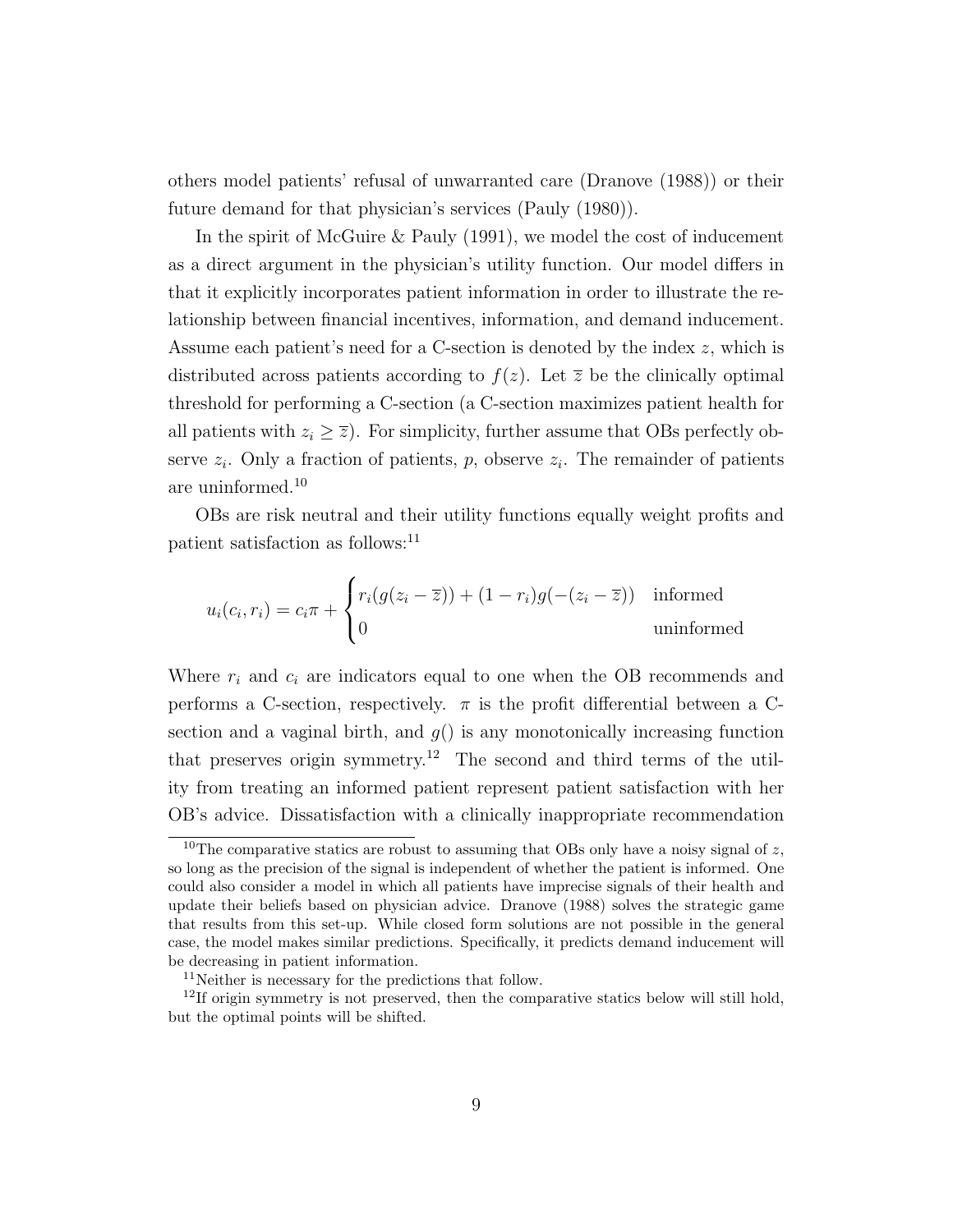others model patients' refusal of unwarranted care (Dranove (1988)) or their future demand for that physician's services (Pauly (1980)).

In the spirit of McGuire & Pauly (1991), we model the cost of inducement as a direct argument in the physician's utility function. Our model differs in that it explicitly incorporates patient information in order to illustrate the relationship between financial incentives, information, and demand inducement. Assume each patient's need for a C-section is denoted by the index z, which is distributed across patients according to  $f(z)$ . Let  $\overline{z}$  be the clinically optimal threshold for performing a C-section (a C-section maximizes patient health for all patients with  $z_i \geq \overline{z}$ . For simplicity, further assume that OBs perfectly observe  $z_i$ . Only a fraction of patients, p, observe  $z_i$ . The remainder of patients are uninformed.<sup>10</sup>

OBs are risk neutral and their utility functions equally weight profits and patient satisfaction as follows:<sup>11</sup>

$$
u_i(c_i, r_i) = c_i \pi + \begin{cases} r_i(g(z_i - \overline{z})) + (1 - r_i)g(-(z_i - \overline{z})) & \text{informed} \\ 0 & \text{uninformed} \end{cases}
$$

Where  $r_i$  and  $c_i$  are indicators equal to one when the OB recommends and performs a C-section, respectively.  $\pi$  is the profit differential between a Csection and a vaginal birth, and  $q()$  is any monotonically increasing function that preserves origin symmetry.<sup>12</sup> The second and third terms of the utility from treating an informed patient represent patient satisfaction with her OB's advice. Dissatisfaction with a clinically inappropriate recommendation

<sup>&</sup>lt;sup>10</sup>The comparative statics are robust to assuming that OBs only have a noisy signal of  $z$ , so long as the precision of the signal is independent of whether the patient is informed. One could also consider a model in which all patients have imprecise signals of their health and update their beliefs based on physician advice. Dranove (1988) solves the strategic game that results from this set-up. While closed form solutions are not possible in the general case, the model makes similar predictions. Specifically, it predicts demand inducement will be decreasing in patient information.

<sup>11</sup>Neither is necessary for the predictions that follow.

<sup>&</sup>lt;sup>12</sup>If origin symmetry is not preserved, then the comparative statics below will still hold, but the optimal points will be shifted.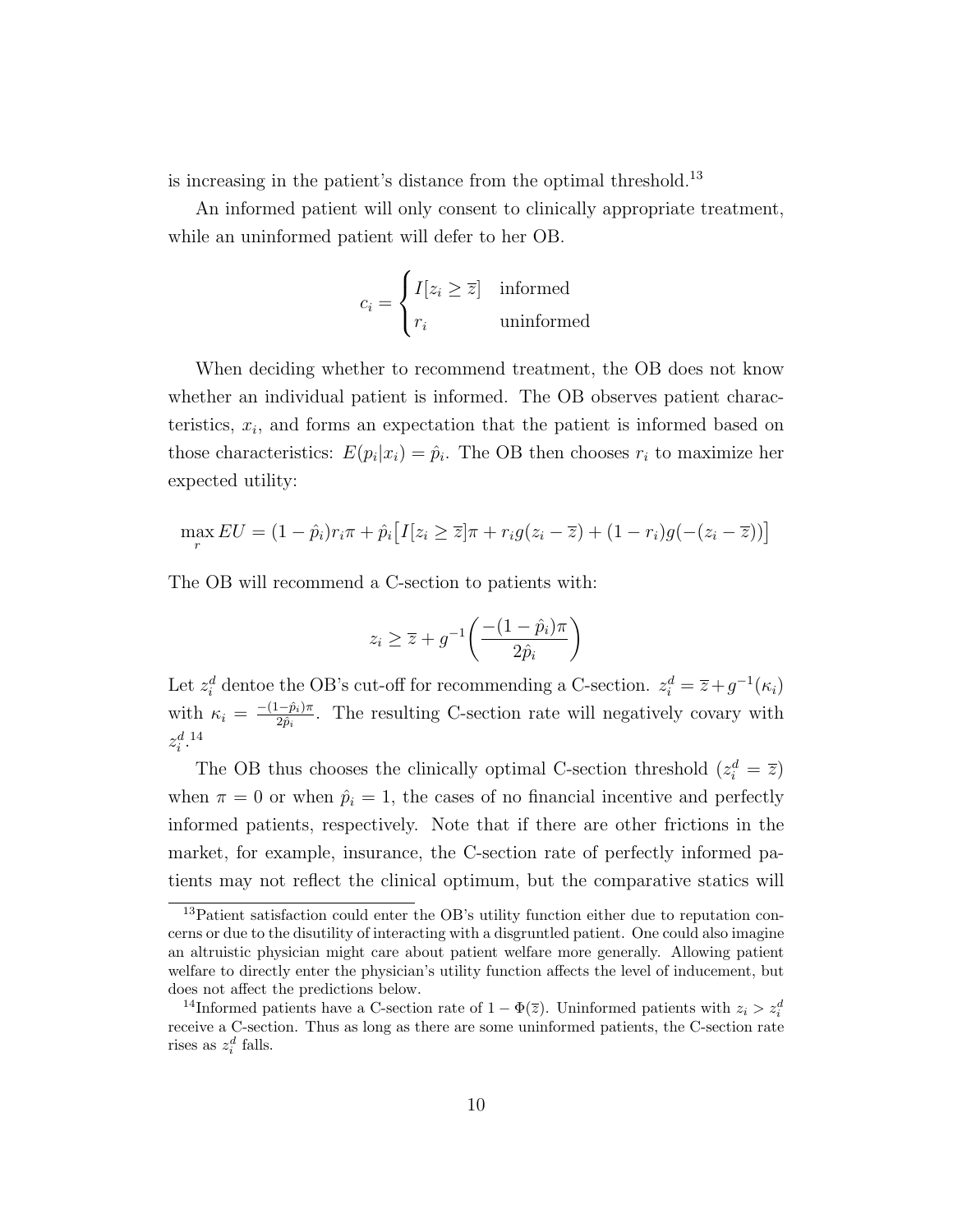is increasing in the patient's distance from the optimal threshold.<sup>13</sup>

An informed patient will only consent to clinically appropriate treatment, while an uninformed patient will defer to her OB.

$$
c_i = \begin{cases} I[z_i \ge \overline{z}] & \text{informed} \\ r_i & \text{uninformed} \end{cases}
$$

When deciding whether to recommend treatment, the OB does not know whether an individual patient is informed. The OB observes patient characteristics,  $x_i$ , and forms an expectation that the patient is informed based on those characteristics:  $E(p_i|x_i) = \hat{p}_i$ . The OB then chooses  $r_i$  to maximize her expected utility:

$$
\max_{r} EU = (1 - \hat{p}_i)r_i\pi + \hat{p}_i[I[z_i \geq \overline{z}]\pi + r_ig(z_i - \overline{z}) + (1 - r_i)g(-(z_i - \overline{z}))]
$$

The OB will recommend a C-section to patients with:

$$
z_i \ge \overline{z} + g^{-1} \left( \frac{-(1-\hat{p}_i)\pi}{2\hat{p}_i} \right)
$$

Let  $z_i^d$  dentoe the OB's cut-off for recommending a C-section.  $z_i^d = \overline{z} + g^{-1}(\kappa_i)$ with  $\kappa_i = \frac{-(1-\hat{p}_i)\pi}{2\hat{n}_i}$  $\frac{(-p_i)\pi}{2\hat{p}_i}$ . The resulting C-section rate will negatively covary with  $z_i^{d.14}$ 

The OB thus chooses the clinically optimal C-section threshold  $(z_i^d = \overline{z})$ when  $\pi = 0$  or when  $\hat{p}_i = 1$ , the cases of no financial incentive and perfectly informed patients, respectively. Note that if there are other frictions in the market, for example, insurance, the C-section rate of perfectly informed patients may not reflect the clinical optimum, but the comparative statics will

<sup>13</sup>Patient satisfaction could enter the OB's utility function either due to reputation concerns or due to the disutility of interacting with a disgruntled patient. One could also imagine an altruistic physician might care about patient welfare more generally. Allowing patient welfare to directly enter the physician's utility function affects the level of inducement, but does not affect the predictions below.

<sup>&</sup>lt;sup>14</sup>Informed patients have a C-section rate of  $1 - \Phi(\overline{z})$ . Uninformed patients with  $z_i > z_i^d$ receive a C-section. Thus as long as there are some uninformed patients, the C-section rate rises as  $z_i^d$  falls.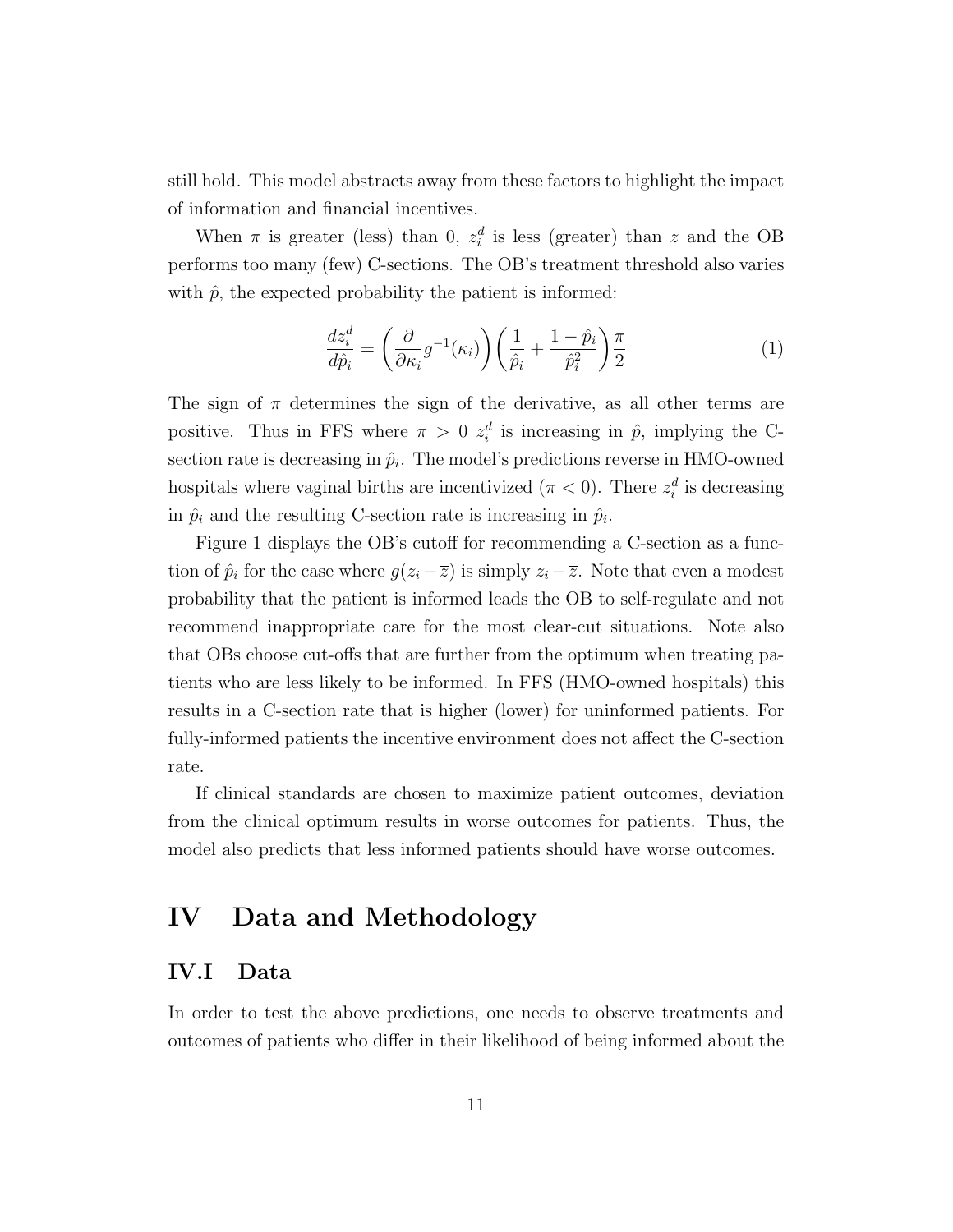still hold. This model abstracts away from these factors to highlight the impact of information and financial incentives.

When  $\pi$  is greater (less) than 0,  $z_i^d$  is less (greater) than  $\overline{z}$  and the OB performs too many (few) C-sections. The OB's treatment threshold also varies with  $\hat{p}$ , the expected probability the patient is informed:

$$
\frac{dz_i^d}{d\hat{p}_i} = \left(\frac{\partial}{\partial \kappa_i} g^{-1}(\kappa_i)\right) \left(\frac{1}{\hat{p}_i} + \frac{1-\hat{p}_i}{\hat{p}_i^2}\right) \frac{\pi}{2}
$$
(1)

The sign of  $\pi$  determines the sign of the derivative, as all other terms are positive. Thus in FFS where  $\pi > 0$   $z_i^d$  is increasing in  $\hat{p}$ , implying the Csection rate is decreasing in  $\hat{p}_i$ . The model's predictions reverse in HMO-owned hospitals where vaginal births are incentivized ( $\pi < 0$ ). There  $z_i^d$  is decreasing in  $\hat{p}_i$  and the resulting C-section rate is increasing in  $\hat{p}_i$ .

Figure 1 displays the OB's cutoff for recommending a C-section as a function of  $\hat{p}_i$  for the case where  $g(z_i - \overline{z})$  is simply  $z_i - \overline{z}$ . Note that even a modest probability that the patient is informed leads the OB to self-regulate and not recommend inappropriate care for the most clear-cut situations. Note also that OBs choose cut-offs that are further from the optimum when treating patients who are less likely to be informed. In FFS (HMO-owned hospitals) this results in a C-section rate that is higher (lower) for uninformed patients. For fully-informed patients the incentive environment does not affect the C-section rate.

If clinical standards are chosen to maximize patient outcomes, deviation from the clinical optimum results in worse outcomes for patients. Thus, the model also predicts that less informed patients should have worse outcomes.

## IV Data and Methodology

#### IV.I Data

In order to test the above predictions, one needs to observe treatments and outcomes of patients who differ in their likelihood of being informed about the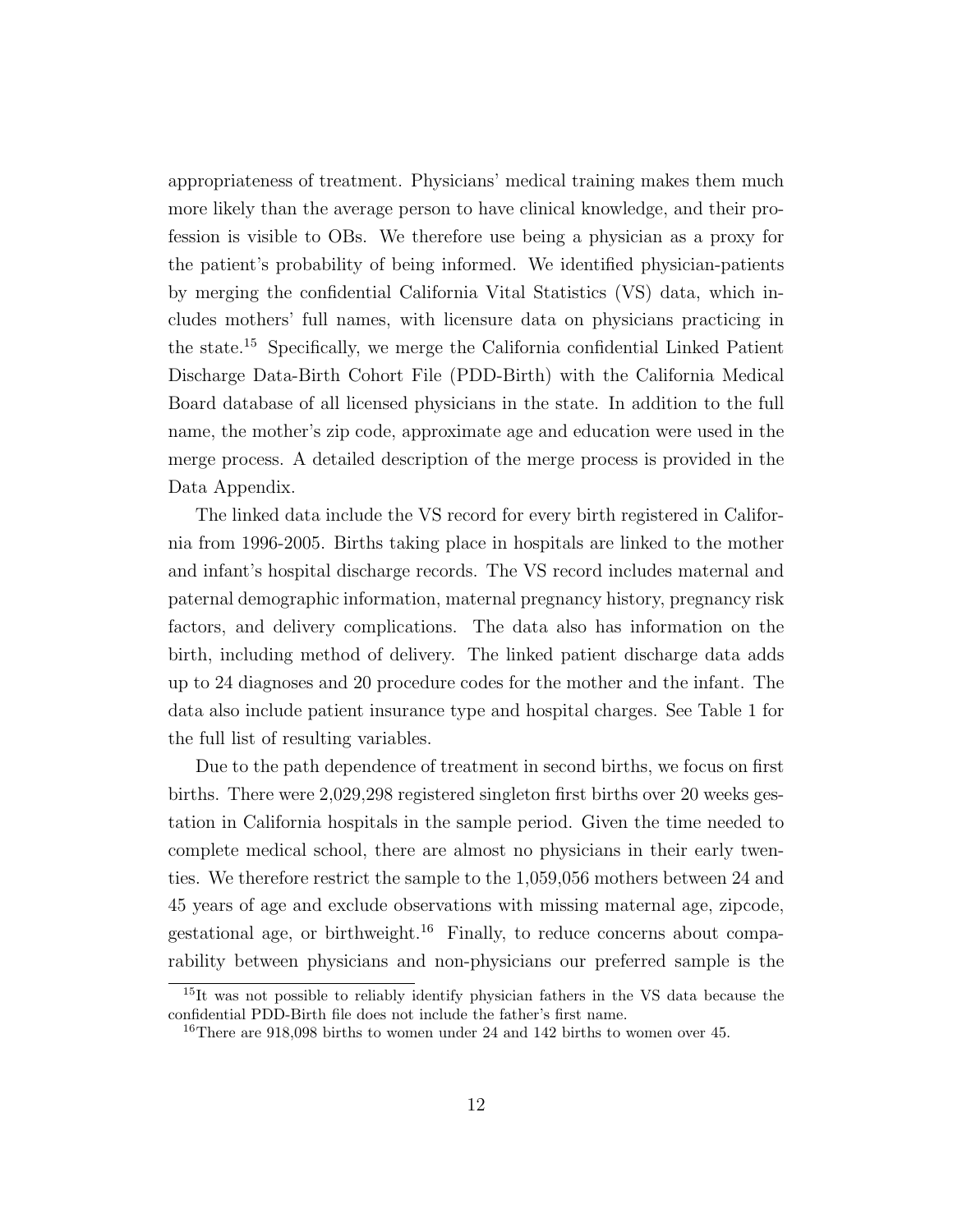appropriateness of treatment. Physicians' medical training makes them much more likely than the average person to have clinical knowledge, and their profession is visible to OBs. We therefore use being a physician as a proxy for the patient's probability of being informed. We identified physician-patients by merging the confidential California Vital Statistics (VS) data, which includes mothers' full names, with licensure data on physicians practicing in the state.<sup>15</sup> Specifically, we merge the California confidential Linked Patient Discharge Data-Birth Cohort File (PDD-Birth) with the California Medical Board database of all licensed physicians in the state. In addition to the full name, the mother's zip code, approximate age and education were used in the merge process. A detailed description of the merge process is provided in the Data Appendix.

The linked data include the VS record for every birth registered in California from 1996-2005. Births taking place in hospitals are linked to the mother and infant's hospital discharge records. The VS record includes maternal and paternal demographic information, maternal pregnancy history, pregnancy risk factors, and delivery complications. The data also has information on the birth, including method of delivery. The linked patient discharge data adds up to 24 diagnoses and 20 procedure codes for the mother and the infant. The data also include patient insurance type and hospital charges. See Table 1 for the full list of resulting variables.

Due to the path dependence of treatment in second births, we focus on first births. There were 2,029,298 registered singleton first births over 20 weeks gestation in California hospitals in the sample period. Given the time needed to complete medical school, there are almost no physicians in their early twenties. We therefore restrict the sample to the 1,059,056 mothers between 24 and 45 years of age and exclude observations with missing maternal age, zipcode, gestational age, or birthweight.<sup>16</sup> Finally, to reduce concerns about comparability between physicians and non-physicians our preferred sample is the

<sup>15</sup>It was not possible to reliably identify physician fathers in the VS data because the confidential PDD-Birth file does not include the father's first name.

<sup>16</sup>There are 918,098 births to women under 24 and 142 births to women over 45.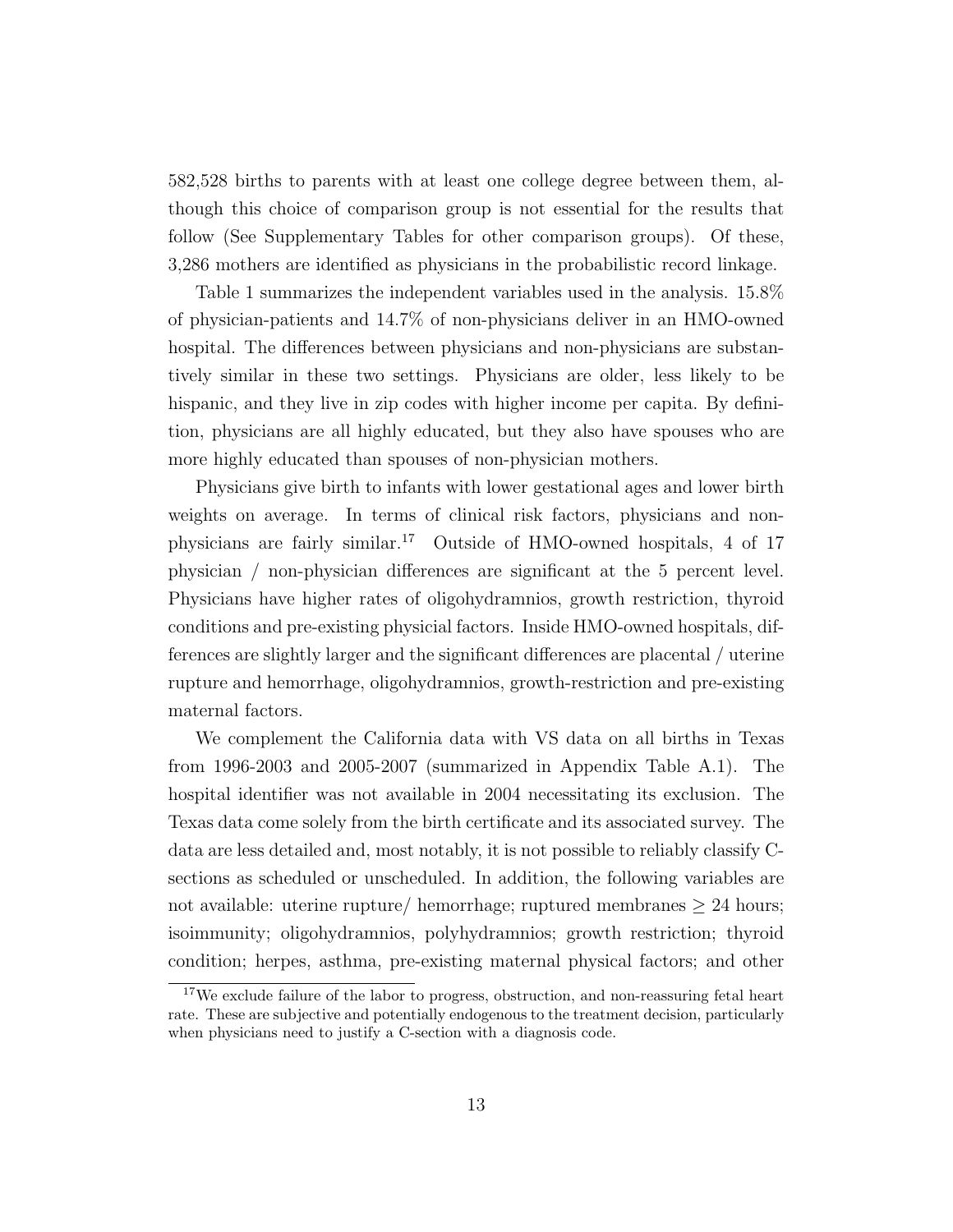582,528 births to parents with at least one college degree between them, although this choice of comparison group is not essential for the results that follow (See Supplementary Tables for other comparison groups). Of these, 3,286 mothers are identified as physicians in the probabilistic record linkage.

Table 1 summarizes the independent variables used in the analysis. 15.8% of physician-patients and 14.7% of non-physicians deliver in an HMO-owned hospital. The differences between physicians and non-physicians are substantively similar in these two settings. Physicians are older, less likely to be hispanic, and they live in zip codes with higher income per capita. By definition, physicians are all highly educated, but they also have spouses who are more highly educated than spouses of non-physician mothers.

Physicians give birth to infants with lower gestational ages and lower birth weights on average. In terms of clinical risk factors, physicians and nonphysicians are fairly similar.<sup>17</sup> Outside of HMO-owned hospitals, 4 of 17 physician / non-physician differences are significant at the 5 percent level. Physicians have higher rates of oligohydramnios, growth restriction, thyroid conditions and pre-existing physicial factors. Inside HMO-owned hospitals, differences are slightly larger and the significant differences are placental / uterine rupture and hemorrhage, oligohydramnios, growth-restriction and pre-existing maternal factors.

We complement the California data with VS data on all births in Texas from 1996-2003 and 2005-2007 (summarized in Appendix Table A.1). The hospital identifier was not available in 2004 necessitating its exclusion. The Texas data come solely from the birth certificate and its associated survey. The data are less detailed and, most notably, it is not possible to reliably classify Csections as scheduled or unscheduled. In addition, the following variables are not available: uterine rupture/ hemorrhage; ruptured membranes  $\geq 24$  hours; isoimmunity; oligohydramnios, polyhydramnios; growth restriction; thyroid condition; herpes, asthma, pre-existing maternal physical factors; and other

<sup>&</sup>lt;sup>17</sup>We exclude failure of the labor to progress, obstruction, and non-reassuring fetal heart rate. These are subjective and potentially endogenous to the treatment decision, particularly when physicians need to justify a C-section with a diagnosis code.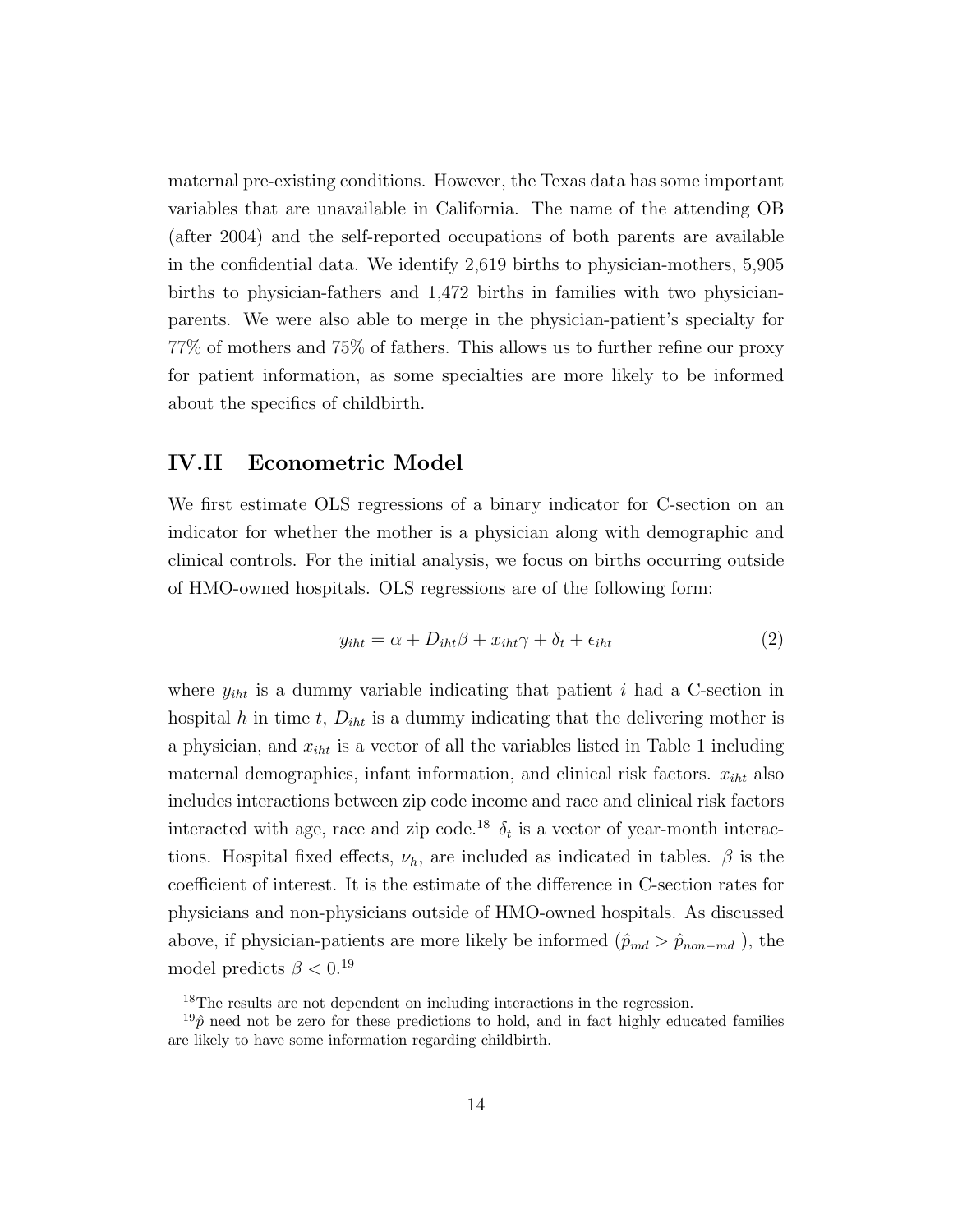maternal pre-existing conditions. However, the Texas data has some important variables that are unavailable in California. The name of the attending OB (after 2004) and the self-reported occupations of both parents are available in the confidential data. We identify 2,619 births to physician-mothers, 5,905 births to physician-fathers and 1,472 births in families with two physicianparents. We were also able to merge in the physician-patient's specialty for 77% of mothers and 75% of fathers. This allows us to further refine our proxy for patient information, as some specialties are more likely to be informed about the specifics of childbirth.

#### IV.II Econometric Model

We first estimate OLS regressions of a binary indicator for C-section on an indicator for whether the mother is a physician along with demographic and clinical controls. For the initial analysis, we focus on births occurring outside of HMO-owned hospitals. OLS regressions are of the following form:

$$
y_{iht} = \alpha + D_{iht}\beta + x_{iht}\gamma + \delta_t + \epsilon_{iht}
$$
\n<sup>(2)</sup>

where  $y_{iht}$  is a dummy variable indicating that patient i had a C-section in hospital h in time t,  $D_{iht}$  is a dummy indicating that the delivering mother is a physician, and  $x_{iht}$  is a vector of all the variables listed in Table 1 including maternal demographics, infant information, and clinical risk factors.  $x_{iht}$  also includes interactions between zip code income and race and clinical risk factors interacted with age, race and zip code.<sup>18</sup>  $\delta_t$  is a vector of year-month interactions. Hospital fixed effects,  $\nu_h$ , are included as indicated in tables.  $\beta$  is the coefficient of interest. It is the estimate of the difference in C-section rates for physicians and non-physicians outside of HMO-owned hospitals. As discussed above, if physician-patients are more likely be informed  $(\hat{p}_{md} > \hat{p}_{non-md})$ , the model predicts  $\beta < 0$ .<sup>19</sup>

<sup>&</sup>lt;sup>18</sup>The results are not dependent on including interactions in the regression.

 $19\hat{p}$  need not be zero for these predictions to hold, and in fact highly educated families are likely to have some information regarding childbirth.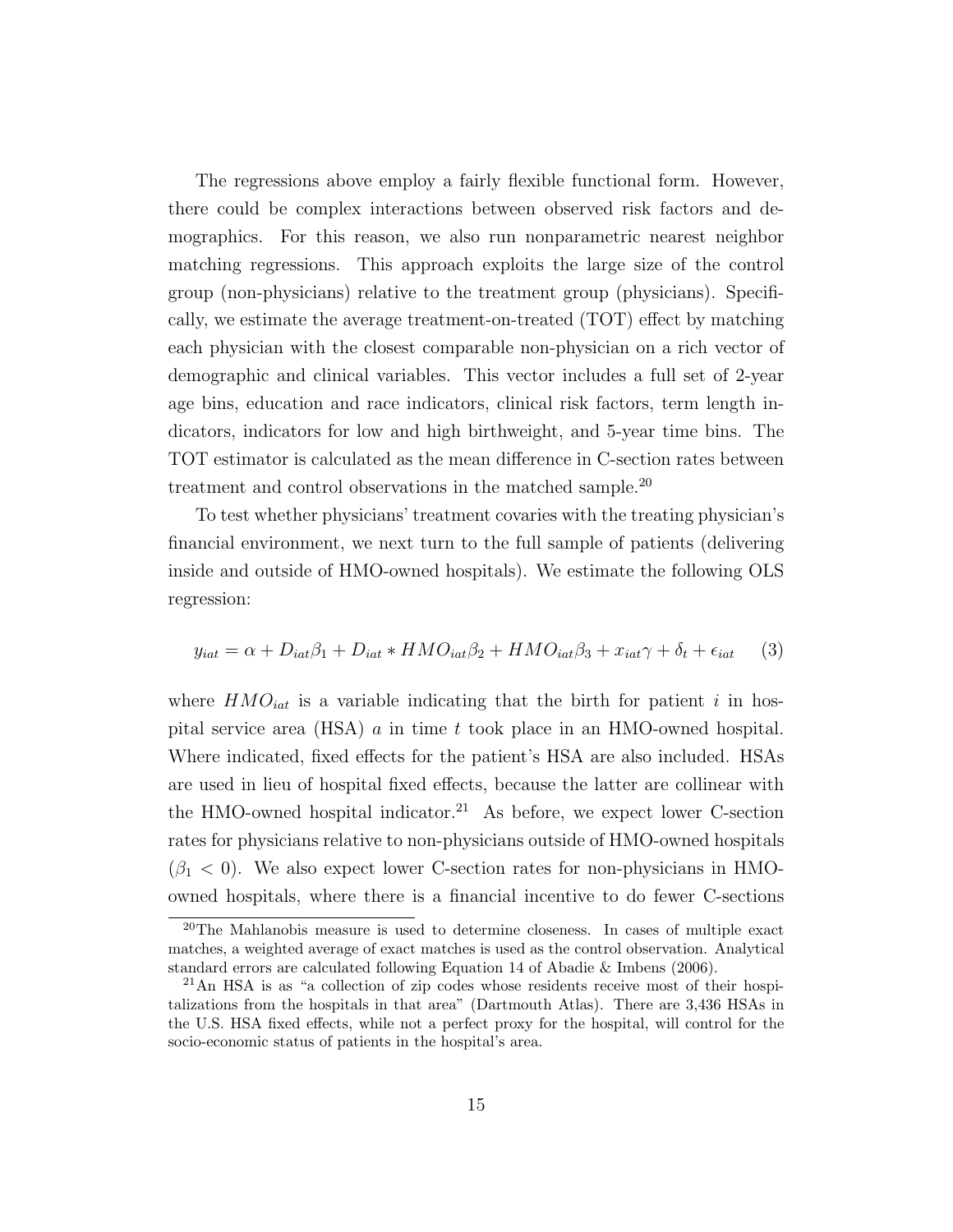The regressions above employ a fairly flexible functional form. However, there could be complex interactions between observed risk factors and demographics. For this reason, we also run nonparametric nearest neighbor matching regressions. This approach exploits the large size of the control group (non-physicians) relative to the treatment group (physicians). Specifically, we estimate the average treatment-on-treated (TOT) effect by matching each physician with the closest comparable non-physician on a rich vector of demographic and clinical variables. This vector includes a full set of 2-year age bins, education and race indicators, clinical risk factors, term length indicators, indicators for low and high birthweight, and 5-year time bins. The TOT estimator is calculated as the mean difference in C-section rates between treatment and control observations in the matched sample.<sup>20</sup>

To test whether physicians' treatment covaries with the treating physician's financial environment, we next turn to the full sample of patients (delivering inside and outside of HMO-owned hospitals). We estimate the following OLS regression:

$$
y_{iat} = \alpha + D_{iat}\beta_1 + D_{iat} * HMO_{iat}\beta_2 + HMO_{iat}\beta_3 + x_{iat}\gamma + \delta_t + \epsilon_{iat} \tag{3}
$$

where  $HMO_{iat}$  is a variable indicating that the birth for patient i in hospital service area (HSA) a in time t took place in an HMO-owned hospital. Where indicated, fixed effects for the patient's HSA are also included. HSAs are used in lieu of hospital fixed effects, because the latter are collinear with the HMO-owned hospital indicator.<sup>21</sup> As before, we expect lower C-section rates for physicians relative to non-physicians outside of HMO-owned hospitals  $(\beta_1 < 0)$ . We also expect lower C-section rates for non-physicians in HMOowned hospitals, where there is a financial incentive to do fewer C-sections

<sup>20</sup>The Mahlanobis measure is used to determine closeness. In cases of multiple exact matches, a weighted average of exact matches is used as the control observation. Analytical standard errors are calculated following Equation 14 of Abadie & Imbens (2006).

<sup>21</sup>An HSA is as "a collection of zip codes whose residents receive most of their hospitalizations from the hospitals in that area" (Dartmouth Atlas). There are 3,436 HSAs in the U.S. HSA fixed effects, while not a perfect proxy for the hospital, will control for the socio-economic status of patients in the hospital's area.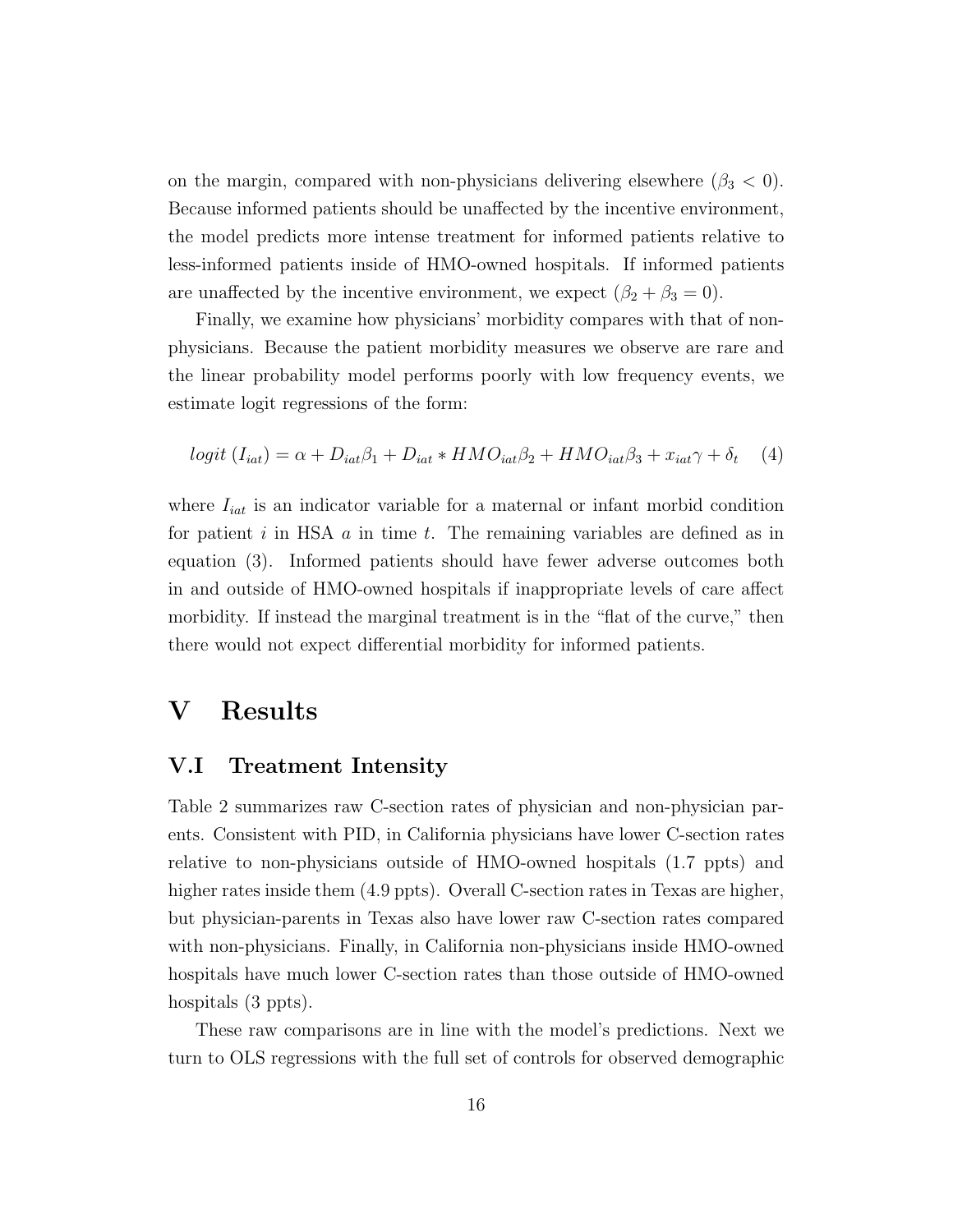on the margin, compared with non-physicians delivering elsewhere  $(\beta_3 < 0)$ . Because informed patients should be unaffected by the incentive environment, the model predicts more intense treatment for informed patients relative to less-informed patients inside of HMO-owned hospitals. If informed patients are unaffected by the incentive environment, we expect  $(\beta_2 + \beta_3 = 0)$ .

Finally, we examine how physicians' morbidity compares with that of nonphysicians. Because the patient morbidity measures we observe are rare and the linear probability model performs poorly with low frequency events, we estimate logit regressions of the form:

$$
logit (Iiat) = \alpha + Diat\beta_1 + Diat * HMOiat\beta_2 + HMOiat\beta_3 + xiat\gamma + \delta_t
$$
 (4)

where  $I_{iat}$  is an indicator variable for a maternal or infant morbid condition for patient  $i$  in HSA  $a$  in time  $t$ . The remaining variables are defined as in equation (3). Informed patients should have fewer adverse outcomes both in and outside of HMO-owned hospitals if inappropriate levels of care affect morbidity. If instead the marginal treatment is in the "flat of the curve," then there would not expect differential morbidity for informed patients.

### V Results

#### V.I Treatment Intensity

Table 2 summarizes raw C-section rates of physician and non-physician parents. Consistent with PID, in California physicians have lower C-section rates relative to non-physicians outside of HMO-owned hospitals (1.7 ppts) and higher rates inside them  $(4.9 \text{ ppts})$ . Overall C-section rates in Texas are higher, but physician-parents in Texas also have lower raw C-section rates compared with non-physicians. Finally, in California non-physicians inside HMO-owned hospitals have much lower C-section rates than those outside of HMO-owned hospitals  $(3 \text{ ppts})$ .

These raw comparisons are in line with the model's predictions. Next we turn to OLS regressions with the full set of controls for observed demographic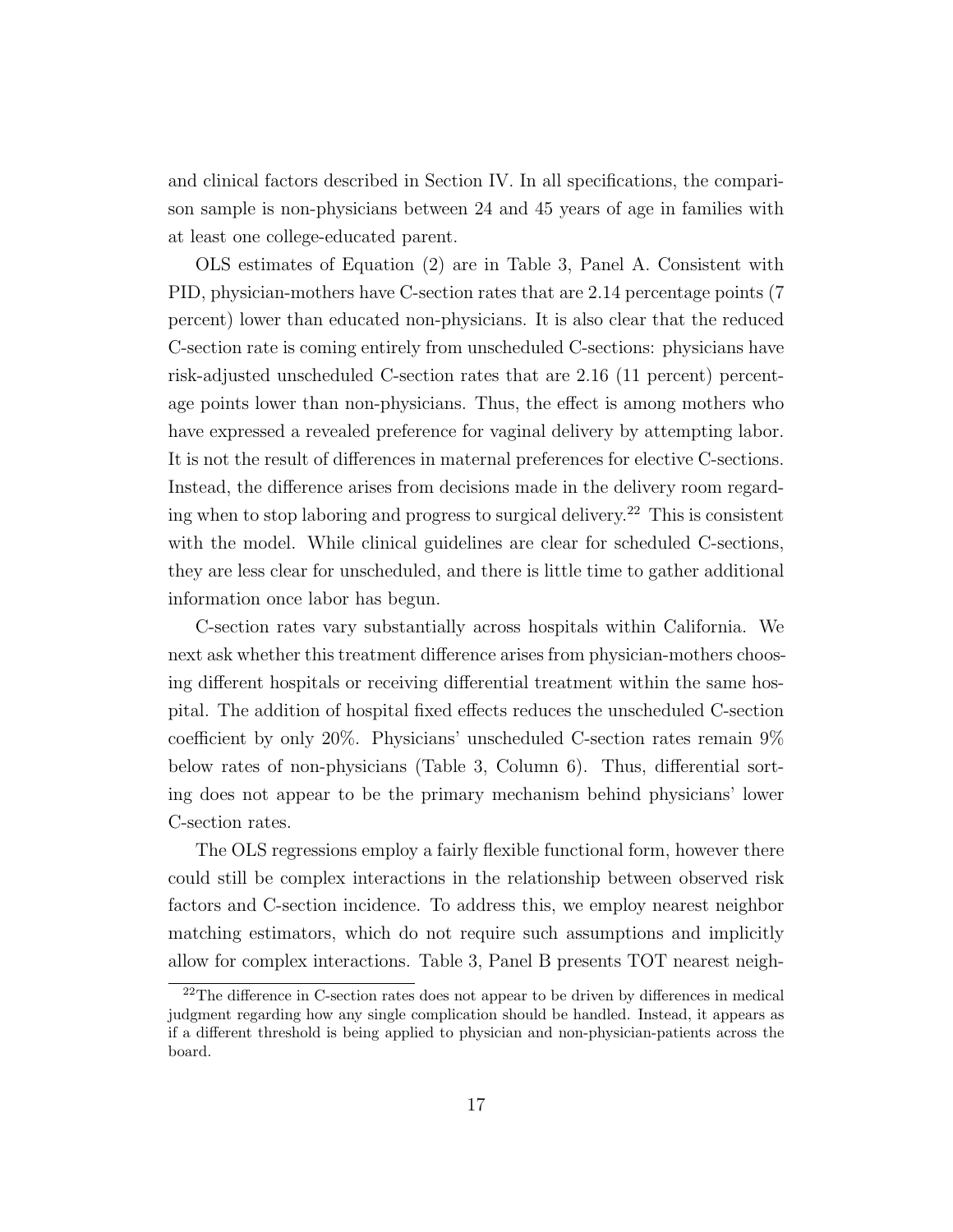and clinical factors described in Section IV. In all specifications, the comparison sample is non-physicians between 24 and 45 years of age in families with at least one college-educated parent.

OLS estimates of Equation (2) are in Table 3, Panel A. Consistent with PID, physician-mothers have C-section rates that are 2.14 percentage points (7 percent) lower than educated non-physicians. It is also clear that the reduced C-section rate is coming entirely from unscheduled C-sections: physicians have risk-adjusted unscheduled C-section rates that are 2.16 (11 percent) percentage points lower than non-physicians. Thus, the effect is among mothers who have expressed a revealed preference for vaginal delivery by attempting labor. It is not the result of differences in maternal preferences for elective C-sections. Instead, the difference arises from decisions made in the delivery room regarding when to stop laboring and progress to surgical delivery.<sup>22</sup> This is consistent with the model. While clinical guidelines are clear for scheduled C-sections, they are less clear for unscheduled, and there is little time to gather additional information once labor has begun.

C-section rates vary substantially across hospitals within California. We next ask whether this treatment difference arises from physician-mothers choosing different hospitals or receiving differential treatment within the same hospital. The addition of hospital fixed effects reduces the unscheduled C-section coefficient by only 20%. Physicians' unscheduled C-section rates remain 9% below rates of non-physicians (Table 3, Column 6). Thus, differential sorting does not appear to be the primary mechanism behind physicians' lower C-section rates.

The OLS regressions employ a fairly flexible functional form, however there could still be complex interactions in the relationship between observed risk factors and C-section incidence. To address this, we employ nearest neighbor matching estimators, which do not require such assumptions and implicitly allow for complex interactions. Table 3, Panel B presents TOT nearest neigh-

<sup>22</sup>The difference in C-section rates does not appear to be driven by differences in medical judgment regarding how any single complication should be handled. Instead, it appears as if a different threshold is being applied to physician and non-physician-patients across the board.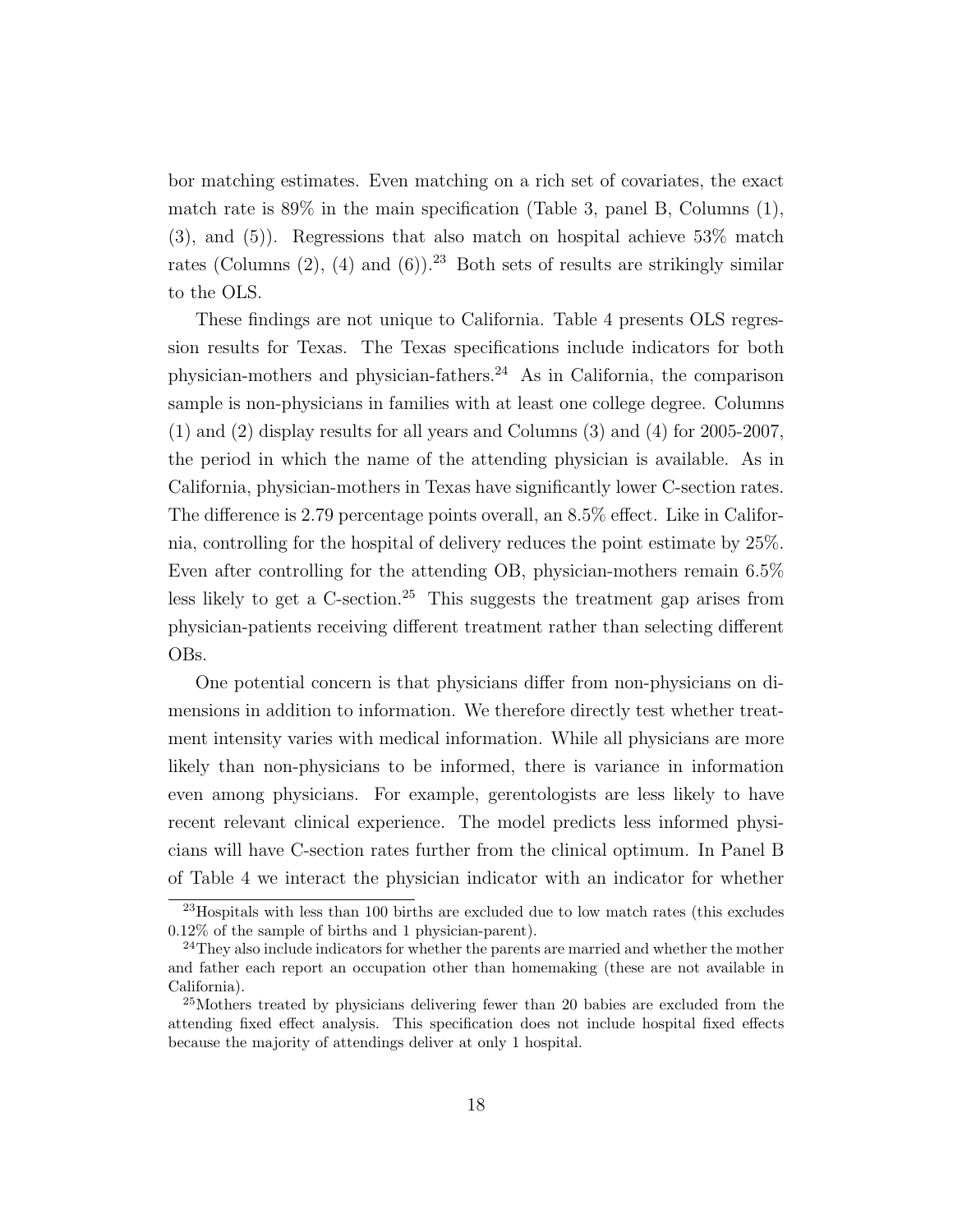bor matching estimates. Even matching on a rich set of covariates, the exact match rate is  $89\%$  in the main specification (Table 3, panel B, Columns  $(1)$ , (3), and (5)). Regressions that also match on hospital achieve 53% match rates (Columns  $(2)$ ,  $(4)$  and  $(6)$ ).<sup>23</sup> Both sets of results are strikingly similar to the OLS.

These findings are not unique to California. Table 4 presents OLS regression results for Texas. The Texas specifications include indicators for both physician-mothers and physician-fathers.<sup>24</sup> As in California, the comparison sample is non-physicians in families with at least one college degree. Columns (1) and (2) display results for all years and Columns (3) and (4) for 2005-2007, the period in which the name of the attending physician is available. As in California, physician-mothers in Texas have significantly lower C-section rates. The difference is 2.79 percentage points overall, an 8.5% effect. Like in California, controlling for the hospital of delivery reduces the point estimate by 25%. Even after controlling for the attending OB, physician-mothers remain 6.5% less likely to get a  $C$ -section.<sup>25</sup> This suggests the treatment gap arises from physician-patients receiving different treatment rather than selecting different OBs.

One potential concern is that physicians differ from non-physicians on dimensions in addition to information. We therefore directly test whether treatment intensity varies with medical information. While all physicians are more likely than non-physicians to be informed, there is variance in information even among physicians. For example, gerentologists are less likely to have recent relevant clinical experience. The model predicts less informed physicians will have C-section rates further from the clinical optimum. In Panel B of Table 4 we interact the physician indicator with an indicator for whether

 $^{23}$ Hospitals with less than 100 births are excluded due to low match rates (this excludes 0.12% of the sample of births and 1 physician-parent).

 $24$ They also include indicators for whether the parents are married and whether the mother and father each report an occupation other than homemaking (these are not available in California).

<sup>&</sup>lt;sup>25</sup>Mothers treated by physicians delivering fewer than 20 babies are excluded from the attending fixed effect analysis. This specification does not include hospital fixed effects because the majority of attendings deliver at only 1 hospital.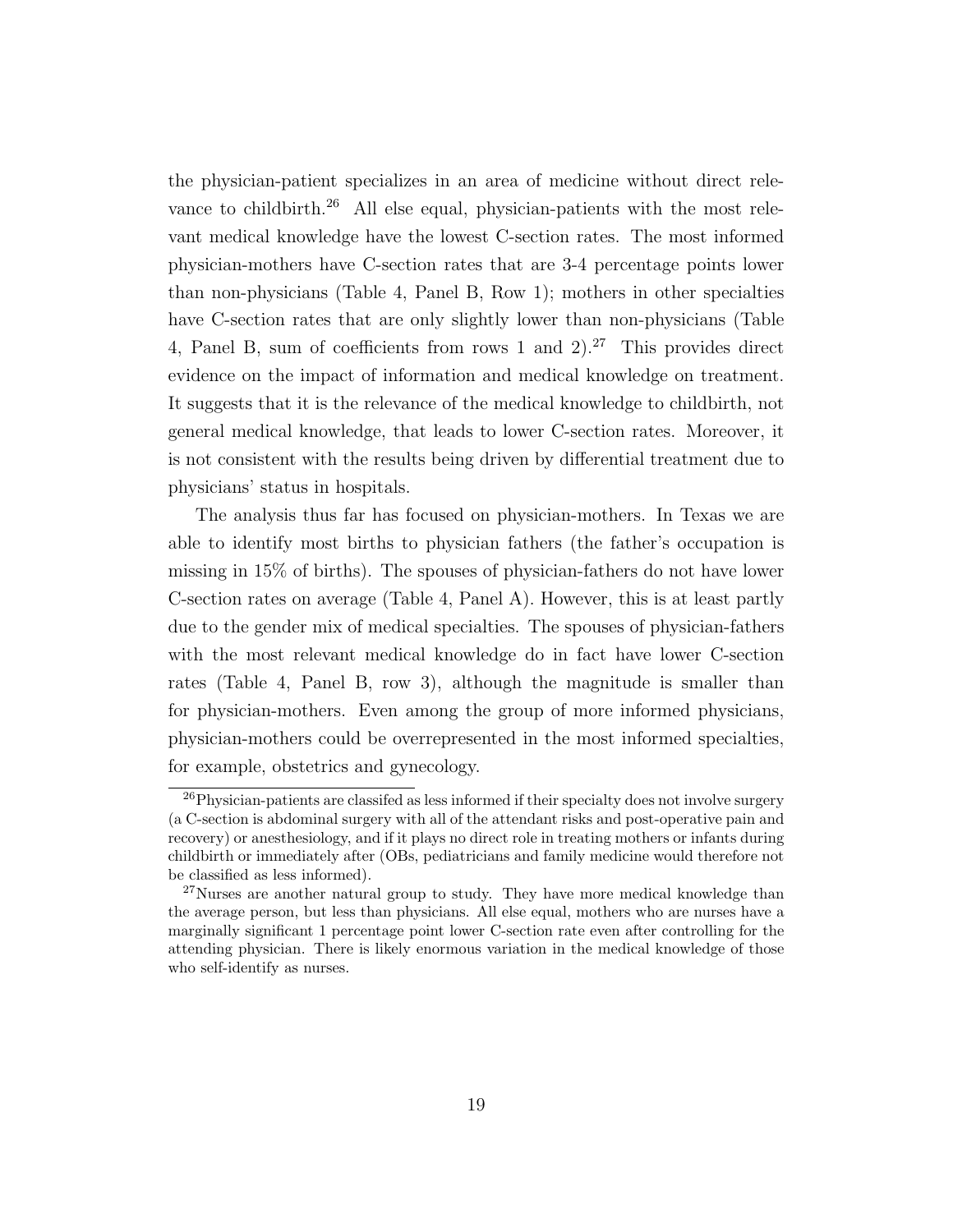the physician-patient specializes in an area of medicine without direct relevance to childbirth.<sup>26</sup> All else equal, physician-patients with the most relevant medical knowledge have the lowest C-section rates. The most informed physician-mothers have C-section rates that are 3-4 percentage points lower than non-physicians (Table 4, Panel B, Row 1); mothers in other specialties have C-section rates that are only slightly lower than non-physicians (Table 4, Panel B, sum of coefficients from rows 1 and  $2^{27}$  This provides direct evidence on the impact of information and medical knowledge on treatment. It suggests that it is the relevance of the medical knowledge to childbirth, not general medical knowledge, that leads to lower C-section rates. Moreover, it is not consistent with the results being driven by differential treatment due to physicians' status in hospitals.

The analysis thus far has focused on physician-mothers. In Texas we are able to identify most births to physician fathers (the father's occupation is missing in 15% of births). The spouses of physician-fathers do not have lower C-section rates on average (Table 4, Panel A). However, this is at least partly due to the gender mix of medical specialties. The spouses of physician-fathers with the most relevant medical knowledge do in fact have lower C-section rates (Table 4, Panel B, row 3), although the magnitude is smaller than for physician-mothers. Even among the group of more informed physicians, physician-mothers could be overrepresented in the most informed specialties, for example, obstetrics and gynecology.

<sup>&</sup>lt;sup>26</sup>Physician-patients are classifed as less informed if their specialty does not involve surgery (a C-section is abdominal surgery with all of the attendant risks and post-operative pain and recovery) or anesthesiology, and if it plays no direct role in treating mothers or infants during childbirth or immediately after (OBs, pediatricians and family medicine would therefore not be classified as less informed).

<sup>&</sup>lt;sup>27</sup>Nurses are another natural group to study. They have more medical knowledge than the average person, but less than physicians. All else equal, mothers who are nurses have a marginally significant 1 percentage point lower C-section rate even after controlling for the attending physician. There is likely enormous variation in the medical knowledge of those who self-identify as nurses.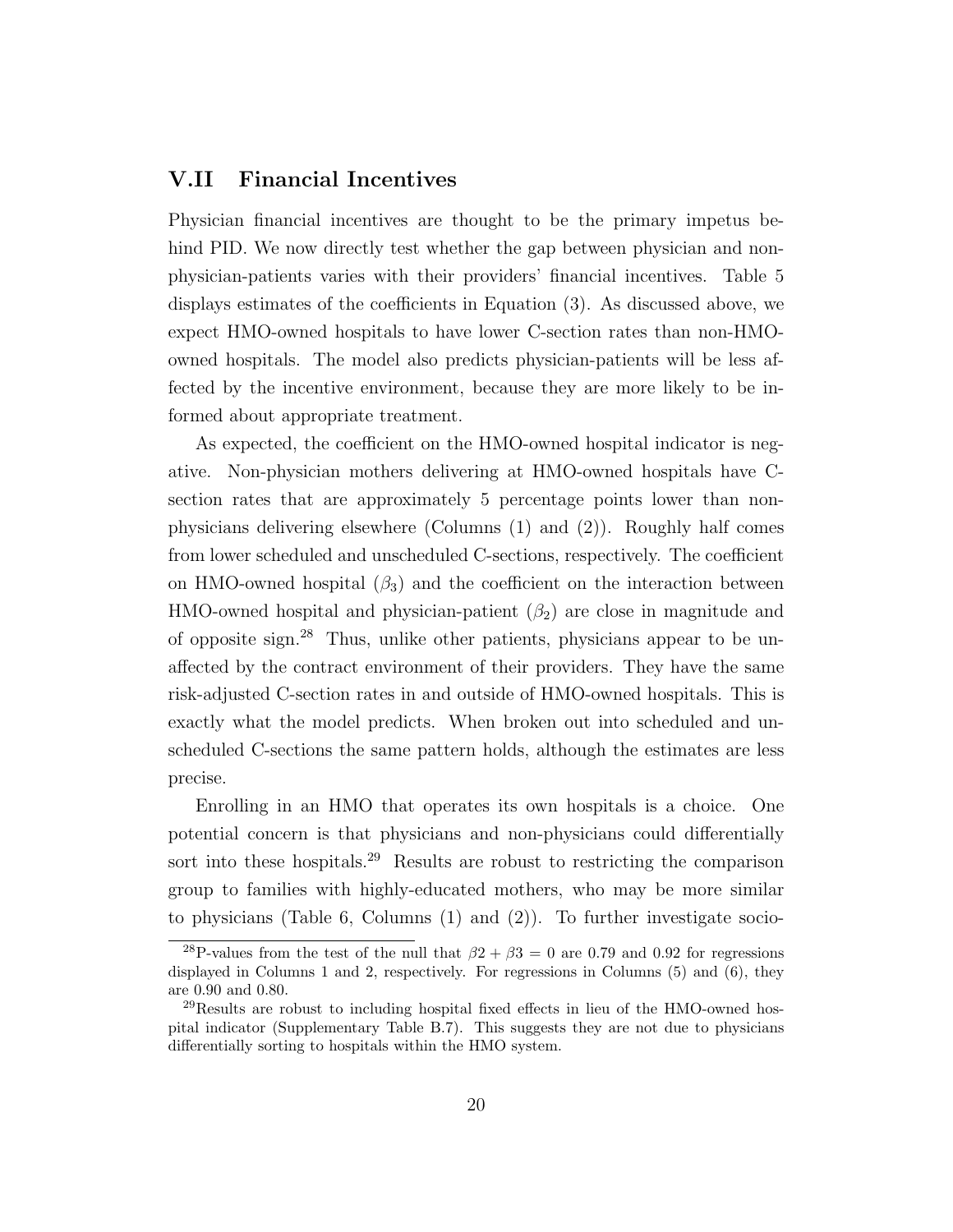#### V.II Financial Incentives

Physician financial incentives are thought to be the primary impetus behind PID. We now directly test whether the gap between physician and nonphysician-patients varies with their providers' financial incentives. Table 5 displays estimates of the coefficients in Equation (3). As discussed above, we expect HMO-owned hospitals to have lower C-section rates than non-HMOowned hospitals. The model also predicts physician-patients will be less affected by the incentive environment, because they are more likely to be informed about appropriate treatment.

As expected, the coefficient on the HMO-owned hospital indicator is negative. Non-physician mothers delivering at HMO-owned hospitals have Csection rates that are approximately 5 percentage points lower than nonphysicians delivering elsewhere (Columns (1) and (2)). Roughly half comes from lower scheduled and unscheduled C-sections, respectively. The coefficient on HMO-owned hospital  $(\beta_3)$  and the coefficient on the interaction between HMO-owned hospital and physician-patient  $(\beta_2)$  are close in magnitude and of opposite sign.<sup>28</sup> Thus, unlike other patients, physicians appear to be unaffected by the contract environment of their providers. They have the same risk-adjusted C-section rates in and outside of HMO-owned hospitals. This is exactly what the model predicts. When broken out into scheduled and unscheduled C-sections the same pattern holds, although the estimates are less precise.

Enrolling in an HMO that operates its own hospitals is a choice. One potential concern is that physicians and non-physicians could differentially sort into these hospitals.<sup>29</sup> Results are robust to restricting the comparison group to families with highly-educated mothers, who may be more similar to physicians (Table 6, Columns (1) and (2)). To further investigate socio-

<sup>&</sup>lt;sup>28</sup>P-values from the test of the null that  $\beta$ 2 +  $\beta$ 3 = 0 are 0.79 and 0.92 for regressions displayed in Columns 1 and 2, respectively. For regressions in Columns (5) and (6), they are 0.90 and 0.80.

<sup>29</sup>Results are robust to including hospital fixed effects in lieu of the HMO-owned hospital indicator (Supplementary Table B.7). This suggests they are not due to physicians differentially sorting to hospitals within the HMO system.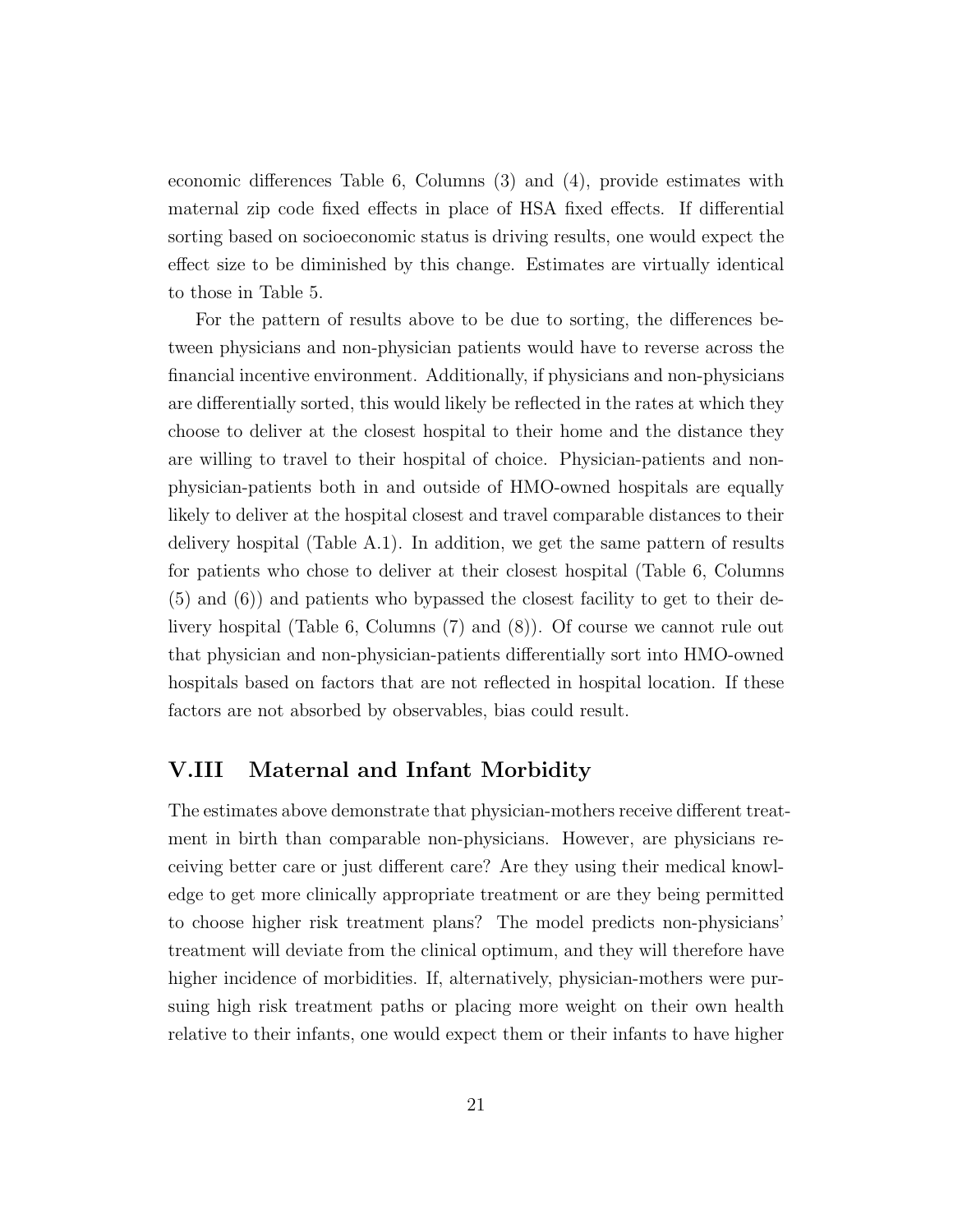economic differences Table 6, Columns (3) and (4), provide estimates with maternal zip code fixed effects in place of HSA fixed effects. If differential sorting based on socioeconomic status is driving results, one would expect the effect size to be diminished by this change. Estimates are virtually identical to those in Table 5.

For the pattern of results above to be due to sorting, the differences between physicians and non-physician patients would have to reverse across the financial incentive environment. Additionally, if physicians and non-physicians are differentially sorted, this would likely be reflected in the rates at which they choose to deliver at the closest hospital to their home and the distance they are willing to travel to their hospital of choice. Physician-patients and nonphysician-patients both in and outside of HMO-owned hospitals are equally likely to deliver at the hospital closest and travel comparable distances to their delivery hospital (Table A.1). In addition, we get the same pattern of results for patients who chose to deliver at their closest hospital (Table 6, Columns (5) and (6)) and patients who bypassed the closest facility to get to their delivery hospital (Table 6, Columns (7) and (8)). Of course we cannot rule out that physician and non-physician-patients differentially sort into HMO-owned hospitals based on factors that are not reflected in hospital location. If these factors are not absorbed by observables, bias could result.

#### V.III Maternal and Infant Morbidity

The estimates above demonstrate that physician-mothers receive different treatment in birth than comparable non-physicians. However, are physicians receiving better care or just different care? Are they using their medical knowledge to get more clinically appropriate treatment or are they being permitted to choose higher risk treatment plans? The model predicts non-physicians' treatment will deviate from the clinical optimum, and they will therefore have higher incidence of morbidities. If, alternatively, physician-mothers were pursuing high risk treatment paths or placing more weight on their own health relative to their infants, one would expect them or their infants to have higher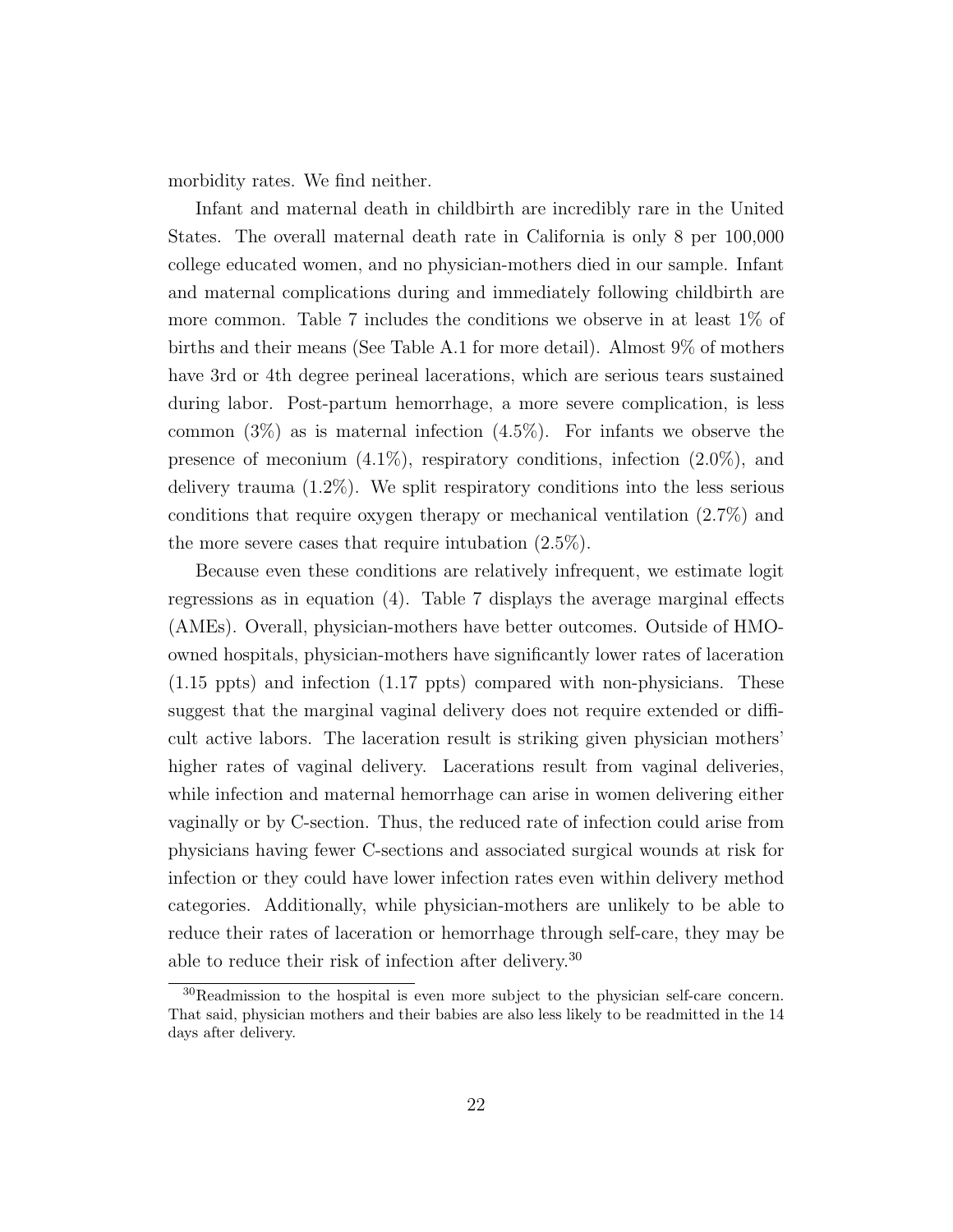morbidity rates. We find neither.

Infant and maternal death in childbirth are incredibly rare in the United States. The overall maternal death rate in California is only 8 per 100,000 college educated women, and no physician-mothers died in our sample. Infant and maternal complications during and immediately following childbirth are more common. Table 7 includes the conditions we observe in at least 1% of births and their means (See Table A.1 for more detail). Almost 9% of mothers have 3rd or 4th degree perineal lacerations, which are serious tears sustained during labor. Post-partum hemorrhage, a more severe complication, is less common  $(3\%)$  as is maternal infection  $(4.5\%)$ . For infants we observe the presence of meconium  $(4.1\%)$ , respiratory conditions, infection  $(2.0\%)$ , and delivery trauma (1.2%). We split respiratory conditions into the less serious conditions that require oxygen therapy or mechanical ventilation  $(2.7\%)$  and the more severe cases that require intubation (2.5%).

Because even these conditions are relatively infrequent, we estimate logit regressions as in equation (4). Table 7 displays the average marginal effects (AMEs). Overall, physician-mothers have better outcomes. Outside of HMOowned hospitals, physician-mothers have significantly lower rates of laceration (1.15 ppts) and infection (1.17 ppts) compared with non-physicians. These suggest that the marginal vaginal delivery does not require extended or difficult active labors. The laceration result is striking given physician mothers' higher rates of vaginal delivery. Lacerations result from vaginal deliveries, while infection and maternal hemorrhage can arise in women delivering either vaginally or by C-section. Thus, the reduced rate of infection could arise from physicians having fewer C-sections and associated surgical wounds at risk for infection or they could have lower infection rates even within delivery method categories. Additionally, while physician-mothers are unlikely to be able to reduce their rates of laceration or hemorrhage through self-care, they may be able to reduce their risk of infection after delivery.<sup>30</sup>

<sup>30</sup>Readmission to the hospital is even more subject to the physician self-care concern. That said, physician mothers and their babies are also less likely to be readmitted in the 14 days after delivery.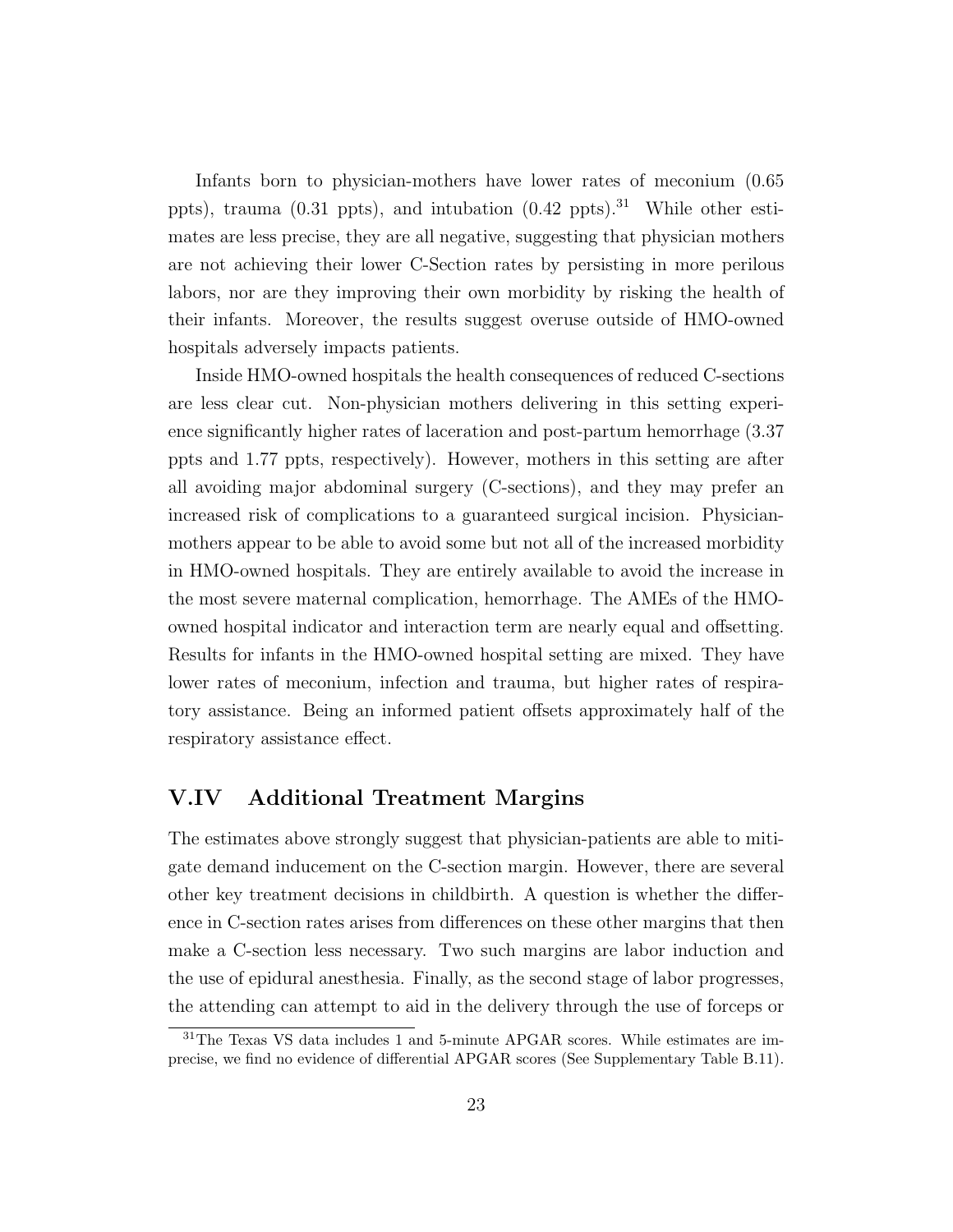Infants born to physician-mothers have lower rates of meconium (0.65 ppts), trauma (0.31 ppts), and intubation  $(0.42 \text{ ppts})^{31}$ . While other estimates are less precise, they are all negative, suggesting that physician mothers are not achieving their lower C-Section rates by persisting in more perilous labors, nor are they improving their own morbidity by risking the health of their infants. Moreover, the results suggest overuse outside of HMO-owned hospitals adversely impacts patients.

Inside HMO-owned hospitals the health consequences of reduced C-sections are less clear cut. Non-physician mothers delivering in this setting experience significantly higher rates of laceration and post-partum hemorrhage (3.37 ppts and 1.77 ppts, respectively). However, mothers in this setting are after all avoiding major abdominal surgery (C-sections), and they may prefer an increased risk of complications to a guaranteed surgical incision. Physicianmothers appear to be able to avoid some but not all of the increased morbidity in HMO-owned hospitals. They are entirely available to avoid the increase in the most severe maternal complication, hemorrhage. The AMEs of the HMOowned hospital indicator and interaction term are nearly equal and offsetting. Results for infants in the HMO-owned hospital setting are mixed. They have lower rates of meconium, infection and trauma, but higher rates of respiratory assistance. Being an informed patient offsets approximately half of the respiratory assistance effect.

### V.IV Additional Treatment Margins

The estimates above strongly suggest that physician-patients are able to mitigate demand inducement on the C-section margin. However, there are several other key treatment decisions in childbirth. A question is whether the difference in C-section rates arises from differences on these other margins that then make a C-section less necessary. Two such margins are labor induction and the use of epidural anesthesia. Finally, as the second stage of labor progresses, the attending can attempt to aid in the delivery through the use of forceps or

<sup>31</sup>The Texas VS data includes 1 and 5-minute APGAR scores. While estimates are imprecise, we find no evidence of differential APGAR scores (See Supplementary Table B.11).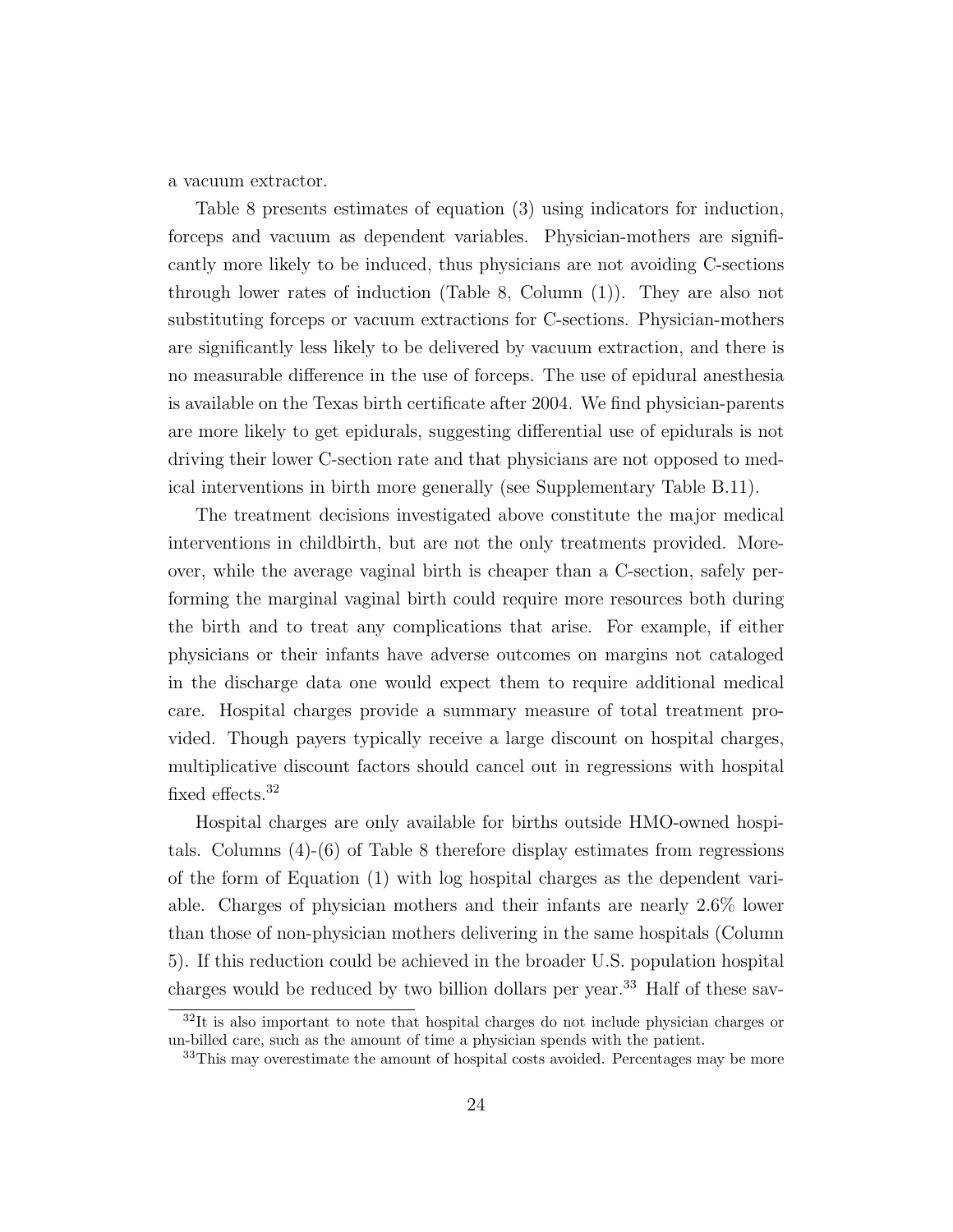a vacuum extractor.

Table 8 presents estimates of equation (3) using indicators for induction, forceps and vacuum as dependent variables. Physician-mothers are significantly more likely to be induced, thus physicians are not avoiding C-sections through lower rates of induction (Table 8, Column (1)). They are also not substituting forceps or vacuum extractions for C-sections. Physician-mothers are significantly less likely to be delivered by vacuum extraction, and there is no measurable difference in the use of forceps. The use of epidural anesthesia is available on the Texas birth certificate after 2004. We find physician-parents are more likely to get epidurals, suggesting differential use of epidurals is not driving their lower C-section rate and that physicians are not opposed to medical interventions in birth more generally (see Supplementary Table B.11).

The treatment decisions investigated above constitute the major medical interventions in childbirth, but are not the only treatments provided. Moreover, while the average vaginal birth is cheaper than a C-section, safely performing the marginal vaginal birth could require more resources both during the birth and to treat any complications that arise. For example, if either physicians or their infants have adverse outcomes on margins not cataloged in the discharge data one would expect them to require additional medical care. Hospital charges provide a summary measure of total treatment provided. Though payers typically receive a large discount on hospital charges, multiplicative discount factors should cancel out in regressions with hospital fixed effects.<sup>32</sup>

Hospital charges are only available for births outside HMO-owned hospitals. Columns (4)-(6) of Table 8 therefore display estimates from regressions of the form of Equation (1) with log hospital charges as the dependent variable. Charges of physician mothers and their infants are nearly 2.6% lower than those of non-physician mothers delivering in the same hospitals (Column 5). If this reduction could be achieved in the broader U.S. population hospital charges would be reduced by two billion dollars per year.<sup>33</sup> Half of these sav-

<sup>32</sup>It is also important to note that hospital charges do not include physician charges or un-billed care, such as the amount of time a physician spends with the patient.

<sup>&</sup>lt;sup>33</sup>This may overestimate the amount of hospital costs avoided. Percentages may be more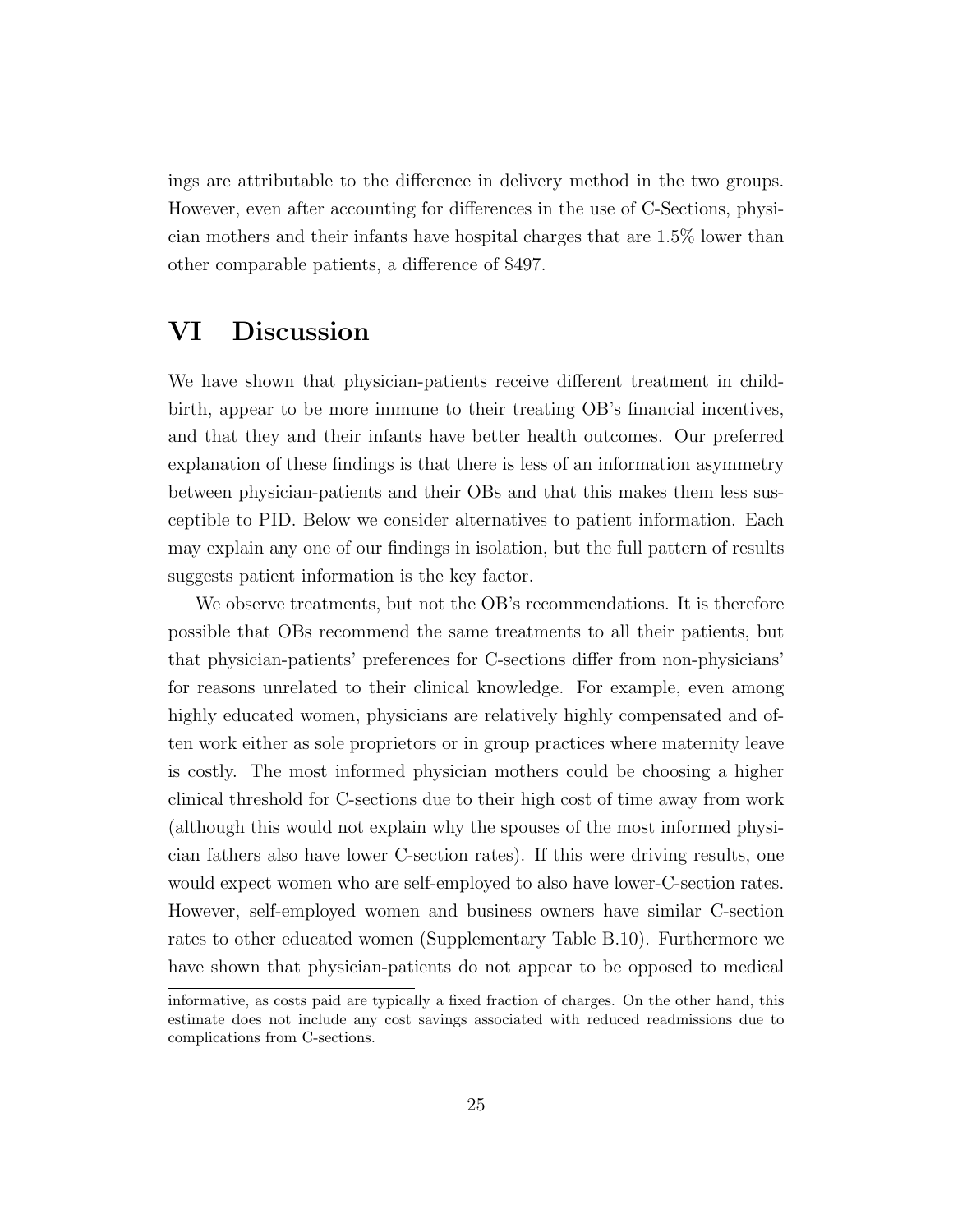ings are attributable to the difference in delivery method in the two groups. However, even after accounting for differences in the use of C-Sections, physician mothers and their infants have hospital charges that are 1.5% lower than other comparable patients, a difference of \$497.

## VI Discussion

We have shown that physician-patients receive different treatment in childbirth, appear to be more immune to their treating OB's financial incentives, and that they and their infants have better health outcomes. Our preferred explanation of these findings is that there is less of an information asymmetry between physician-patients and their OBs and that this makes them less susceptible to PID. Below we consider alternatives to patient information. Each may explain any one of our findings in isolation, but the full pattern of results suggests patient information is the key factor.

We observe treatments, but not the OB's recommendations. It is therefore possible that OBs recommend the same treatments to all their patients, but that physician-patients' preferences for C-sections differ from non-physicians' for reasons unrelated to their clinical knowledge. For example, even among highly educated women, physicians are relatively highly compensated and often work either as sole proprietors or in group practices where maternity leave is costly. The most informed physician mothers could be choosing a higher clinical threshold for C-sections due to their high cost of time away from work (although this would not explain why the spouses of the most informed physician fathers also have lower C-section rates). If this were driving results, one would expect women who are self-employed to also have lower-C-section rates. However, self-employed women and business owners have similar C-section rates to other educated women (Supplementary Table B.10). Furthermore we have shown that physician-patients do not appear to be opposed to medical

informative, as costs paid are typically a fixed fraction of charges. On the other hand, this estimate does not include any cost savings associated with reduced readmissions due to complications from C-sections.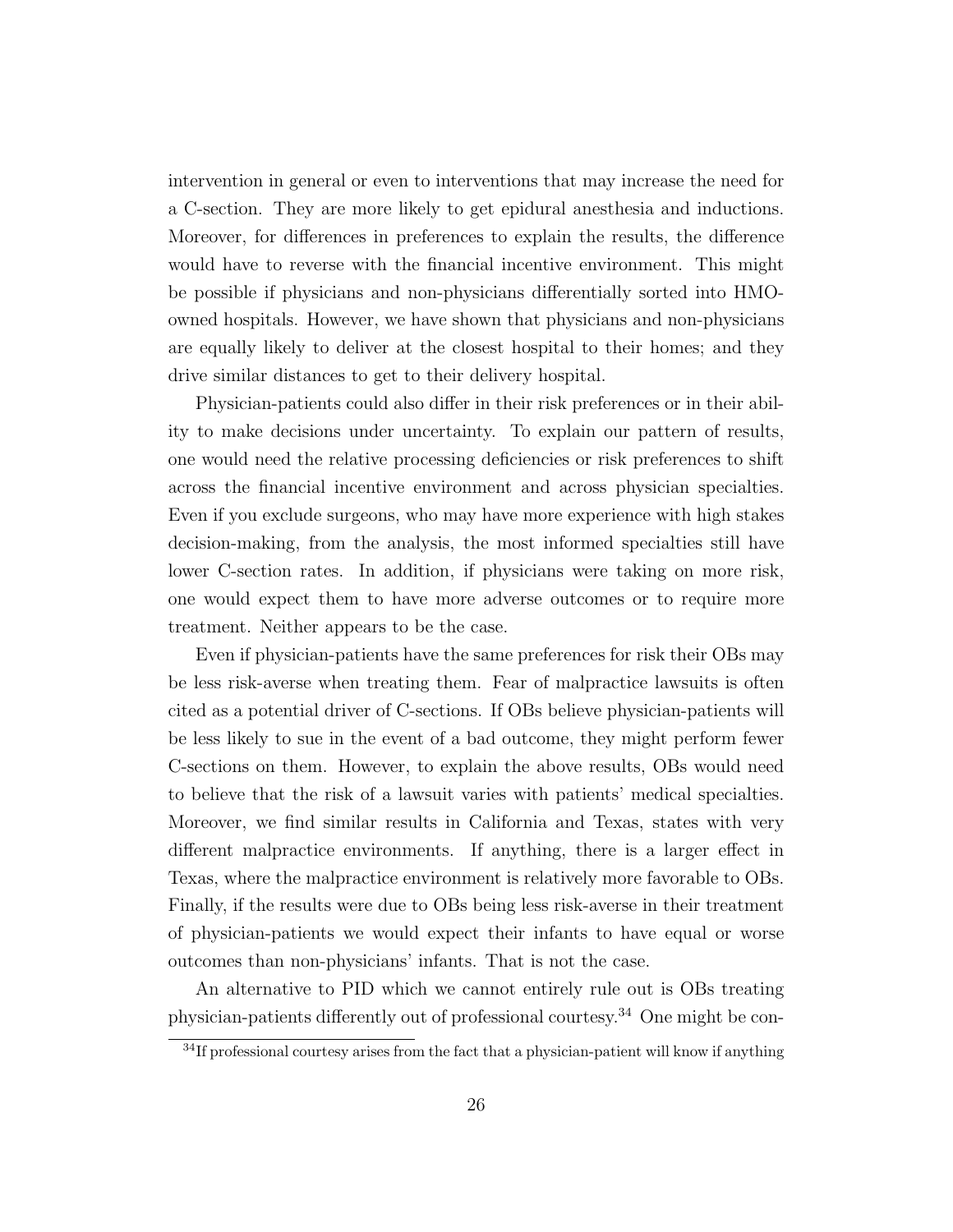intervention in general or even to interventions that may increase the need for a C-section. They are more likely to get epidural anesthesia and inductions. Moreover, for differences in preferences to explain the results, the difference would have to reverse with the financial incentive environment. This might be possible if physicians and non-physicians differentially sorted into HMOowned hospitals. However, we have shown that physicians and non-physicians are equally likely to deliver at the closest hospital to their homes; and they drive similar distances to get to their delivery hospital.

Physician-patients could also differ in their risk preferences or in their ability to make decisions under uncertainty. To explain our pattern of results, one would need the relative processing deficiencies or risk preferences to shift across the financial incentive environment and across physician specialties. Even if you exclude surgeons, who may have more experience with high stakes decision-making, from the analysis, the most informed specialties still have lower C-section rates. In addition, if physicians were taking on more risk, one would expect them to have more adverse outcomes or to require more treatment. Neither appears to be the case.

Even if physician-patients have the same preferences for risk their OBs may be less risk-averse when treating them. Fear of malpractice lawsuits is often cited as a potential driver of C-sections. If OBs believe physician-patients will be less likely to sue in the event of a bad outcome, they might perform fewer C-sections on them. However, to explain the above results, OBs would need to believe that the risk of a lawsuit varies with patients' medical specialties. Moreover, we find similar results in California and Texas, states with very different malpractice environments. If anything, there is a larger effect in Texas, where the malpractice environment is relatively more favorable to OBs. Finally, if the results were due to OBs being less risk-averse in their treatment of physician-patients we would expect their infants to have equal or worse outcomes than non-physicians' infants. That is not the case.

An alternative to PID which we cannot entirely rule out is OBs treating physician-patients differently out of professional courtesy.<sup>34</sup> One might be con-

<sup>&</sup>lt;sup>34</sup>If professional courtesy arises from the fact that a physician-patient will know if anything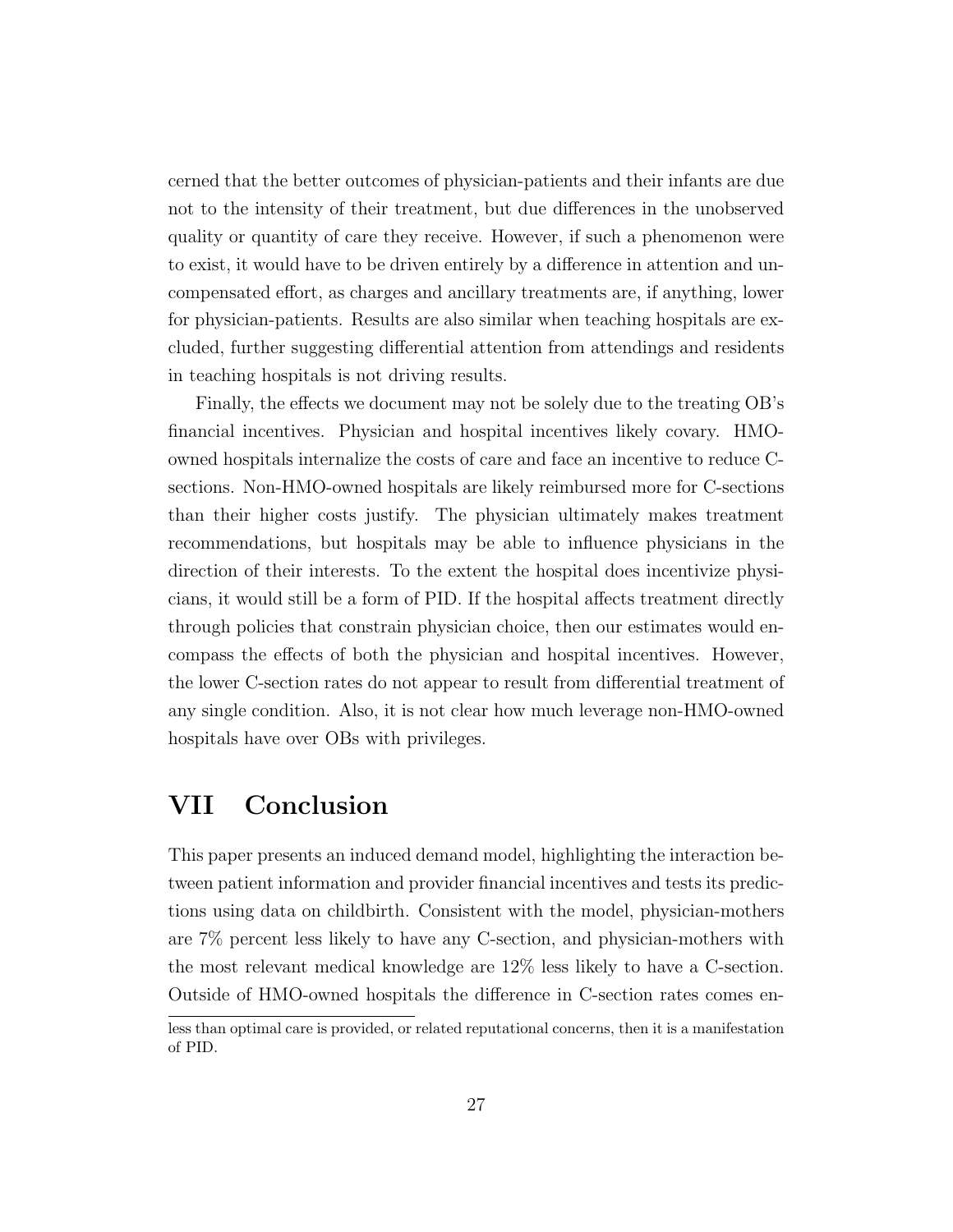cerned that the better outcomes of physician-patients and their infants are due not to the intensity of their treatment, but due differences in the unobserved quality or quantity of care they receive. However, if such a phenomenon were to exist, it would have to be driven entirely by a difference in attention and uncompensated effort, as charges and ancillary treatments are, if anything, lower for physician-patients. Results are also similar when teaching hospitals are excluded, further suggesting differential attention from attendings and residents in teaching hospitals is not driving results.

Finally, the effects we document may not be solely due to the treating OB's financial incentives. Physician and hospital incentives likely covary. HMOowned hospitals internalize the costs of care and face an incentive to reduce Csections. Non-HMO-owned hospitals are likely reimbursed more for C-sections than their higher costs justify. The physician ultimately makes treatment recommendations, but hospitals may be able to influence physicians in the direction of their interests. To the extent the hospital does incentivize physicians, it would still be a form of PID. If the hospital affects treatment directly through policies that constrain physician choice, then our estimates would encompass the effects of both the physician and hospital incentives. However, the lower C-section rates do not appear to result from differential treatment of any single condition. Also, it is not clear how much leverage non-HMO-owned hospitals have over OBs with privileges.

# VII Conclusion

This paper presents an induced demand model, highlighting the interaction between patient information and provider financial incentives and tests its predictions using data on childbirth. Consistent with the model, physician-mothers are 7% percent less likely to have any C-section, and physician-mothers with the most relevant medical knowledge are 12% less likely to have a C-section. Outside of HMO-owned hospitals the difference in C-section rates comes en-

less than optimal care is provided, or related reputational concerns, then it is a manifestation of PID.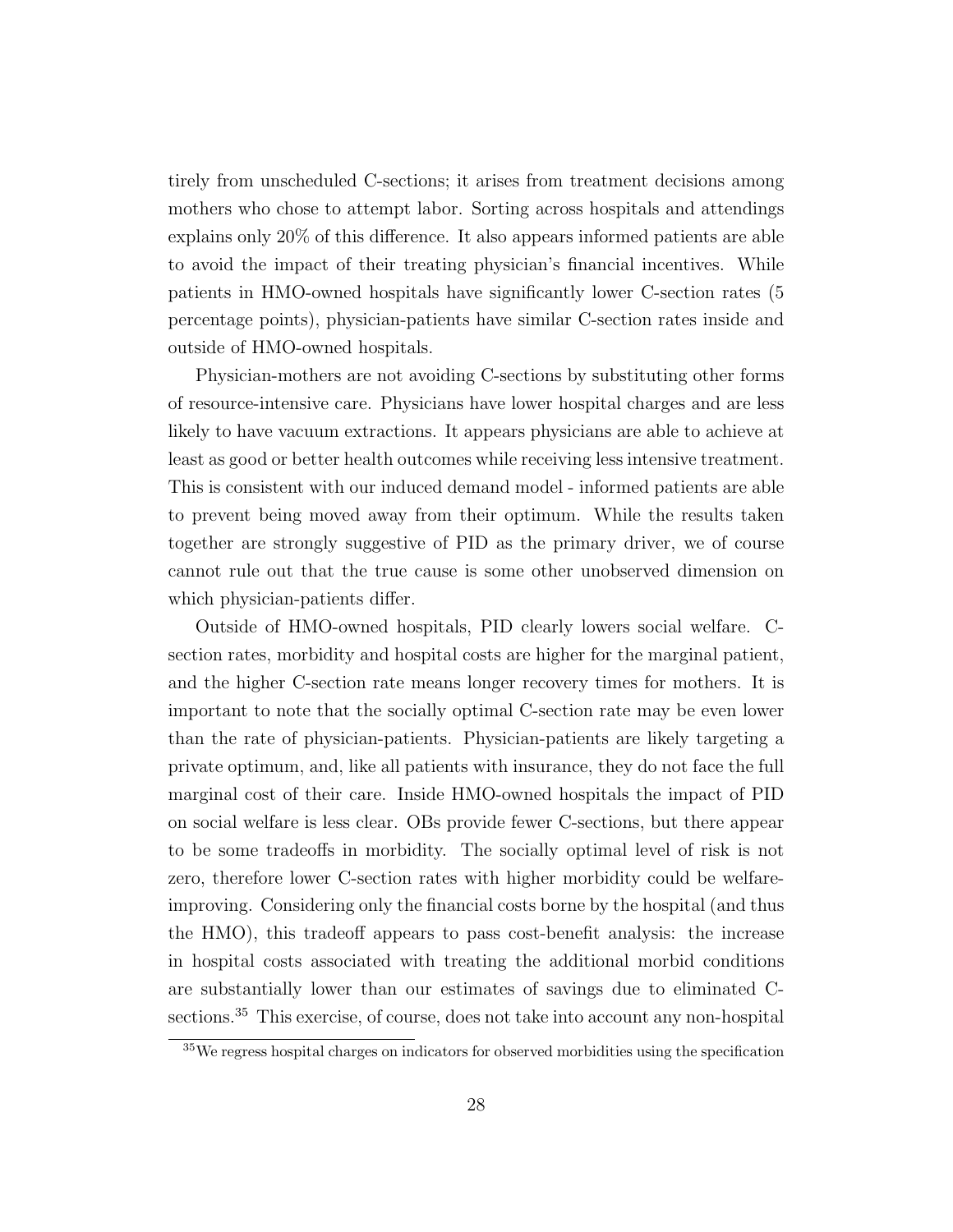tirely from unscheduled C-sections; it arises from treatment decisions among mothers who chose to attempt labor. Sorting across hospitals and attendings explains only 20% of this difference. It also appears informed patients are able to avoid the impact of their treating physician's financial incentives. While patients in HMO-owned hospitals have significantly lower C-section rates (5 percentage points), physician-patients have similar C-section rates inside and outside of HMO-owned hospitals.

Physician-mothers are not avoiding C-sections by substituting other forms of resource-intensive care. Physicians have lower hospital charges and are less likely to have vacuum extractions. It appears physicians are able to achieve at least as good or better health outcomes while receiving less intensive treatment. This is consistent with our induced demand model - informed patients are able to prevent being moved away from their optimum. While the results taken together are strongly suggestive of PID as the primary driver, we of course cannot rule out that the true cause is some other unobserved dimension on which physician-patients differ.

Outside of HMO-owned hospitals, PID clearly lowers social welfare. Csection rates, morbidity and hospital costs are higher for the marginal patient, and the higher C-section rate means longer recovery times for mothers. It is important to note that the socially optimal C-section rate may be even lower than the rate of physician-patients. Physician-patients are likely targeting a private optimum, and, like all patients with insurance, they do not face the full marginal cost of their care. Inside HMO-owned hospitals the impact of PID on social welfare is less clear. OBs provide fewer C-sections, but there appear to be some tradeoffs in morbidity. The socially optimal level of risk is not zero, therefore lower C-section rates with higher morbidity could be welfareimproving. Considering only the financial costs borne by the hospital (and thus the HMO), this tradeoff appears to pass cost-benefit analysis: the increase in hospital costs associated with treating the additional morbid conditions are substantially lower than our estimates of savings due to eliminated Csections.<sup>35</sup> This exercise, of course, does not take into account any non-hospital

<sup>35</sup>We regress hospital charges on indicators for observed morbidities using the specification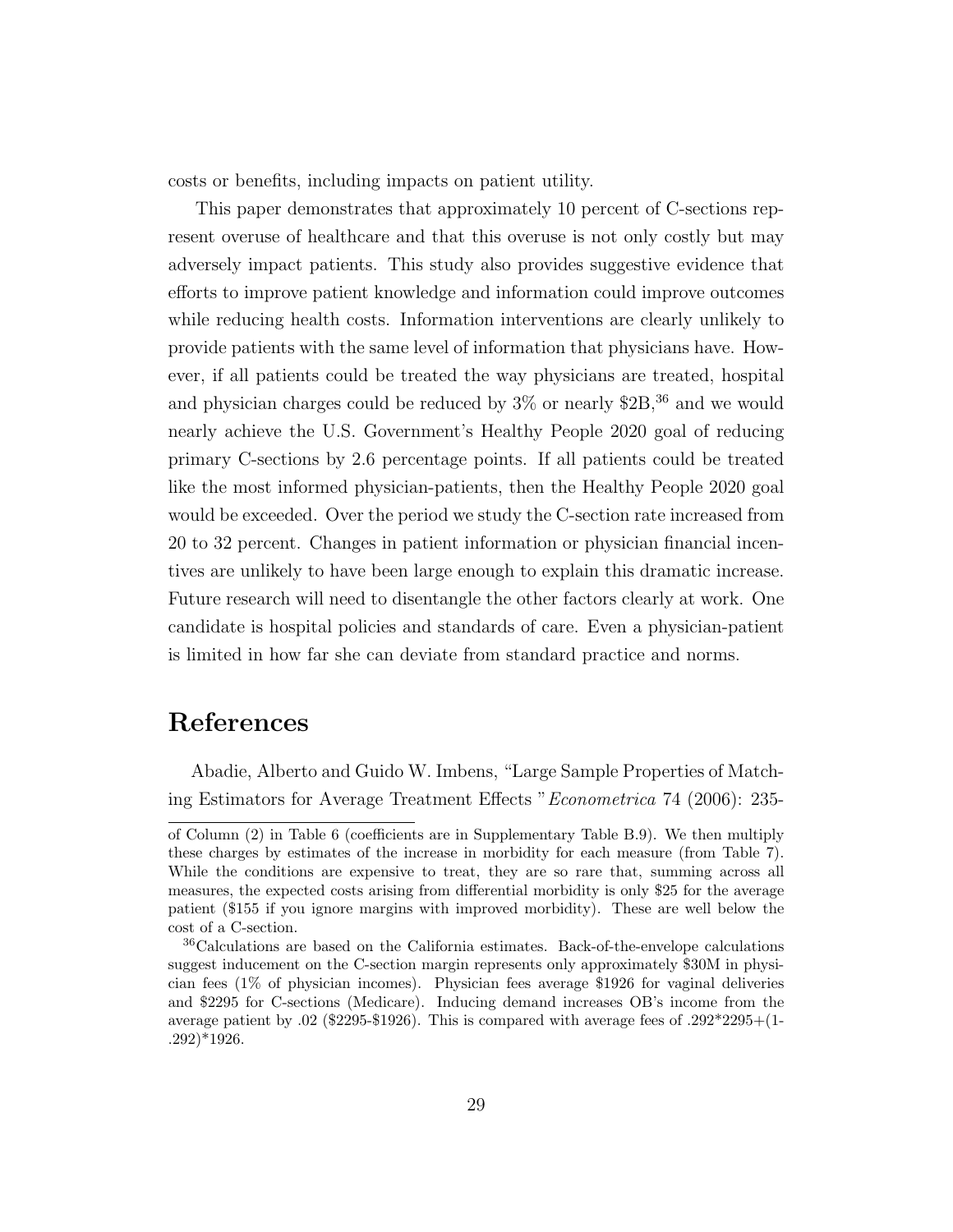costs or benefits, including impacts on patient utility.

This paper demonstrates that approximately 10 percent of C-sections represent overuse of healthcare and that this overuse is not only costly but may adversely impact patients. This study also provides suggestive evidence that efforts to improve patient knowledge and information could improve outcomes while reducing health costs. Information interventions are clearly unlikely to provide patients with the same level of information that physicians have. However, if all patients could be treated the way physicians are treated, hospital and physician charges could be reduced by  $3\%$  or nearly  $2B$ ,  $36$  and we would nearly achieve the U.S. Government's Healthy People 2020 goal of reducing primary C-sections by 2.6 percentage points. If all patients could be treated like the most informed physician-patients, then the Healthy People 2020 goal would be exceeded. Over the period we study the C-section rate increased from 20 to 32 percent. Changes in patient information or physician financial incentives are unlikely to have been large enough to explain this dramatic increase. Future research will need to disentangle the other factors clearly at work. One candidate is hospital policies and standards of care. Even a physician-patient is limited in how far she can deviate from standard practice and norms.

## References

Abadie, Alberto and Guido W. Imbens, "Large Sample Properties of Matching Estimators for Average Treatment Effects "Econometrica 74 (2006): 235-

of Column (2) in Table 6 (coefficients are in Supplementary Table B.9). We then multiply these charges by estimates of the increase in morbidity for each measure (from Table 7). While the conditions are expensive to treat, they are so rare that, summing across all measures, the expected costs arising from differential morbidity is only \$25 for the average patient (\$155 if you ignore margins with improved morbidity). These are well below the cost of a C-section.

<sup>36</sup>Calculations are based on the California estimates. Back-of-the-envelope calculations suggest inducement on the C-section margin represents only approximately \$30M in physician fees (1% of physician incomes). Physician fees average \$1926 for vaginal deliveries and \$2295 for C-sections (Medicare). Inducing demand increases OB's income from the average patient by .02 (\$2295-\$1926). This is compared with average fees of .292\*2295+(1- .292)\*1926.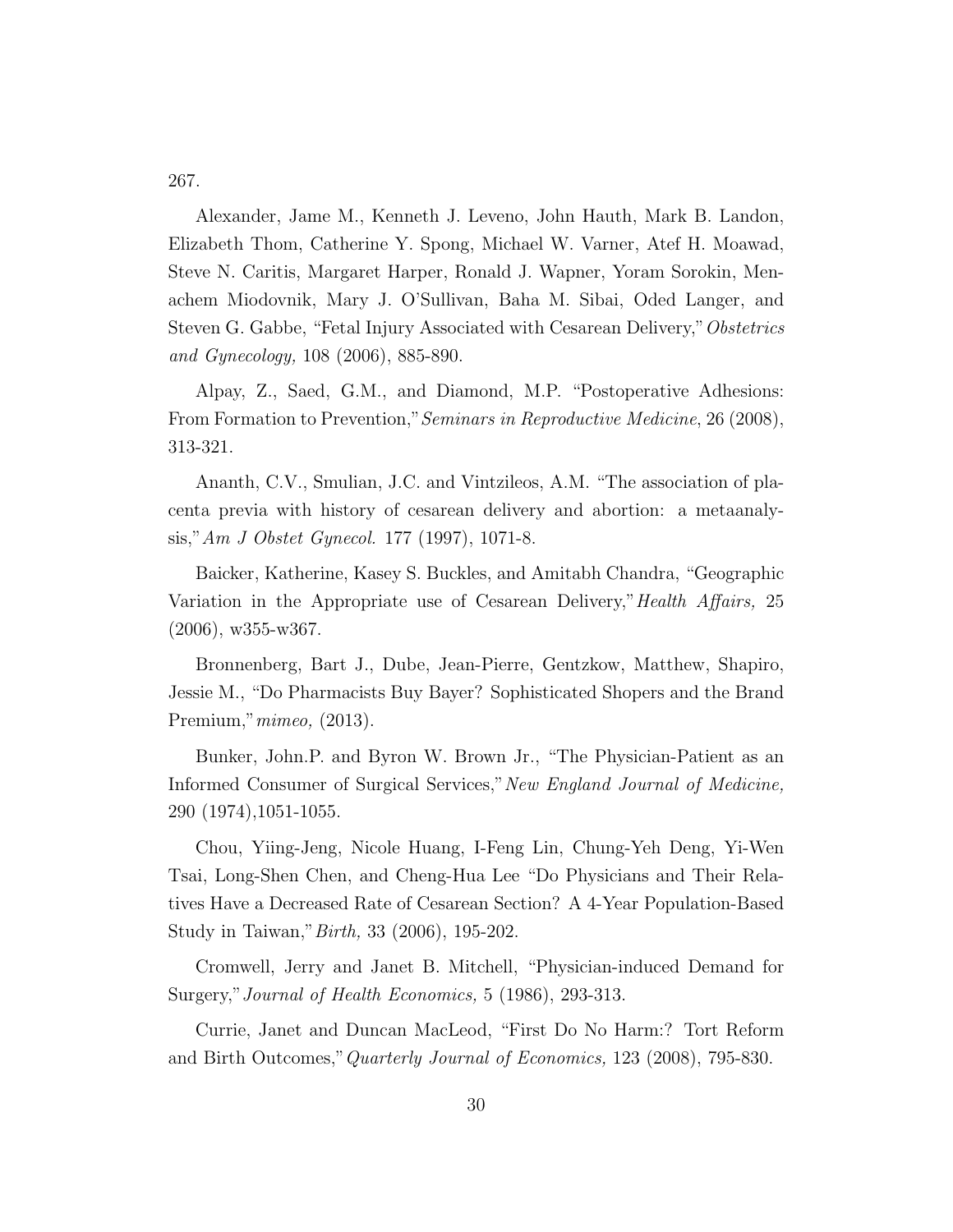267.

Alexander, Jame M., Kenneth J. Leveno, John Hauth, Mark B. Landon, Elizabeth Thom, Catherine Y. Spong, Michael W. Varner, Atef H. Moawad, Steve N. Caritis, Margaret Harper, Ronald J. Wapner, Yoram Sorokin, Menachem Miodovnik, Mary J. O'Sullivan, Baha M. Sibai, Oded Langer, and Steven G. Gabbe, "Fetal Injury Associated with Cesarean Delivery,"Obstetrics and Gynecology, 108 (2006), 885-890.

Alpay, Z., Saed, G.M., and Diamond, M.P. "Postoperative Adhesions: From Formation to Prevention," Seminars in Reproductive Medicine, 26 (2008), 313-321.

Ananth, C.V., Smulian, J.C. and Vintzileos, A.M. "The association of placenta previa with history of cesarean delivery and abortion: a metaanalysis,"Am J Obstet Gynecol. 177 (1997), 1071-8.

Baicker, Katherine, Kasey S. Buckles, and Amitabh Chandra, "Geographic Variation in the Appropriate use of Cesarean Delivery," Health Affairs, 25 (2006), w355-w367.

Bronnenberg, Bart J., Dube, Jean-Pierre, Gentzkow, Matthew, Shapiro, Jessie M., "Do Pharmacists Buy Bayer? Sophisticated Shopers and the Brand Premium,"mimeo, (2013).

Bunker, John.P. and Byron W. Brown Jr., "The Physician-Patient as an Informed Consumer of Surgical Services,"New England Journal of Medicine, 290 (1974),1051-1055.

Chou, Yiing-Jeng, Nicole Huang, I-Feng Lin, Chung-Yeh Deng, Yi-Wen Tsai, Long-Shen Chen, and Cheng-Hua Lee "Do Physicians and Their Relatives Have a Decreased Rate of Cesarean Section? A 4-Year Population-Based Study in Taiwan,"Birth, 33 (2006), 195-202.

Cromwell, Jerry and Janet B. Mitchell, "Physician-induced Demand for Surgery,"Journal of Health Economics, 5 (1986), 293-313.

Currie, Janet and Duncan MacLeod, "First Do No Harm:? Tort Reform and Birth Outcomes,"Quarterly Journal of Economics, 123 (2008), 795-830.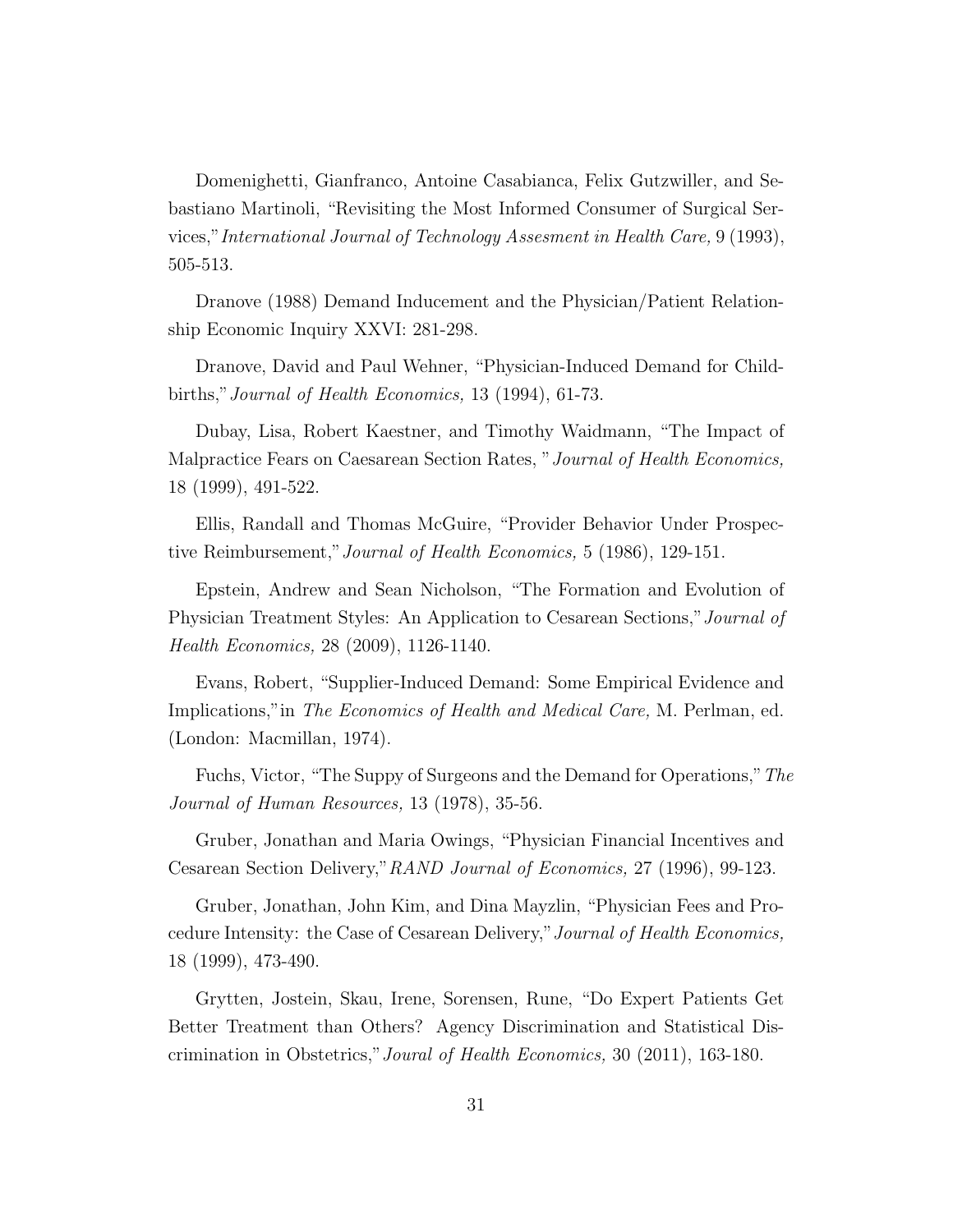Domenighetti, Gianfranco, Antoine Casabianca, Felix Gutzwiller, and Sebastiano Martinoli, "Revisiting the Most Informed Consumer of Surgical Services,"International Journal of Technology Assesment in Health Care, 9 (1993), 505-513.

Dranove (1988) Demand Inducement and the Physician/Patient Relationship Economic Inquiry XXVI: 281-298.

Dranove, David and Paul Wehner, "Physician-Induced Demand for Childbirths,"Journal of Health Economics, 13 (1994), 61-73.

Dubay, Lisa, Robert Kaestner, and Timothy Waidmann, "The Impact of Malpractice Fears on Caesarean Section Rates, "Journal of Health Economics, 18 (1999), 491-522.

Ellis, Randall and Thomas McGuire, "Provider Behavior Under Prospective Reimbursement,"Journal of Health Economics, 5 (1986), 129-151.

Epstein, Andrew and Sean Nicholson, "The Formation and Evolution of Physician Treatment Styles: An Application to Cesarean Sections,"Journal of Health Economics, 28 (2009), 1126-1140.

Evans, Robert, "Supplier-Induced Demand: Some Empirical Evidence and Implications,"in The Economics of Health and Medical Care, M. Perlman, ed. (London: Macmillan, 1974).

Fuchs, Victor, "The Suppy of Surgeons and the Demand for Operations,"The Journal of Human Resources, 13 (1978), 35-56.

Gruber, Jonathan and Maria Owings, "Physician Financial Incentives and Cesarean Section Delivery,"RAND Journal of Economics, 27 (1996), 99-123.

Gruber, Jonathan, John Kim, and Dina Mayzlin, "Physician Fees and Procedure Intensity: the Case of Cesarean Delivery,"Journal of Health Economics, 18 (1999), 473-490.

Grytten, Jostein, Skau, Irene, Sorensen, Rune, "Do Expert Patients Get Better Treatment than Others? Agency Discrimination and Statistical Discrimination in Obstetrics,"Joural of Health Economics, 30 (2011), 163-180.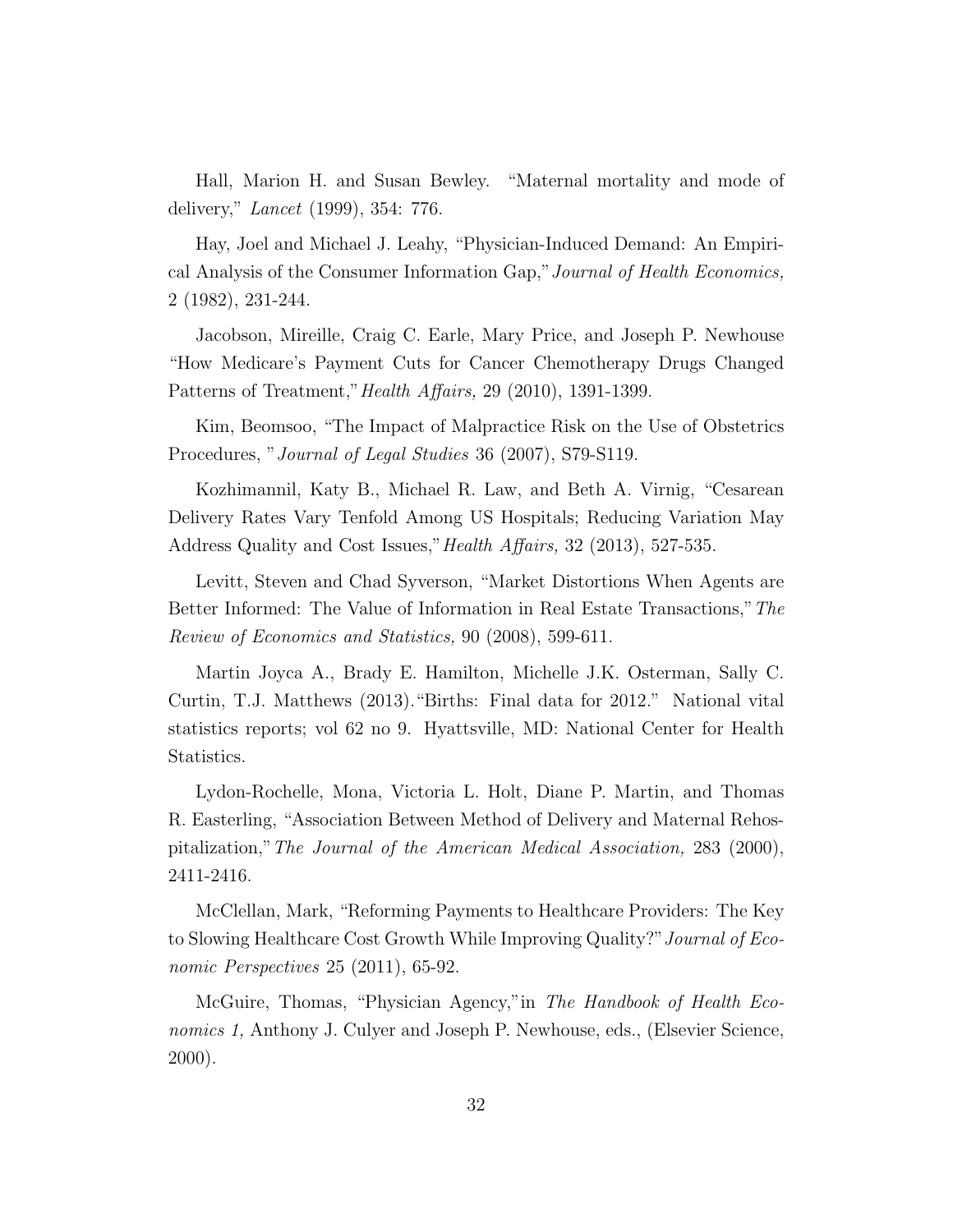Hall, Marion H. and Susan Bewley. "Maternal mortality and mode of delivery," Lancet (1999), 354: 776.

Hay, Joel and Michael J. Leahy, "Physician-Induced Demand: An Empirical Analysis of the Consumer Information Gap,"Journal of Health Economics, 2 (1982), 231-244.

Jacobson, Mireille, Craig C. Earle, Mary Price, and Joseph P. Newhouse "How Medicare's Payment Cuts for Cancer Chemotherapy Drugs Changed Patterns of Treatment,"Health Affairs, 29 (2010), 1391-1399.

Kim, Beomsoo, "The Impact of Malpractice Risk on the Use of Obstetrics Procedures, "Journal of Legal Studies 36 (2007), S79-S119.

Kozhimannil, Katy B., Michael R. Law, and Beth A. Virnig, "Cesarean Delivery Rates Vary Tenfold Among US Hospitals; Reducing Variation May Address Quality and Cost Issues," *Health Affairs*, 32 (2013), 527-535.

Levitt, Steven and Chad Syverson, "Market Distortions When Agents are Better Informed: The Value of Information in Real Estate Transactions,"The Review of Economics and Statistics, 90 (2008), 599-611.

Martin Joyca A., Brady E. Hamilton, Michelle J.K. Osterman, Sally C. Curtin, T.J. Matthews (2013)."Births: Final data for 2012." National vital statistics reports; vol 62 no 9. Hyattsville, MD: National Center for Health Statistics.

Lydon-Rochelle, Mona, Victoria L. Holt, Diane P. Martin, and Thomas R. Easterling, "Association Between Method of Delivery and Maternal Rehospitalization,"The Journal of the American Medical Association, 283 (2000), 2411-2416.

McClellan, Mark, "Reforming Payments to Healthcare Providers: The Key to Slowing Healthcare Cost Growth While Improving Quality?" Journal of Economic Perspectives 25 (2011), 65-92.

McGuire, Thomas, "Physician Agency,"in The Handbook of Health Economics 1, Anthony J. Culyer and Joseph P. Newhouse, eds., (Elsevier Science, 2000).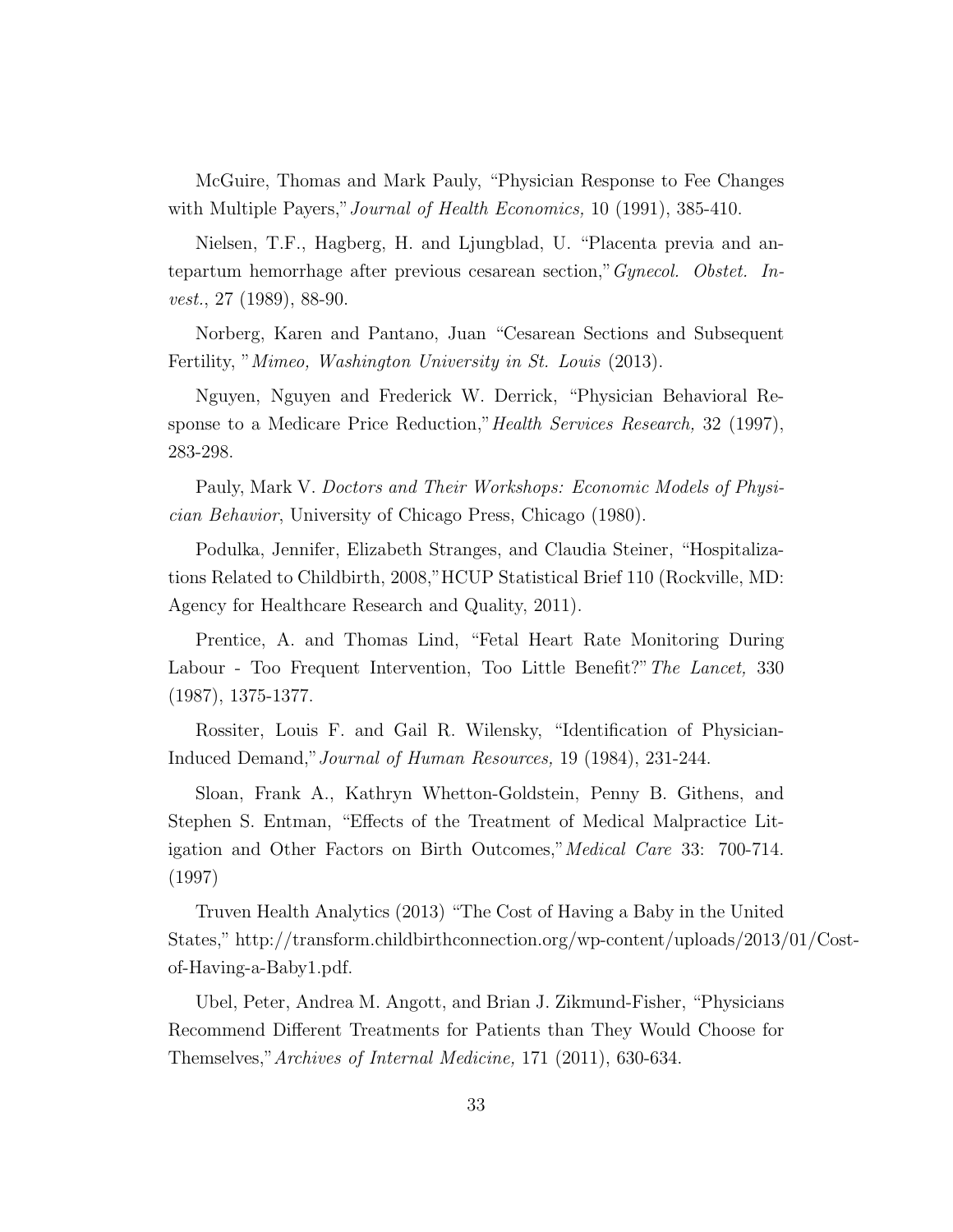McGuire, Thomas and Mark Pauly, "Physician Response to Fee Changes with Multiple Payers," Journal of Health Economics, 10 (1991), 385-410.

Nielsen, T.F., Hagberg, H. and Ljungblad, U. "Placenta previa and antepartum hemorrhage after previous cesarean section,"Gynecol. Obstet. Invest., 27 (1989), 88-90.

Norberg, Karen and Pantano, Juan "Cesarean Sections and Subsequent Fertility, "*Mimeo, Washington University in St. Louis* (2013).

Nguyen, Nguyen and Frederick W. Derrick, "Physician Behavioral Response to a Medicare Price Reduction,"Health Services Research, 32 (1997), 283-298.

Pauly, Mark V. Doctors and Their Workshops: Economic Models of Physician Behavior, University of Chicago Press, Chicago (1980).

Podulka, Jennifer, Elizabeth Stranges, and Claudia Steiner, "Hospitalizations Related to Childbirth, 2008,"HCUP Statistical Brief 110 (Rockville, MD: Agency for Healthcare Research and Quality, 2011).

Prentice, A. and Thomas Lind, "Fetal Heart Rate Monitoring During Labour - Too Frequent Intervention, Too Little Benefit?" The Lancet, 330 (1987), 1375-1377.

Rossiter, Louis F. and Gail R. Wilensky, "Identification of Physician-Induced Demand,"Journal of Human Resources, 19 (1984), 231-244.

Sloan, Frank A., Kathryn Whetton-Goldstein, Penny B. Githens, and Stephen S. Entman, "Effects of the Treatment of Medical Malpractice Litigation and Other Factors on Birth Outcomes," Medical Care 33: 700-714. (1997)

Truven Health Analytics (2013) "The Cost of Having a Baby in the United States," http://transform.childbirthconnection.org/wp-content/uploads/2013/01/Costof-Having-a-Baby1.pdf.

Ubel, Peter, Andrea M. Angott, and Brian J. Zikmund-Fisher, "Physicians Recommend Different Treatments for Patients than They Would Choose for Themselves,"Archives of Internal Medicine, 171 (2011), 630-634.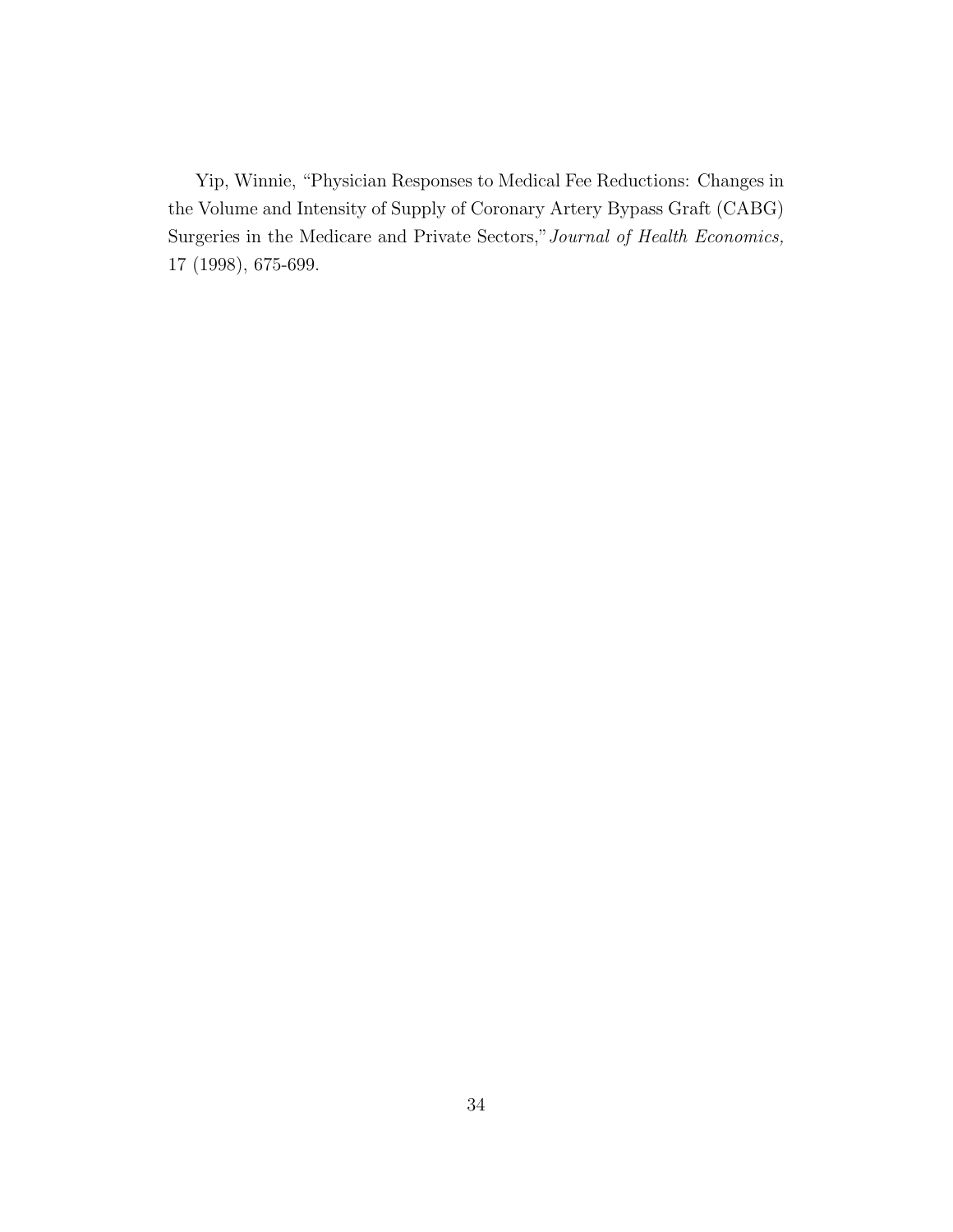Yip, Winnie, "Physician Responses to Medical Fee Reductions: Changes in the Volume and Intensity of Supply of Coronary Artery Bypass Graft (CABG) Surgeries in the Medicare and Private Sectors,"Journal of Health Economics, 17 (1998), 675-699.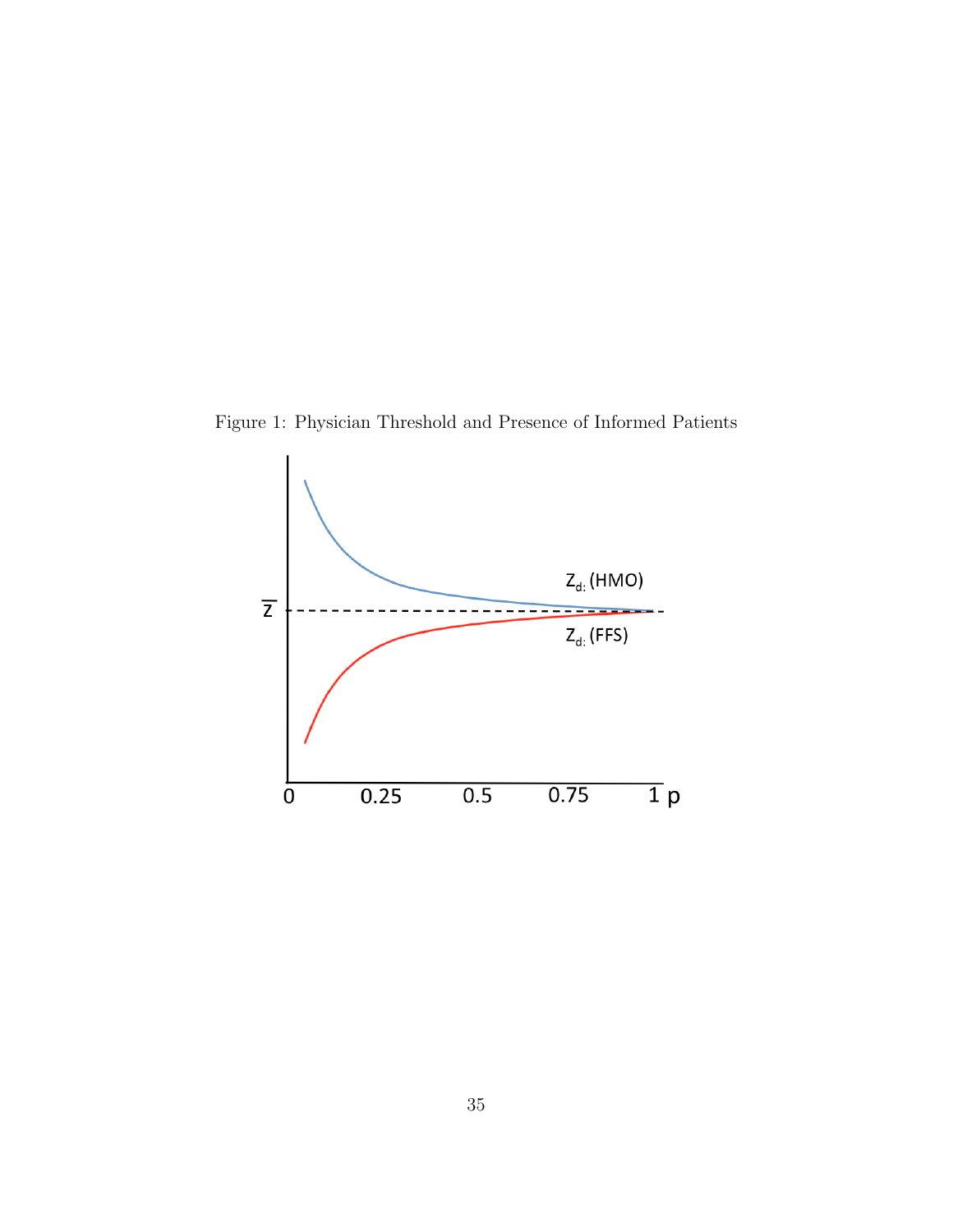Figure 1: Physician Threshold and Presence of Informed Patients

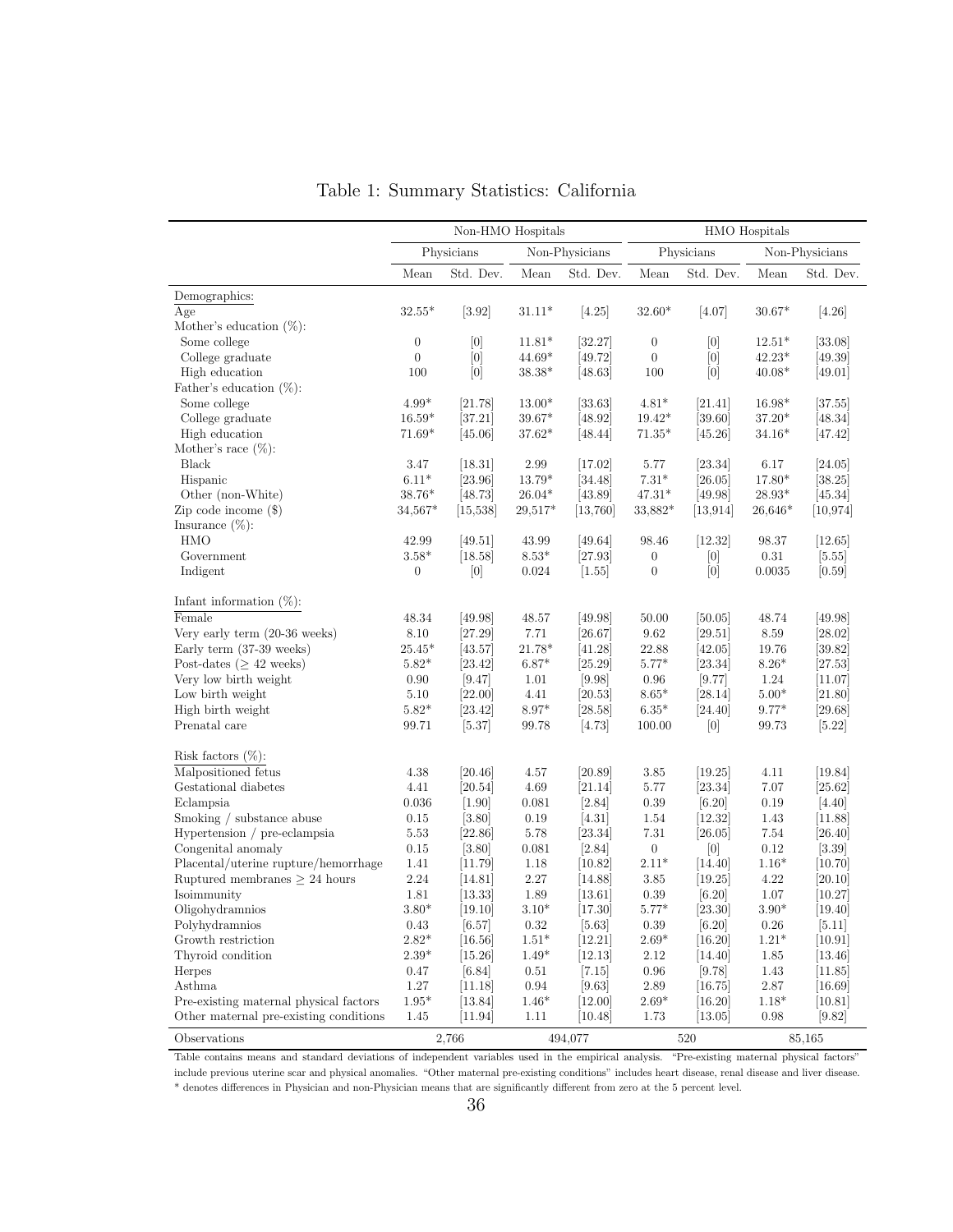|                                        |                  | Non-HMO Hospitals |                |                |                  |            | HMO Hospitals  |                |
|----------------------------------------|------------------|-------------------|----------------|----------------|------------------|------------|----------------|----------------|
|                                        |                  | Physicians        |                | Non-Physicians |                  | Physicians |                | Non-Physicians |
|                                        | Mean             | Std. Dev.         | Mean           | Std. Dev.      | Mean             | Std. Dev.  | Mean           | Std. Dev.      |
| Demographics:                          |                  |                   |                |                |                  |            |                |                |
| Age                                    | $32.55*$         | [3.92]            | $31.11*$       | [4.25]         | $32.60*$         | [4.07]     | $30.67*$       | $[4.26]$       |
| Mother's education $(\%)$ :            |                  |                   |                |                |                  |            |                |                |
| Some college                           | $\boldsymbol{0}$ | [0]               | $11.81*$       | [32.27]        | $\boldsymbol{0}$ | [0]        | $12.51*$       | [33.08]        |
| College graduate                       | $\overline{0}$   | [0]               | $44.69*$       | [49.72]        | $\overline{0}$   | [0]        | $42.23*$       | [49.39]        |
| High education                         | 100              | $[0]$             | $38.38*$       | [48.63]        | $100\,$          | $[0]$      | $40.08*$       | [49.01]        |
| Father's education $(\%)$ :            |                  |                   |                |                |                  |            |                |                |
| Some college                           | $4.99*$          | [21.78]           | $13.00*$       | [33.63]        | $4.81^*$         | [21.41]    | 16.98*         | [37.55]        |
| College graduate                       | $16.59*$         | [37.21]           | $39.67*$       | [48.92]        | $19.42*$         | [39.60]    | $37.20*$       | [48.34]        |
| High education                         | $71.69*$         | [45.06]           | $37.62*$       | [48.44]        | $71.35*$         | [45.26]    | $34.16*$       | [47.42]        |
| Mother's race $(\%)$ :                 |                  |                   |                |                |                  |            |                |                |
| Black                                  | 3.47             | $[18.31]$         | 2.99           | [17.02]        | 5.77             | [23.34]    | 6.17           | [24.05]        |
| Hispanic                               | $6.11*$          | [23.96]           | $13.79*$       | [34.48]        | $7.31^{\ast}$    | [26.05]    | 17.80*         | [38.25]        |
| Other (non-White)                      | $38.76*$         | [48.73]           | $26.04^{\ast}$ | [43.89]        | $47.31*$         | [49.98]    | $28.93^{\ast}$ | [45.34]        |
| Zip code income $(\$)$                 | $34,567*$        | [15, 538]         | $29,517*$      | [13,760]       | 33,882*          | [13, 914]  | $26,646*$      | [10, 974]      |
| Insurance $(\%)$ :                     |                  |                   |                |                |                  |            |                |                |
| HMO                                    | 42.99            | [49.51]           | 43.99          | [49.64]        | 98.46            | [12.32]    | 98.37          | [12.65]        |
| Government                             | $3.58^{\ast}$    | [18.58]           | $8.53^{\ast}$  | [27.93]        | $\boldsymbol{0}$ | [0]        | 0.31           | [5.55]         |
| Indigent                               | $\boldsymbol{0}$ | [0]               | 0.024          | [1.55]         | $\boldsymbol{0}$ | [0]        | 0.0035         | $[0.59]$       |
| Infant information $(\%)$ :            |                  |                   |                |                |                  |            |                |                |
| Female                                 | 48.34            | [49.98]           | 48.57          | [49.98]        | 50.00            | [50.05]    | 48.74          | [49.98]        |
| Very early term (20-36 weeks)          | 8.10             | [27.29]           | 7.71           | [26.67]        | $9.62\,$         | [29.51]    | $8.59\,$       | [28.02]        |
| Early term (37-39 weeks)               | $25.45*$         | [43.57]           | $21.78*$       | [41.28]        | 22.88            | [42.05]    | 19.76          | [39.82]        |
| Post-dates ( $\geq 42$ weeks)          | $5.82*$          | 23.42             | $6.87*$        | [25.29]        | $5.77*$          | [23.34]    | $8.26*$        | [27.53]        |
| Very low birth weight                  | 0.90             | [9.47]            | 1.01           | [9.98]         | 0.96             | [9.77]     | 1.24           | [11.07]        |
| Low birth weight                       | 5.10             | [22.00]           | 4.41           | [20.53]        | $8.65^{\ast}$    | [28.14]    | $5.00*$        | [21.80]        |
| High birth weight                      | $5.82*$          | [23.42]           | $8.97*$        | [28.58]        | $6.35^{\ast}$    | [24.40]    | $9.77*$        | [29.68]        |
| Prenatal care                          | 99.71            | [5.37]            | 99.78          | [4.73]         | 100.00           | [0]        | 99.73          | [5.22]         |
| Risk factors $(\%)$ :                  |                  |                   |                |                |                  |            |                |                |
| Malpositioned fetus                    | 4.38             | [20.46]           | 4.57           | [20.89]        | 3.85             | [19.25]    | 4.11           | $[19.84]$      |
| Gestational diabetes                   | 4.41             | [20.54]           | 4.69           | [21.14]        | $5.77\,$         | [23.34]    | 7.07           | [25.62]        |
| Eclampsia                              | 0.036            | $[1.90]$          | 0.081          | [2.84]         | $0.39\,$         | [6.20]     | $0.19\,$       | [4.40]         |
| Smoking / substance abuse              | $0.15\,$         | [3.80]            | 0.19           | [4.31]         | $1.54\,$         | [12.32]    | 1.43           | [11.88]        |
| Hypertension / pre-eclampsia           | $5.53\,$         | [22.86]           | 5.78           | [23.34]        | $7.31\,$         | [26.05]    | 7.54           | [26.40]        |
| Congenital anomaly                     | $0.15\,$         | $[3.80]$          | 0.081          | $[2.84]$       | $\boldsymbol{0}$ | [0]        | 0.12           | [3.39]         |
| Placental/uterine rupture/hemorrhage   | 1.41             | [11.79]           | 1.18           | [10.82]        | $2.11^{\ast}$    | [14.40]    | $1.16*$        | [10.70]        |
| Ruptured membranes $\geq$ 24 hours     | $2.24\,$         | [14.81]           | $2.27\,$       | [14.88]        | $3.85\,$         | [19.25]    | 4.22           | [20.10]        |
| Isoimmunity                            | 1.81             | [13.33]           | 1.89           | [13.61]        | 0.39             | $[6.20]$   | 1.07           | [10.27]        |
| Oligohydramnios                        | $3.80^{\ast}$    | [19.10]           | $3.10^{\ast}$  | [17.30]        | $5.77^{\ast}$    | [23.30]    | $3.90^{\ast}$  | [19.40]        |
| Polyhydramnios                         | 0.43             | [6.57]            | 0.32           | [5.63]         | 0.39             | [6.20]     | 0.26           | [5.11]         |
| Growth restriction                     | $2.82*$          | $[16.56]$         | $1.51*$        | [12.21]        | $2.69*$          | [16.20]    | $1.21*$        | [10.91]        |
| Thyroid condition                      | $2.39^{\ast}$    | [15.26]           | $1.49*$        | [12.13]        | 2.12             | [14.40]    | 1.85           | [13.46]        |
| Herpes                                 | 0.47             | [6.84]            | 0.51           | [7.15]         | $0.96\,$         | [9.78]     | 1.43           | [11.85]        |
| Asthma                                 | 1.27             | [11.18]           | 0.94           | [9.63]         | 2.89             | [16.75]    | 2.87           | $[16.69]$      |
| Pre-existing maternal physical factors | $1.95*$          | [13.84]           | $1.46*$        | [12.00]        | $2.69*$          | $[16.20]$  | $1.18*$        | [10.81]        |
| Other maternal pre-existing conditions | 1.45             | [11.94]           | 1.11           | [10.48]        | 1.73             | [13.05]    | 0.98           | [9.82]         |
| Observations                           |                  | 2,766             |                | 494,077        |                  | 520        |                | 85,165         |

Table 1: Summary Statistics: California

Table contains means and standard deviations of independent variables used in the empirical analysis. "Pre-existing maternal physical factors" include previous uterine scar and physical anomalies. "Other maternal pre-existing conditions" includes heart disease, renal disease and liver disease.

\* denotes differences in Physician and non-Physician means that are significantly different from zero at the 5 percent level.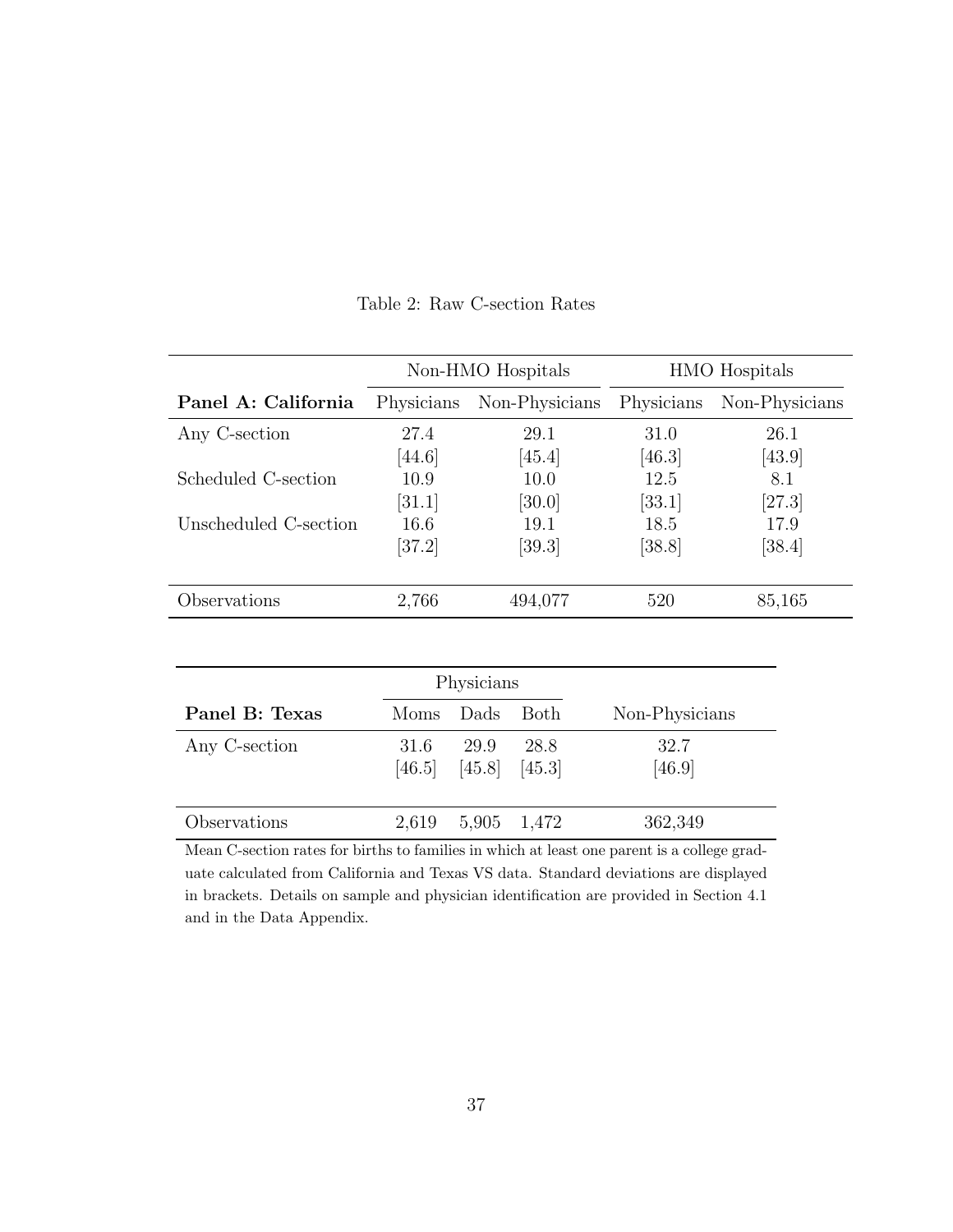|                       |            | Non-HMO Hospitals |            | <b>HMO</b> Hospitals |
|-----------------------|------------|-------------------|------------|----------------------|
| Panel A: California   | Physicians | Non-Physicians    | Physicians | Non-Physicians       |
| Any C-section         | 27.4       | 29.1              | 31.0       | 26.1                 |
|                       | [44.6]     | [45.4]            | [46.3]     | [43.9]               |
| Scheduled C-section   | 10.9       | 10.0              | 12.5       | 8.1                  |
|                       | [31.1]     | [30.0]            | [33.1]     | [27.3]               |
| Unscheduled C-section | 16.6       | 19.1              | 18.5       | 17.9                 |
|                       | [37.2]     | [39.3]            | [38.8]     | [38.4]               |
|                       |            |                   |            |                      |
| Observations          | 2,766      | 494,077           | 520        | 85,165               |

Table 2: Raw C-section Rates

|                |       | Physicians                         |             |                |
|----------------|-------|------------------------------------|-------------|----------------|
| Panel B: Texas | Moms  | Dads                               | <b>Both</b> | Non-Physicians |
| Any C-section  | 31.6  | 29.9<br>$[46.5]$ $[45.8]$ $[45.3]$ | 28.8        | 32.7<br>[46.9] |
| Observations   | 2,619 | 5,905 1,472                        |             | 362,349        |

Mean C-section rates for births to families in which at least one parent is a college graduate calculated from California and Texas VS data. Standard deviations are displayed in brackets. Details on sample and physician identification are provided in Section 4.1 and in the Data Appendix.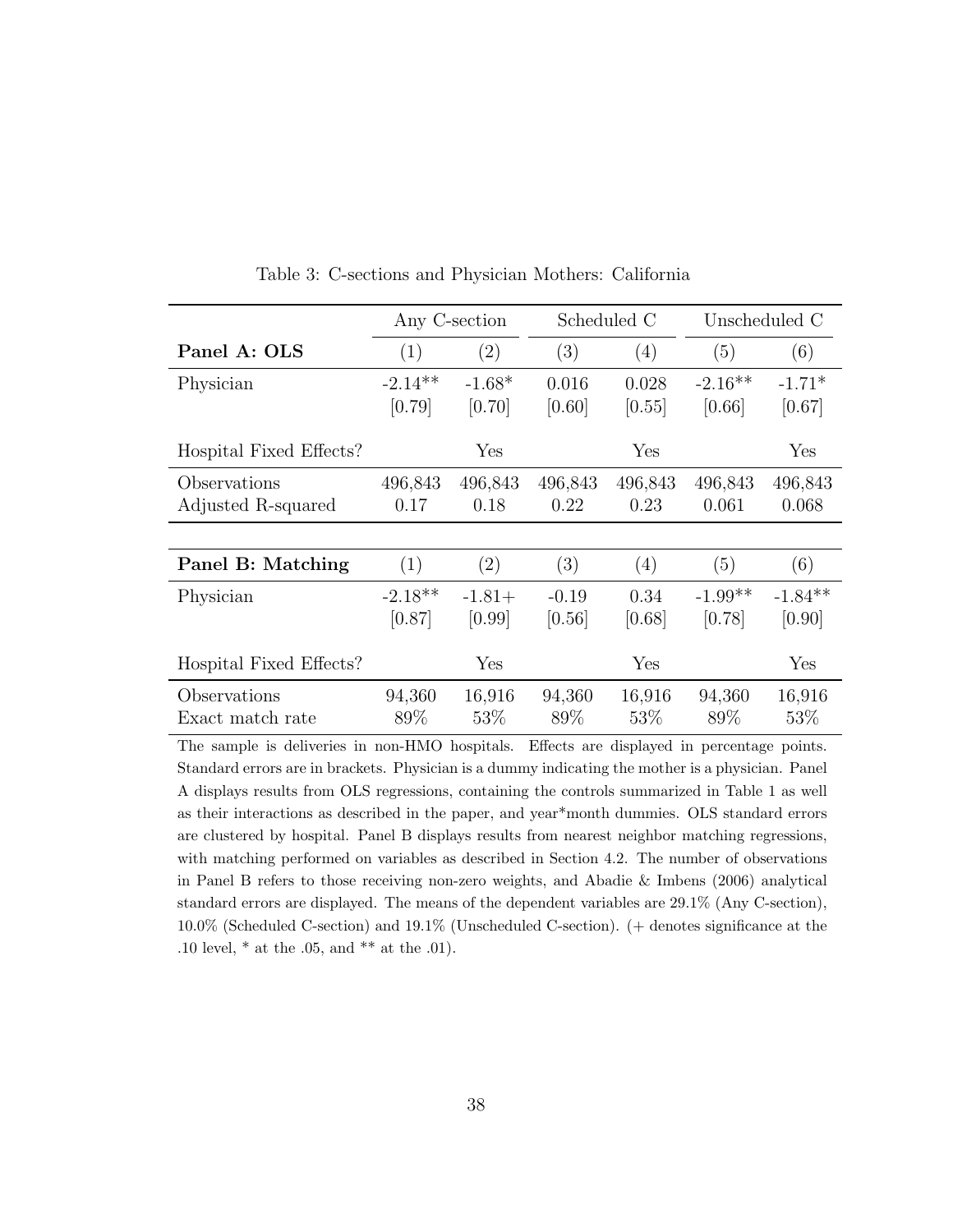|                         |           | Any C-section     |         | Scheduled C |           | Unscheduled C |
|-------------------------|-----------|-------------------|---------|-------------|-----------|---------------|
| Panel A: OLS            | (1)       | $\left( 2\right)$ | (3)     | (4)         | (5)       | (6)           |
| Physician               | $-2.14**$ | $-1.68*$          | 0.016   | 0.028       | $-2.16**$ | $-1.71*$      |
|                         | [0.79]    | [0.70]            | [0.60]  | [0.55]      | [0.66]    | [0.67]        |
| Hospital Fixed Effects? |           | Yes               |         | Yes         |           | Yes           |
| Observations            | 496,843   | 496,843           | 496,843 | 496,843     | 496,843   | 496,843       |
| Adjusted R-squared      | 0.17      | 0.18              | 0.22    | 0.23        | 0.061     | 0.068         |
|                         |           |                   |         |             |           |               |
| Panel B: Matching       | (1)       | (2)               | (3)     | (4)         | (5)       | (6)           |
| Physician               | $-2.18**$ | $-1.81+$          | $-0.19$ | 0.34        | $-1.99**$ | $-1.84**$     |
|                         | [0.87]    | [0.99]            | [0.56]  | [0.68]      | [0.78]    | [0.90]        |
| Hospital Fixed Effects? |           | Yes               |         | Yes         |           | Yes           |
| Observations            | 94,360    | 16,916            | 94,360  | 16,916      | 94,360    | 16,916        |
| Exact match rate        | 89%       | 53\%              | 89\%    | 53\%        | 89%       | 53\%          |

Table 3: C-sections and Physician Mothers: California

The sample is deliveries in non-HMO hospitals. Effects are displayed in percentage points. Standard errors are in brackets. Physician is a dummy indicating the mother is a physician. Panel A displays results from OLS regressions, containing the controls summarized in Table 1 as well as their interactions as described in the paper, and year\*month dummies. OLS standard errors are clustered by hospital. Panel B displays results from nearest neighbor matching regressions, with matching performed on variables as described in Section 4.2. The number of observations in Panel B refers to those receiving non-zero weights, and Abadie & Imbens (2006) analytical standard errors are displayed. The means of the dependent variables are 29.1% (Any C-section), 10.0% (Scheduled C-section) and 19.1% (Unscheduled C-section). (+ denotes significance at the .10 level, \* at the .05, and \*\* at the .01).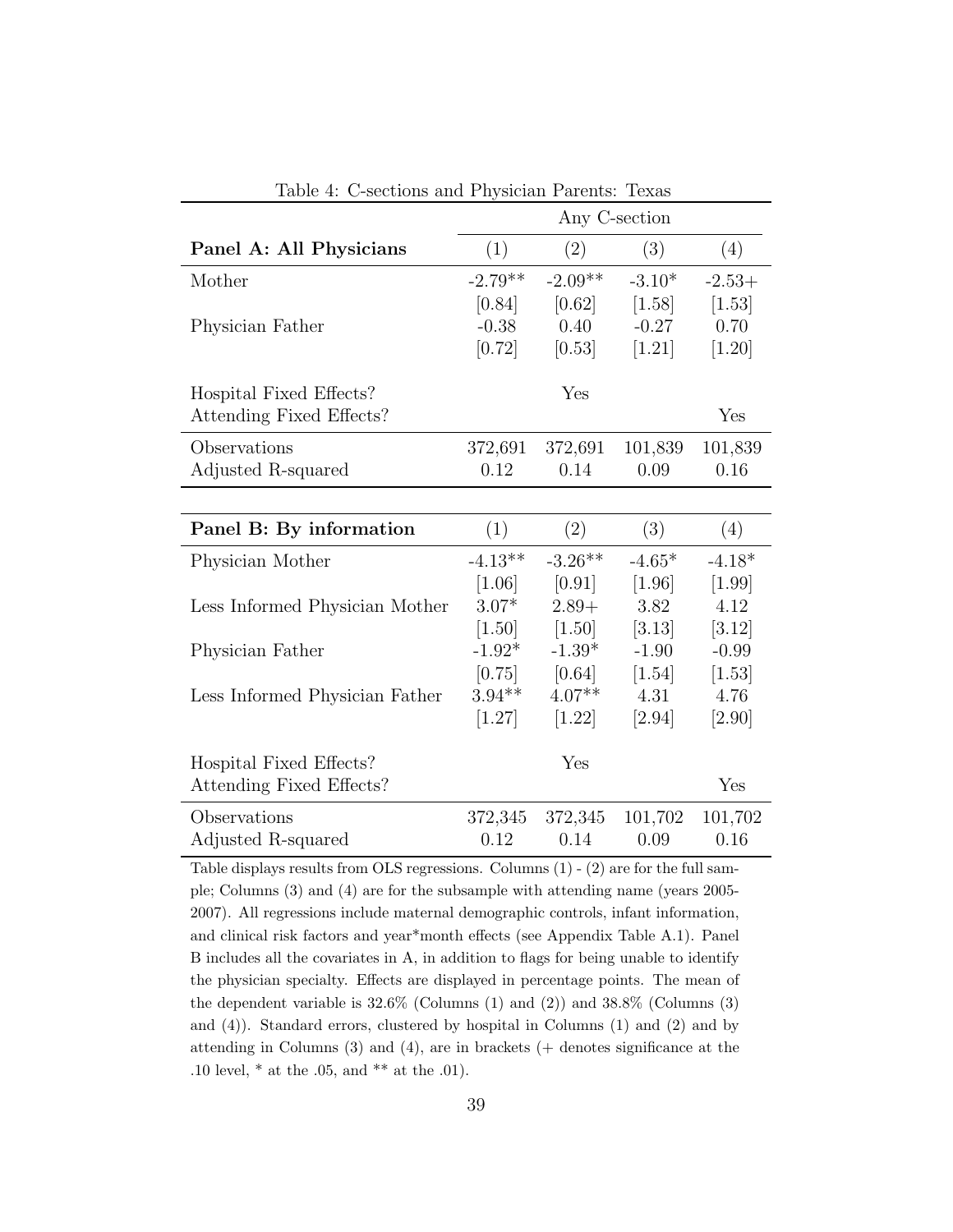|                                |           |           | Any C-section |          |
|--------------------------------|-----------|-----------|---------------|----------|
| Panel A: All Physicians        | (1)       | (2)       | (3)           | (4)      |
| Mother                         | $-2.79**$ | $-2.09**$ | $-3.10*$      | $-2.53+$ |
|                                | [0.84]    | [0.62]    | [1.58]        | [1.53]   |
| Physician Father               | $-0.38$   | 0.40      | $-0.27$       | 0.70     |
|                                | [0.72]    | [0.53]    | [1.21]        | $[1.20]$ |
| Hospital Fixed Effects?        |           | Yes       |               |          |
| Attending Fixed Effects?       |           |           |               | Yes      |
| Observations                   | 372,691   | 372,691   | 101,839       | 101,839  |
| Adjusted R-squared             | 0.12      | 0.14      | 0.09          | 0.16     |
|                                |           |           |               |          |
| Panel B: By information        | (1)       | (2)       | (3)           | (4)      |
| Physician Mother               | $-4.13**$ | $-3.26**$ | $-4.65*$      | $-4.18*$ |
|                                | $[1.06]$  | [0.91]    | [1.96]        | $[1.99]$ |
| Less Informed Physician Mother | $3.07*$   | $2.89+$   | 3.82          | 4.12     |
|                                | $[1.50]$  | [1.50]    | [3.13]        | [3.12]   |
| Physician Father               | $-1.92*$  | $-1.39*$  | $-1.90$       | $-0.99$  |
|                                | [0.75]    | [0.64]    | [1.54]        | [1.53]   |
| Less Informed Physician Father | $3.94**$  | $4.07**$  | 4.31          | 4.76     |
|                                | [1.27]    | $[1.22]$  | [2.94]        | $[2.90]$ |
| Hospital Fixed Effects?        |           | Yes       |               |          |
| Attending Fixed Effects?       |           |           |               | Yes      |
| Observations                   | 372,345   | 372,345   | 101,702       | 101,702  |
| Adjusted R-squared             | 0.12      | 0.14      | 0.09          | 0.16     |

Table 4: C-sections and Physician Parents: Texas

Table displays results from OLS regressions. Columns (1) - (2) are for the full sample; Columns (3) and (4) are for the subsample with attending name (years 2005- 2007). All regressions include maternal demographic controls, infant information, and clinical risk factors and year\*month effects (see Appendix Table A.1). Panel B includes all the covariates in A, in addition to flags for being unable to identify the physician specialty. Effects are displayed in percentage points. The mean of the dependent variable is  $32.6\%$  (Columns (1) and (2)) and  $38.8\%$  (Columns (3) and (4)). Standard errors, clustered by hospital in Columns (1) and (2) and by attending in Columns (3) and (4), are in brackets (+ denotes significance at the .10 level, \* at the .05, and \*\* at the .01).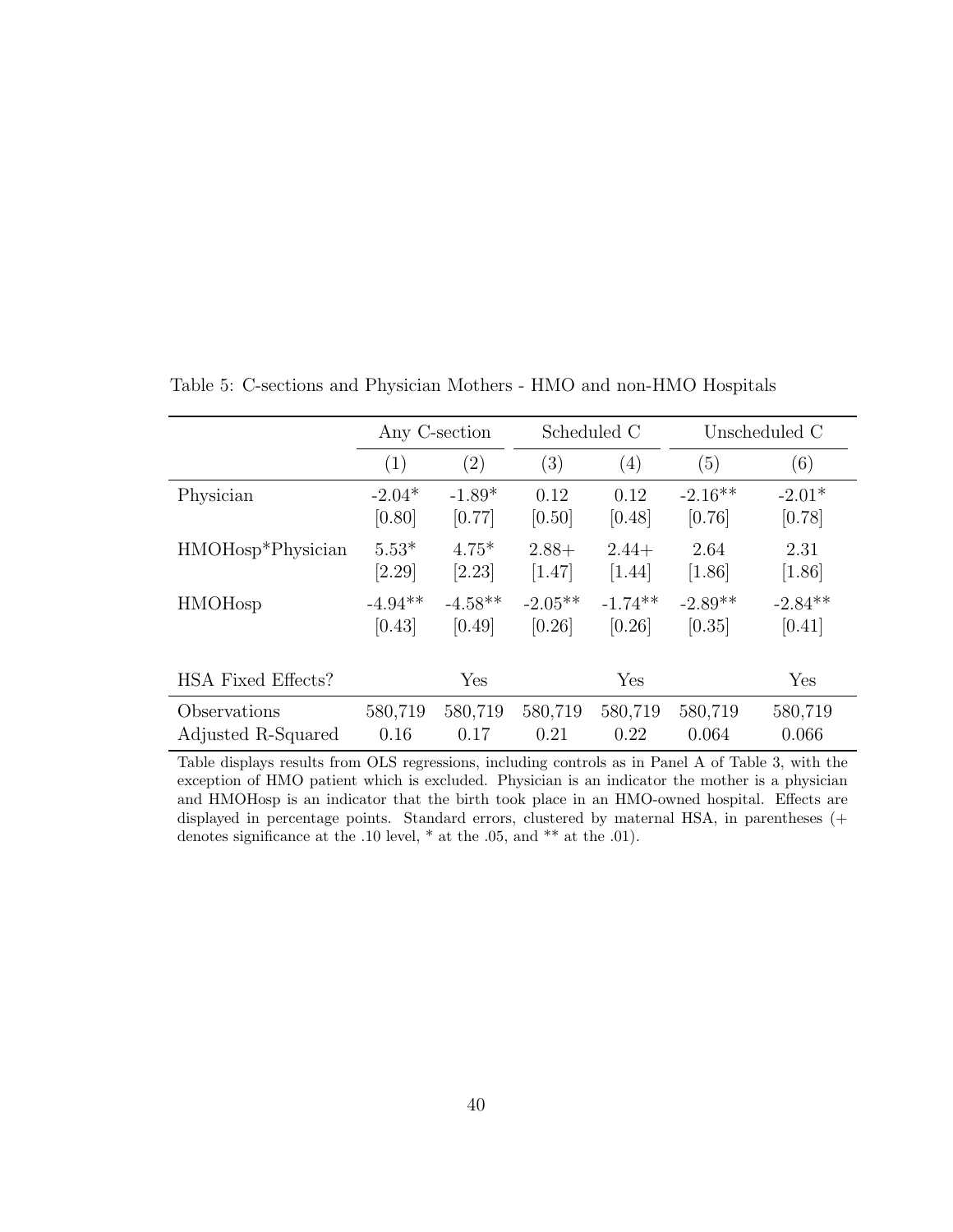|                                | Any C-section |                   | Scheduled C |           |           | Unscheduled C |
|--------------------------------|---------------|-------------------|-------------|-----------|-----------|---------------|
|                                | (1)           | $\left( 2\right)$ | (3)         | (4)       | (5)       | (6)           |
| Physician                      | $-2.04*$      | $-1.89*$          | 0.12        | 0.12      | $-2.16**$ | $-2.01*$      |
|                                | [0.80]        | [0.77]            | [0.50]      | [0.48]    | [0.76]    | [0.78]        |
| HMOHosp <sup>*</sup> Physician | $5.53*$       | $4.75*$           | $2.88+$     | $2.44+$   | 2.64      | 2.31          |
|                                | [2.29]        | [2.23]            | [1.47]      | $[1.44]$  | $[1.86]$  | $[1.86]$      |
| <b>HMOH</b> osp                | $-4.94**$     | $-4.58**$         | $-2.05**$   | $-1.74**$ | $-2.89**$ | $-2.84**$     |
|                                | [0.43]        | [0.49]            | [0.26]      | [0.26]    | [0.35]    | [0.41]        |
| HSA Fixed Effects?             |               | Yes               |             | Yes       |           | Yes           |
| Observations                   | 580,719       | 580,719           | 580,719     | 580,719   | 580,719   | 580,719       |
| Adjusted R-Squared             | 0.16          | 0.17              | 0.21        | 0.22      | 0.064     | 0.066         |

Table 5: C-sections and Physician Mothers - HMO and non-HMO Hospitals

Table displays results from OLS regressions, including controls as in Panel A of Table 3, with the exception of HMO patient which is excluded. Physician is an indicator the mother is a physician and HMOHosp is an indicator that the birth took place in an HMO-owned hospital. Effects are displayed in percentage points. Standard errors, clustered by maternal HSA, in parentheses (+ denotes significance at the .10 level,  $*$  at the .05, and  $**$  at the .01).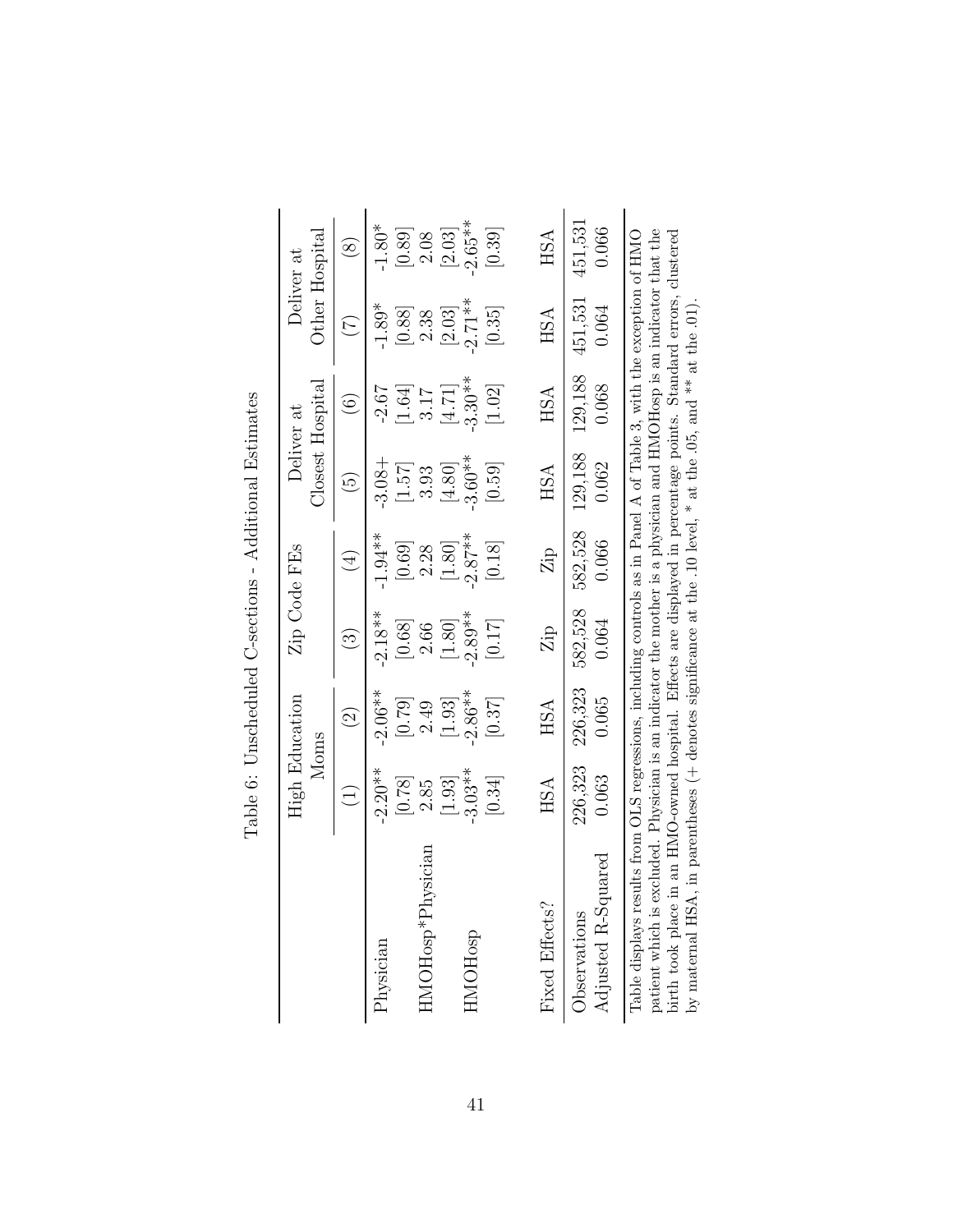|                                                                                                                                                                                                                                                                                                                                                                                                                                                                         |                                                                                                    | <b>High Education</b><br>Moms |                             | Zip Code FEs                | Deliver at               | Closest Hospital  | Other Hospital<br>Deliver at |                     |
|-------------------------------------------------------------------------------------------------------------------------------------------------------------------------------------------------------------------------------------------------------------------------------------------------------------------------------------------------------------------------------------------------------------------------------------------------------------------------|----------------------------------------------------------------------------------------------------|-------------------------------|-----------------------------|-----------------------------|--------------------------|-------------------|------------------------------|---------------------|
|                                                                                                                                                                                                                                                                                                                                                                                                                                                                         |                                                                                                    | $\widehat{\Omega}$            | $\widehat{\mathbb{C}}$      | $(\pm)$                     | $\widetilde{\mathbb{G}}$ | $\widehat{\circ}$ | E                            | $\circledS$         |
| Physician                                                                                                                                                                                                                                                                                                                                                                                                                                                               | $-2.20**$                                                                                          | $-2.06**$                     | $-2.18**$                   | $-1.94**$                   | $-3.08 +$                | $-2.67$           | $-1.89*$                     | $-1.80*$            |
|                                                                                                                                                                                                                                                                                                                                                                                                                                                                         | [0.78]                                                                                             | [0.79]                        | [0.68]                      | [0.69]                      | [1.57]                   | $[1.64]$          | [0.88]                       | [0.89]              |
| hysician<br>$HMOH$ osp $*$ P                                                                                                                                                                                                                                                                                                                                                                                                                                            | [1.93]<br>2.85                                                                                     | $\left[1.93\right]$<br>2.49   | $\left[1.80\right]$<br>2.66 | $\left[1.80\right]$<br>2.28 | [4.80]<br>3.93           | [4.71]<br>3.17    | [2.03]<br>2.38               | 2.08                |
| HMOHosp                                                                                                                                                                                                                                                                                                                                                                                                                                                                 | $-3.03**$                                                                                          | $-2.86**$                     | $-2.89**$                   | $-2.87**$                   | $-3.60**$                | $-3.30**$         | $-2.71**$                    | $-2.65**$<br>[2.03] |
|                                                                                                                                                                                                                                                                                                                                                                                                                                                                         | [0.34]                                                                                             | [0.37]                        | [0.17]                      | [0.18]                      | [0.59]                   | [1.02]            | [0.35]                       | [0.39]              |
| Fixed Effects?                                                                                                                                                                                                                                                                                                                                                                                                                                                          | <b>HSA</b>                                                                                         | <b>HSA</b>                    | Zip                         | Zip                         | HSA                      | HSA               | <b>HSA</b>                   | <b>HSA</b>          |
| Adjusted R-Squared<br><b>D</b> servations                                                                                                                                                                                                                                                                                                                                                                                                                               | 226,323<br>0.063                                                                                   | 226,323<br>0.065              | 582,528<br>0.064            | 582,528<br>0.066            | 129,188<br>0.062         | 129,188<br>0.068  | 451,531<br>0.064             | 451,531<br>0.066    |
| patient which is excluded. Physician is an indicator the mother is a physician and HMOHosp is an indicator that the<br>birth took place in an HMO-owned hospital. Effects are displayed in percentage points. Standard errors, cl<br>Table displays results from OLS regressions, including controls as in Panel A of Table 3, with the exception of HMO<br>by maternal HSA, in parentheses (+ denotes significance at the .10 level, * at the .05, and ** at the .01). | excluded. Physician is an indicator the mother is a physician and HMOHosp is an indicator that the |                               |                             |                             |                          |                   |                              |                     |

| l<br>۱<br>į                                                   |  |
|---------------------------------------------------------------|--|
| i<br>l<br>)<br>í<br>Ī                                         |  |
| I<br>てんこう こうこく<br>$\zeta$                                     |  |
| $\frac{1}{2}$<br>l<br>í<br>i                                  |  |
| ֖֖֖ׅ֖֧ׅ֖ׅׅ֖ׅ֖֧֧ׅ֖֧֪֪֪֪ׅ֚֚֚֚֚֚֚֚֚֚֚֚֚֚֚֚֚֚֚֚֚֚֚֚֚֚֚֚֡֝֝֬֝֓֞֝֬֝ |  |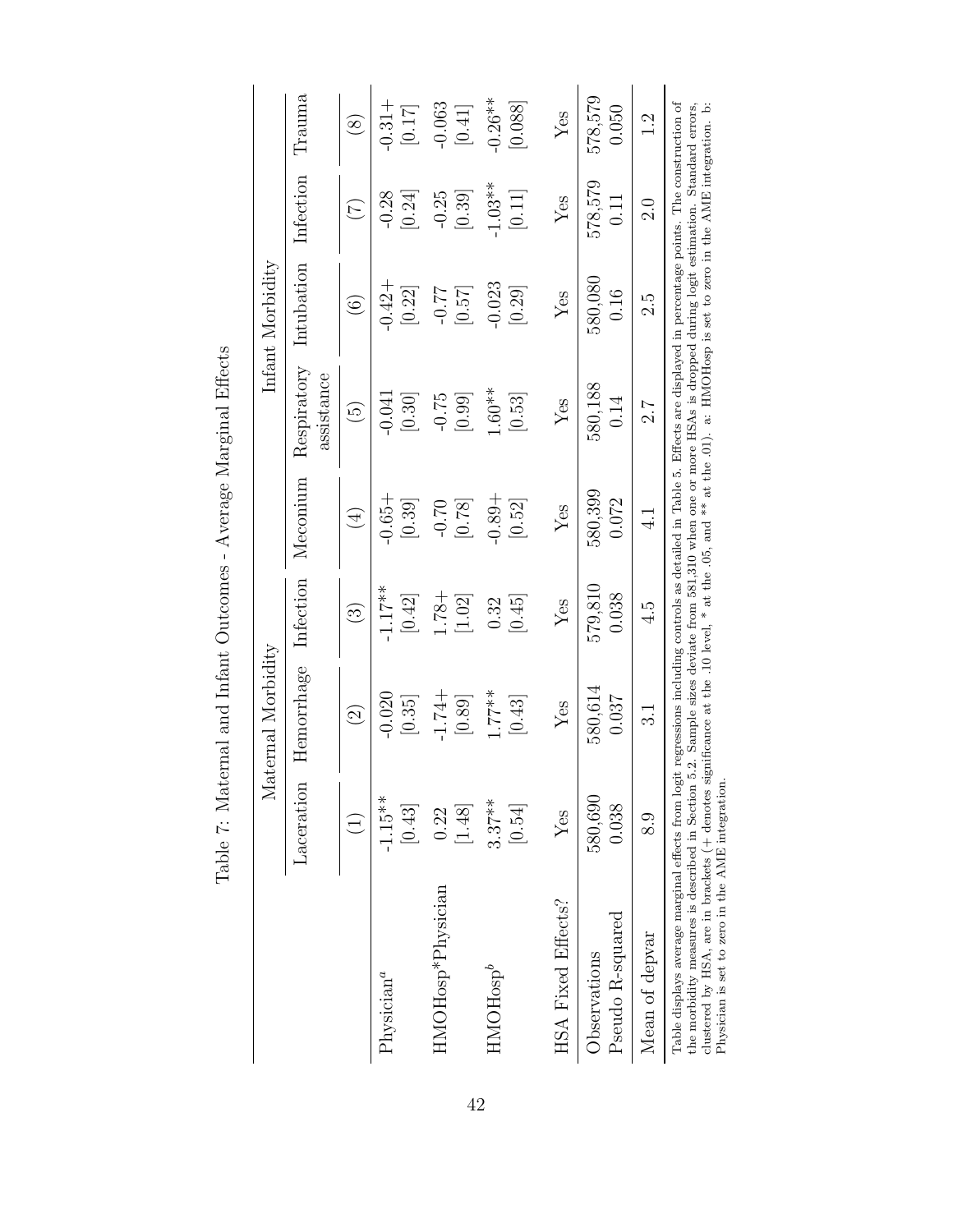|                                                                                                                                                                                                                                                                                                                                                                                                                                                         |                          | Maternal Morbidity                                                                                               |                          |                     |                           | Infant Morbidity    |                     |                      |
|---------------------------------------------------------------------------------------------------------------------------------------------------------------------------------------------------------------------------------------------------------------------------------------------------------------------------------------------------------------------------------------------------------------------------------------------------------|--------------------------|------------------------------------------------------------------------------------------------------------------|--------------------------|---------------------|---------------------------|---------------------|---------------------|----------------------|
|                                                                                                                                                                                                                                                                                                                                                                                                                                                         | Laceration               | Hemorrhage                                                                                                       | Infection                | Meconium            | Respiratory<br>assistance | Intubation          | Infection           | Trauma               |
|                                                                                                                                                                                                                                                                                                                                                                                                                                                         | $\widetilde{\mathbf{t}}$ | $\widehat{\Omega}$                                                                                               | $\widehat{\mathfrak{S}}$ | $(\pm)$             | $\widetilde{\mathbb{G}}$  | $\widehat{\circ}$   | $(\overline{C})$    | $\circledS$          |
| $\mathrm{Physical}^a$                                                                                                                                                                                                                                                                                                                                                                                                                                   | $-1.15**$<br>$[0.43]$    | $-0.020$<br>[0.35]                                                                                               | $-1.17***$<br>[0.42]     | $+9.65 +$<br>[0.39] | $-0.041$<br>[0.30]        | $-0.42 +$<br>[0.22] | $-0.28$<br>[0.24]   | $-0.31 +$<br>[0.17]  |
| HMOH <sub>osp</sub> *Physician                                                                                                                                                                                                                                                                                                                                                                                                                          | $[1.48]$<br>0.22         | $-1.74+$<br>[0.89]                                                                                               | $1.78 +$<br>$[1.02]$     | $-0.70$<br>$[0.78]$ | $-0.75$<br>[0.99]         | [0.57]<br>$-0.77$   | $-0.25$<br>[0.39]   | $-0.063$<br>$[0.41]$ |
| $HMOH$ osp $^b$                                                                                                                                                                                                                                                                                                                                                                                                                                         | $3.37***$<br>[0.54]      | $1.77***$<br>[0.43]                                                                                              | [0.45]<br>0.32           | $+68.0$<br>[0.52]   | $1.60***$<br>[0.53]       | $-0.023$<br>[0.29]  | $-1.03**$<br>[0.11] | $-0.26**$<br>[0.088] |
| HSA Fixed Effects?                                                                                                                                                                                                                                                                                                                                                                                                                                      | Yes                      | $Y$ es                                                                                                           | Yes                      | Yes                 | Yes                       | Yes                 | Yes                 | Yes                  |
| Pseudo R-squared<br>Observations                                                                                                                                                                                                                                                                                                                                                                                                                        | 580,690<br>0.038         | 580,614<br>0.037                                                                                                 | 579,810<br>0.038         | 580,399<br>0.072    | 580,188<br>0.14           | 580,080<br>0.16     | 578,579<br>0.11     | 578,579<br>0.050     |
| Mean of depvar                                                                                                                                                                                                                                                                                                                                                                                                                                          | 8.9                      | ಸ                                                                                                                | 4.5                      | $\frac{1}{4}$       | 7.2                       | 2.5                 | $\frac{0}{2}$       | $\frac{2}{1}$        |
| Table displays average marginal effects from logit regressions including controls as detailed in Table 5. Effects are displayed in percentage points. The construction of<br>clustered by HSA, are in brackets (+ denotes significance at the .10 level, * at the .05, and ** at the .01). a: HMOHosp is set to zero in the AME integration. b:<br>the morbidity measures is described in Section 5<br>Physician is set to zero in the AME integration. |                          | .2. Sample sizes deviate from 581,310 when one or more HSAs is dropped during logit estimation. Standard errors, |                          |                     |                           |                     |                     |                      |

Table 7: Maternal and Infant Outcomes - Average Marginal Effects Table 7: Maternal and Infant Outcomes - Average Marginal Effects